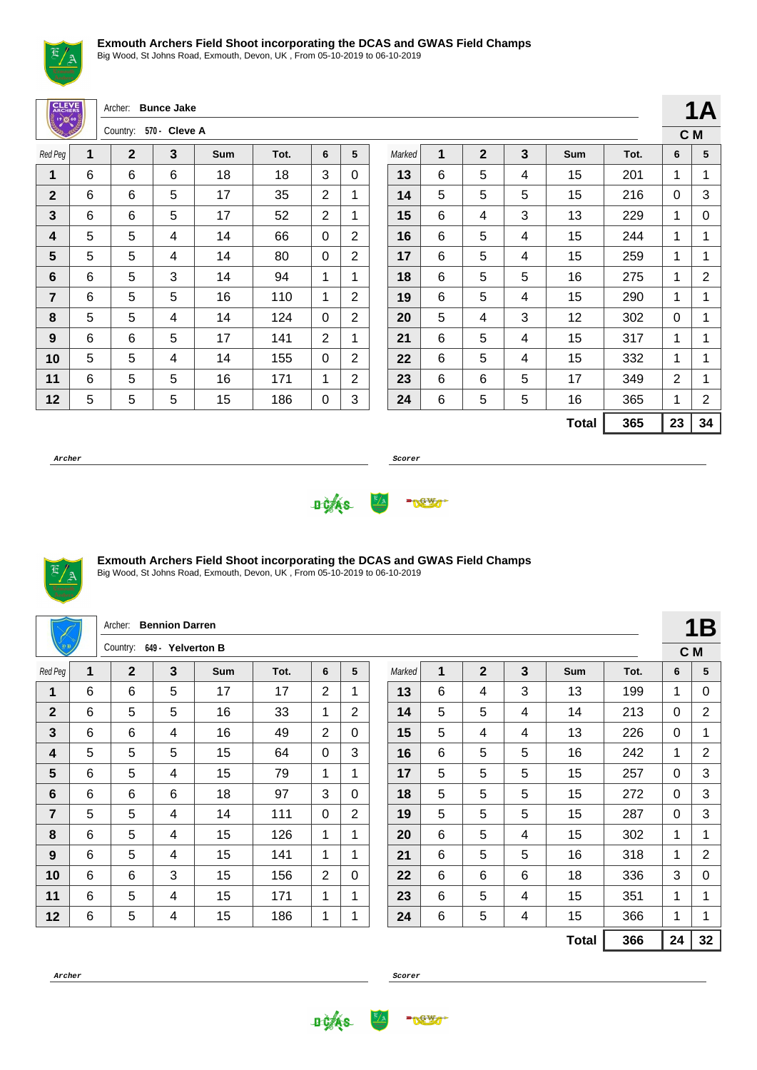

Big Wood, St Johns Road, Exmouth, Devon, UK , From 05-10-2019 to 06-10-2019

| <b>CLEVE</b>            |   | Archer:      | <b>Bunce Jake</b> |     |      |                |                |        |   |              |   |  |
|-------------------------|---|--------------|-------------------|-----|------|----------------|----------------|--------|---|--------------|---|--|
| ೣಁಁ಄ೲೣ                  |   | Country:     | 570 - Cleve A     |     |      |                |                |        |   |              |   |  |
| Red Peg                 | 1 | $\mathbf{2}$ | 3                 | Sum | Tot. | 6              | 5              | Marked | 1 | $\mathbf{2}$ | 3 |  |
| 1                       | 6 | 6            | 6                 | 18  | 18   | 3              | 0              | 13     | 6 | 5            | 4 |  |
| $\mathbf{2}$            | 6 | 6            | 5                 | 17  | 35   | 2              | 1              | 14     | 5 | 5            | 5 |  |
| 3                       | 6 | 6            | 5                 | 17  | 52   | $\overline{2}$ | 1              | 15     | 6 | 4            | 3 |  |
| $\overline{\mathbf{4}}$ | 5 | 5            | 4                 | 14  | 66   | $\Omega$       | $\overline{2}$ | 16     | 6 | 5            | 4 |  |
| 5                       | 5 | 5            | 4                 | 14  | 80   | $\Omega$       | $\overline{2}$ | 17     | 6 | 5            | 4 |  |
| 6                       | 6 | 5            | 3                 | 14  | 94   | 1              | 1              | 18     | 6 | 5            | 5 |  |
| $\overline{7}$          | 6 | 5            | 5                 | 16  | 110  | 1              | $\overline{2}$ | 19     | 6 | 5            | 4 |  |
| 8                       | 5 | 5            | 4                 | 14  | 124  | $\Omega$       | $\overline{2}$ | 20     | 5 | 4            | 3 |  |
| 9                       | 6 | 6            | 5                 | 17  | 141  | 2              | 1              | 21     | 6 | 5            | 4 |  |
| 10                      | 5 | 5            | 4                 | 14  | 155  | $\Omega$       | $\overline{2}$ | 22     | 6 | 5            | 4 |  |
| 11                      | 6 | 5            | 5                 | 16  | 171  | 1              | $\overline{2}$ | 23     | 6 | 6            | 5 |  |
| 12                      | 5 | 5            | 5                 | 15  | 186  | 0              | 3              | 24     | 6 | 5            | 5 |  |
|                         |   |              |                   |     |      |                |                |        |   |              |   |  |

**C M** Marked **1 2 3 Sum Tot. 6 5** | 6 | 5 | 4 | 15 | 201 | 1 | 1 | 5 | 5 | 5 | 15 | 216 | 0 | 3 | 6 | 4 | 3 | 13 | 229 | 1 | 0 | 6 | 5 | 4 | 15 | 244 | 1 | 1 | 6 | 5 | 4 | 15 | 259 | 1 | 1 | 6 | 5 | 5 | 16 | 275 | 1 | 2 | 6 | 5 | 4 | 15 | 290 | 1 | 1 | 5 | 4 | 3 | 12 | 302 | 0 | 1 | 6 | 5 | 4 | 15 | 317 | 1 | 1 | 6 | 5 | 4 | 15 | 332 | 1 | 1 | 6 | 6 | 5 | 17 | 349 | 2 | 1 | 6 | 5 | 5 | 16 | 365 | 1 | 2 **Total 365 23 34**

**1A**

**Archer Scorer**





### **Exmouth Archers Field Shoot incorporating the DCAS and GWAS Field Champs**

Big Wood, St Johns Road, Exmouth, Devon, UK , From 05-10-2019 to 06-10-2019

|                |   | Archer:        | <b>Bennion Darren</b> |     |      |   |                |        |   |                |   |              |      |              | <b>1B</b>      |
|----------------|---|----------------|-----------------------|-----|------|---|----------------|--------|---|----------------|---|--------------|------|--------------|----------------|
|                |   | Country:       | 649 - Yelverton B     |     |      |   |                |        |   |                |   |              |      |              | C M            |
| Red Peg        | 1 | $\overline{2}$ | $\overline{3}$        | Sum | Tot. | 6 | 5              | Marked | 1 | $\overline{2}$ | 3 | <b>Sum</b>   | Tot. | 6            | 5              |
| 1              | 6 | 6              | 5                     | 17  | 17   | 2 |                | 13     | 6 | 4              | 3 | 13           | 199  | 1            | 0              |
| $\overline{2}$ | 6 | 5              | 5                     | 16  | 33   | 1 | $\overline{2}$ | 14     | 5 | 5              | 4 | 14           | 213  | 0            | $\overline{2}$ |
| 3              | 6 | 6              | 4                     | 16  | 49   | 2 | $\Omega$       | 15     | 5 | 4              | 4 | 13           | 226  | $\mathbf{0}$ | 1              |
| 4              | 5 | 5              | 5                     | 15  | 64   | 0 | 3              | 16     | 6 | 5              | 5 | 16           | 242  | 1            | $\overline{2}$ |
| 5              | 6 | 5              | 4                     | 15  | 79   | 1 | $\mathbf 1$    | 17     | 5 | 5              | 5 | 15           | 257  | $\mathbf{0}$ | 3              |
| 6              | 6 | 6              | 6                     | 18  | 97   | 3 | $\Omega$       | 18     | 5 | 5              | 5 | 15           | 272  | $\mathbf{0}$ | 3              |
| 7              | 5 | 5              | 4                     | 14  | 111  | 0 | 2              | 19     | 5 | 5              | 5 | 15           | 287  | $\mathbf{0}$ | 3              |
| 8              | 6 | 5              | 4                     | 15  | 126  | 1 | 1              | 20     | 6 | 5              | 4 | 15           | 302  | 1            | 1              |
| 9              | 6 | 5              | 4                     | 15  | 141  | 1 | 1              | 21     | 6 | 5              | 5 | 16           | 318  | 1            | $\overline{2}$ |
| 10             | 6 | 6              | 3                     | 15  | 156  | 2 | $\Omega$       | 22     | 6 | 6              | 6 | 18           | 336  | 3            | 0              |
| 11             | 6 | 5              | 4                     | 15  | 171  | 1 | 1              | 23     | 6 | 5              | 4 | 15           | 351  | 1            | 1              |
| 12             | 6 | 5              | 4                     | 15  | 186  | 1 | 1              | 24     | 6 | 5              | 4 | 15           | 366  | 1            | 1              |
|                |   |                |                       |     |      |   |                |        |   |                |   | <b>Total</b> | 366  | 24           | 32             |

**Archer Scorer**

**DOAS** 

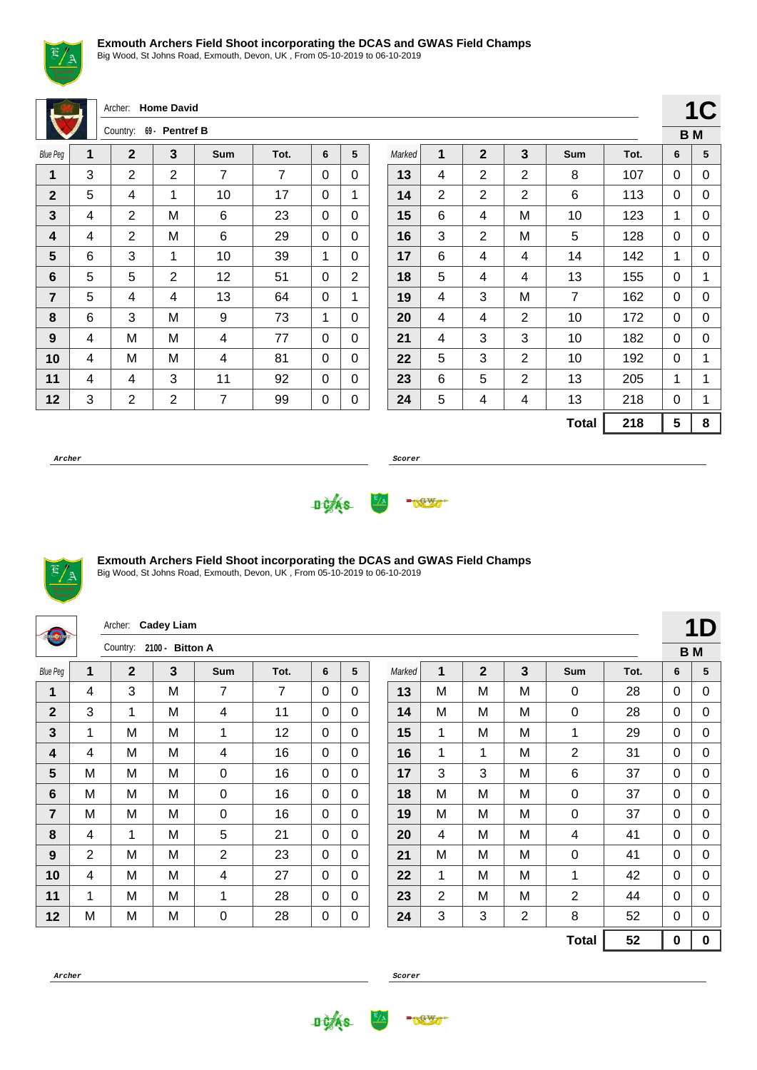

Big Wood, St Johns Road, Exmouth, Devon, UK , From 05-10-2019 to 06-10-2019

Archer: **Home David**

|                 |   | Country:       | 69 - Pentref B |     |      |   |   |
|-----------------|---|----------------|----------------|-----|------|---|---|
| <b>Blue Peg</b> | 1 | $\mathbf 2$    | 3              | Sum | Tot. | 6 | 5 |
| 1               | 3 | 2              | $\overline{2}$ | 7   | 7    | 0 | 0 |
| $\mathbf{2}$    | 5 | 4              | 1              | 10  | 17   | 0 | 1 |
| 3               | 4 | 2              | Μ              | 6   | 23   | 0 | 0 |
| 4               | 4 | 2              | M              | 6   | 29   | 0 | 0 |
| 5               | 6 | 3              | 1              | 10  | 39   | 1 | 0 |
| 6               | 5 | 5              | $\overline{2}$ | 12  | 51   | 0 | 2 |
| $\overline{7}$  | 5 | 4              | 4              | 13  | 64   | 0 | 1 |
| 8               | 6 | 3              | M              | 9   | 73   | 1 | 0 |
| 9               | 4 | M              | M              | 4   | 77   | 0 | 0 |
| 10              | 4 | M              | M              | 4   | 81   | 0 | 0 |
| 11              | 4 | 4              | 3              | 11  | 92   | 0 | 0 |
| 12              | 3 | $\overline{2}$ | $\overline{2}$ | 7   | 99   | 0 | 0 |

|        |                          |                |                |                |      |   | IV             |
|--------|--------------------------|----------------|----------------|----------------|------|---|----------------|
|        |                          |                |                |                |      |   | B <sub>M</sub> |
| Marked | 1                        | $\mathbf{2}$   | 3              | Sum            | Tot. | 6 | 5              |
| 13     | 4                        | $\overline{2}$ | $\overline{2}$ | 8              | 107  | 0 | 0              |
| 14     | $\overline{2}$           | $\overline{2}$ | $\overline{2}$ | 6              | 113  | 0 | 0              |
| 15     | 6                        | 4              | M              | 10             | 123  | 1 | 0              |
| 16     | 3                        | $\overline{2}$ | M              | 5              | 128  | 0 | 0              |
| 17     | 6                        | 4              | 4              | 14             | 142  | 1 | 0              |
| 18     | 5<br>4<br>4              |                | 13             | 155            | 0    | 1 |                |
| 19     | 4                        | 3              | M              | $\overline{7}$ | 162  | 0 | 0              |
| 20     | 4                        | 4              | $\overline{2}$ | 10             | 172  | 0 | 0              |
| 21     | 4                        | 3              | 3              | 10             | 182  | 0 | 0              |
| 22     | 5                        | 3              | $\overline{2}$ | 10             | 192  | 0 | 1              |
| 23     | $\overline{2}$<br>5<br>6 |                | 13             | 205            | 1    | 1 |                |
| 24     | 5                        | 4              | 13             | 218            | 0    | 1 |                |
|        |                          |                |                | <b>Total</b>   | 218  | 5 | 8              |

 $1C$ 

**Archer Scorer**





## **Exmouth Archers Field Shoot incorporating the DCAS and GWAS Field Champs**

Big Wood, St Johns Road, Exmouth, Devon, UK , From 05-10-2019 to 06-10-2019

| dionarche       |                | <b>Cadey Liam</b><br>Archer: |   |                |                |                |              |        |                |              |                |                |      |              |             |
|-----------------|----------------|------------------------------|---|----------------|----------------|----------------|--------------|--------|----------------|--------------|----------------|----------------|------|--------------|-------------|
|                 |                | Country: 2100 - Bitton A     |   |                |                |                |              |        |                |              |                |                |      | <b>BM</b>    |             |
| <b>Blue Peg</b> | 1              | $\mathbf{2}$                 | 3 | Sum            | Tot.           | 6              | 5            | Marked | 1              | $\mathbf{2}$ | 3              | Sum            | Tot. | 6            | 5           |
| 1               | 4              | 3                            | M | 7              | $\overline{7}$ | $\Omega$       | $\mathbf{0}$ | 13     | M              | M            | M              | 0              | 28   | $\Omega$     | 0           |
| $\overline{2}$  | 3              | 1                            | M | 4              | 11             | $\overline{0}$ | $\Omega$     | 14     | M              | M            | M              | $\mathbf 0$    | 28   | $\mathbf{0}$ | 0           |
| $\mathbf{3}$    | 1              | M                            | м | 1              | 12             | 0              | $\Omega$     | 15     | 1              | M            | М              | $\mathbf 1$    | 29   | $\mathbf{0}$ | 0           |
| 4               | 4              | M                            | M | 4              | 16             | $\Omega$       | $\Omega$     | 16     | 1              | 1            | M              | $\overline{2}$ | 31   | $\Omega$     | 0           |
| $5\phantom{.0}$ | M              | M                            | M | 0              | 16             | $\Omega$       | 0            | 17     | 3              | $\mathbf{3}$ | M              | 6              | 37   | $\mathbf{0}$ | 0           |
| $6\phantom{1}$  | M              | M                            | M | $\overline{0}$ | 16             | $\mathbf 0$    | $\Omega$     | 18     | M              | M            | M              | $\mathbf 0$    | 37   | $\mathbf{0}$ | $\mathbf 0$ |
| $\overline{7}$  | M              | M                            | м | $\overline{0}$ | 16             | 0              | $\Omega$     | 19     | M              | M            | м              | 0              | 37   | $\mathbf{0}$ | 0           |
| 8               | 4              | 1                            | M | 5              | 21             | 0              | $\Omega$     | 20     | 4              | M            | M              | 4              | 41   | $\Omega$     | 0           |
| 9               | $\overline{2}$ | M                            | M | 2              | 23             | $\Omega$       | $\mathbf{0}$ | 21     | M              | M            | M              | 0              | 41   | $\mathbf{0}$ | 0           |
| 10              | 4              | M                            | M | 4              | 27             | $\Omega$       | $\Omega$     | 22     | 1              | M            | M              | 1              | 42   | $\Omega$     | 0           |
| 11              | 1              | M                            | M | 1              | 28             | 0              | $\mathbf{0}$ | 23     | $\overline{2}$ | M            | м              | 2              | 44   | $\mathbf{0}$ | 0           |
| 12              | M              | M                            | M | $\pmb{0}$      | 28             | 0              | 0            | 24     | 3              | 3            | $\overline{2}$ | 8              | 52   | $\Omega$     | 0           |
|                 |                |                              |   |                |                |                |              |        |                |              |                | <b>Total</b>   | 52   | $\mathbf 0$  | $\mathbf 0$ |



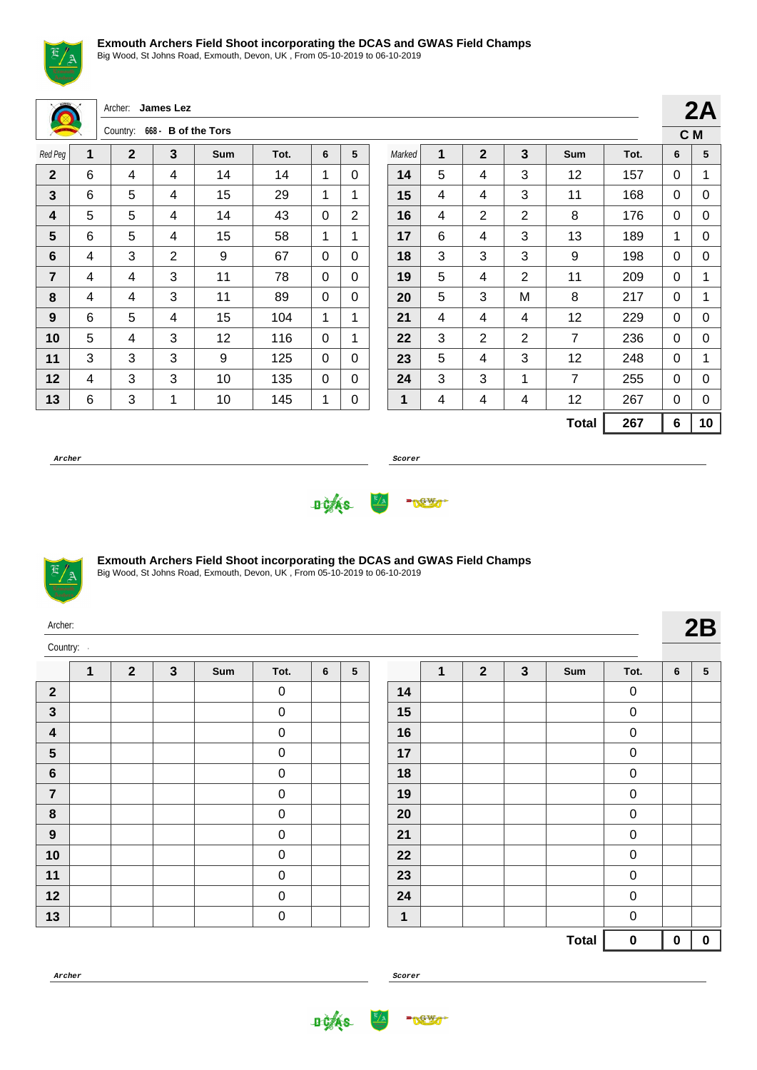

Big Wood, St Johns Road, Exmouth, Devon, UK , From 05-10-2019 to 06-10-2019

|                |                | Archer: James Lez |                     |     |      |                |                |        |   |                |                |                |      |             | 2 <sub>k</sub> |
|----------------|----------------|-------------------|---------------------|-----|------|----------------|----------------|--------|---|----------------|----------------|----------------|------|-------------|----------------|
|                |                | Country:          | 668 - B of the Tors |     |      |                |                |        |   |                |                |                |      |             | C M            |
| Red Peg        | $\overline{1}$ | $\mathbf{2}$      | 3                   | Sum | Tot. | 6              | 5              | Marked | 1 | $\overline{2}$ | $\mathbf{3}$   | Sum            | Tot. | 6           | 5              |
| $\mathbf{2}$   | 6              | 4                 | 4                   | 14  | 14   | 1              | $\Omega$       | 14     | 5 | 4              | 3              | 12             | 157  | $\Omega$    | 1              |
| 3              | 6              | 5                 | 4                   | 15  | 29   | 1              | 1              | 15     | 4 | 4              | 3              | 11             | 168  | 0           | C              |
| 4              | 5              | 5                 | 4                   | 14  | 43   | $\mathbf 0$    | $\overline{2}$ | 16     | 4 | $\overline{2}$ | $\overline{2}$ | 8              | 176  | $\Omega$    | C              |
| 5              | 6              | 5                 | 4                   | 15  | 58   | 1              | 1              | 17     | 6 | 4              | 3              | 13             | 189  | 1           | C              |
| 6              | 4              | 3                 | $\overline{2}$      | 9   | 67   | 0              | $\Omega$       | 18     | 3 | 3              | 3              | 9              | 198  | $\Omega$    | C              |
| $\overline{7}$ | 4              | 4                 | 3                   | 11  | 78   | $\mathbf 0$    | $\Omega$       | 19     | 5 | 4              | $\overline{2}$ | 11             | 209  | 0           | 1              |
| 8              | 4              | 4                 | 3                   | 11  | 89   | 0              | $\Omega$       | 20     | 5 | 3              | M              | 8              | 217  | $\Omega$    |                |
| 9              | 6              | 5                 | 4                   | 15  | 104  | 1              | 1              | 21     | 4 | 4              | 4              | 12             | 229  | $\Omega$    | C              |
| 10             | 5              | 4                 | 3                   | 12  | 116  | $\overline{0}$ | 1              | 22     | 3 | $\overline{2}$ | $\overline{2}$ | $\overline{7}$ | 236  | $\mathbf 0$ | C              |
| 11             | 3              | 3                 | 3                   | 9   | 125  | 0              | $\Omega$       | 23     | 5 | 4              | 3              | 12             | 248  | $\Omega$    | 1              |
| 12             | 4              | 3                 | 3                   | 10  | 135  | $\mathbf 0$    | $\Omega$       | 24     | 3 | 3              | 1              | $\overline{7}$ | 255  | $\Omega$    | С              |
| 13             | 6              | 3                 | $\mathbf{1}$        | 10  | 145  | 1              | 0              | 1      | 4 | 4              | 4              | 12             | 267  | $\Omega$    | C              |
|                |                |                   |                     |     |      |                |                |        |   |                |                | <b>Total</b>   | 267  | 6           | 1 <sub>1</sub> |

**Archer Scorer**





## **Exmouth Archers Field Shoot incorporating the DCAS and GWAS Field Champs**

Big Wood, St Johns Road, Exmouth, Devon, UK , From 05-10-2019 to 06-10-2019

| Archer:  |  |
|----------|--|
| Country: |  |

|                         | 1 | $\boldsymbol{2}$ | $\mathbf{3}$ | Sum | Tot.        | 6 | ${\bf 5}$ |
|-------------------------|---|------------------|--------------|-----|-------------|---|-----------|
| $\boldsymbol{2}$        |   |                  |              |     | $\mathbf 0$ |   |           |
| $\mathbf{3}$            |   |                  |              |     | 0           |   |           |
| $\overline{\mathbf{4}}$ |   |                  |              |     | 0           |   |           |
| $5\phantom{1}$          |   |                  |              |     | 0           |   |           |
| $\bf 6$                 |   |                  |              |     | 0           |   |           |
| $\overline{\mathbf{7}}$ |   |                  |              |     | 0           |   |           |
| 8                       |   |                  |              |     | $\mathbf 0$ |   |           |
| $\boldsymbol{9}$        |   |                  |              |     | 0           |   |           |
| 10                      |   |                  |              |     | $\mathbf 0$ |   |           |
| $11$                    |   |                  |              |     | 0           |   |           |
| 12                      |   |                  |              |     | 0           |   |           |
| 13                      |   |                  |              |     | 0           |   |           |

|             | $\mathbf 1$ | $\mathbf{2}$ | $\mathbf{3}$ | Sum          | Tot.             | 6 | 5         |
|-------------|-------------|--------------|--------------|--------------|------------------|---|-----------|
| 14          |             |              |              |              | 0                |   |           |
| 15          |             |              |              |              | 0                |   |           |
| 16          |             |              |              |              | 0                |   |           |
| 17          |             |              |              |              | 0                |   |           |
| 18          |             |              |              |              | 0                |   |           |
| 19          |             |              |              |              | 0                |   |           |
| 20          |             |              |              |              | 0                |   |           |
| 21          |             |              |              |              | 0                |   |           |
| 22          |             |              |              |              | 0                |   |           |
| 23          |             |              |              |              | 0                |   |           |
| 24          |             |              |              |              | $\boldsymbol{0}$ |   |           |
| $\mathbf 1$ |             |              |              |              | 0                |   |           |
|             |             |              |              | <b>Total</b> | 0                | 0 | $\pmb{0}$ |

**2A C M**

**Total 267 6 10**



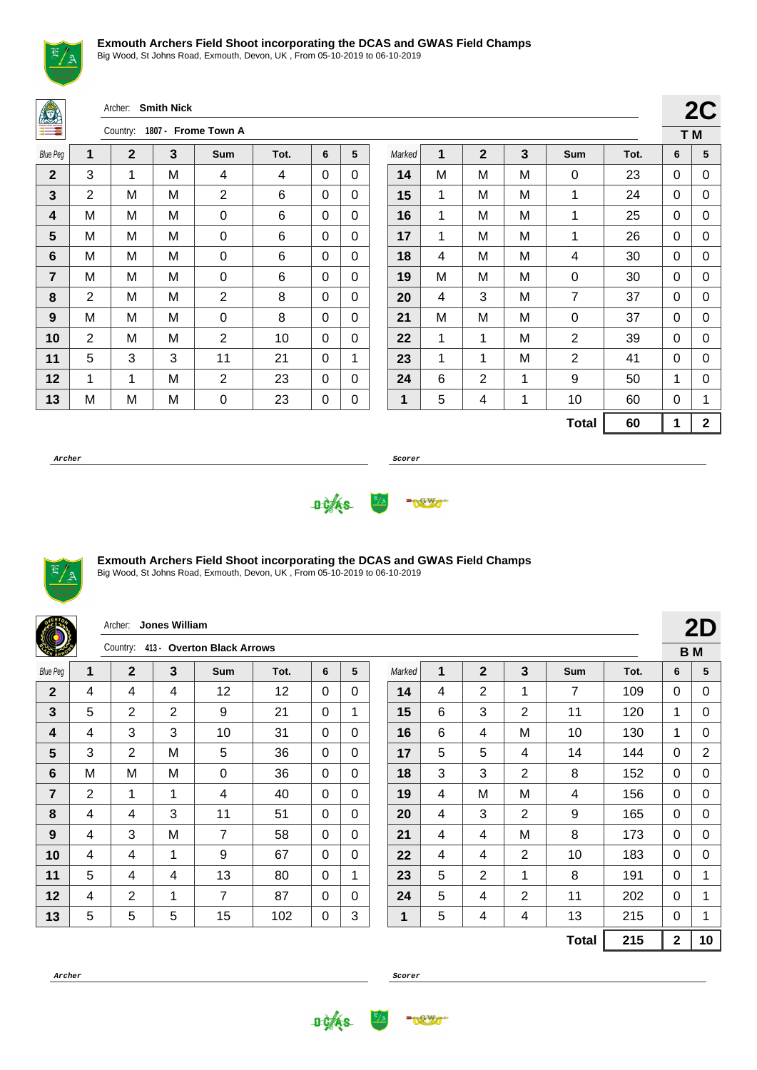

Big Wood, St Johns Road, Exmouth, Devon, UK , From 05-10-2019 to 06-10-2019

Archer: **Smith Nick**

| Ξ               | 1807 - Frome Town A<br>Country: |             |   |                |      |   |   |  |  |  |  |  |  |  |
|-----------------|---------------------------------|-------------|---|----------------|------|---|---|--|--|--|--|--|--|--|
| <b>Blue Peg</b> | 1                               | $\mathbf 2$ | 3 | Sum            | Tot. | 6 | 5 |  |  |  |  |  |  |  |
| $\mathbf{2}$    | 3                               | 1           | M | 4              | 4    | 0 | 0 |  |  |  |  |  |  |  |
| 3               | 2                               | M           | M | $\overline{2}$ | 6    | 0 | 0 |  |  |  |  |  |  |  |
| 4               | M                               | M           | M | 0              | 6    | 0 | 0 |  |  |  |  |  |  |  |
| 5               | M                               | M           | M | 0              | 6    | 0 | 0 |  |  |  |  |  |  |  |
| 6               | M                               | M           | M | 0              | 6    | 0 | 0 |  |  |  |  |  |  |  |
| 7               | М                               | М           | М | 0              | 6    | 0 | 0 |  |  |  |  |  |  |  |
| 8               | 2                               | M           | M | $\overline{2}$ | 8    | 0 | 0 |  |  |  |  |  |  |  |
| 9               | M                               | M           | M | 0              | 8    | 0 | 0 |  |  |  |  |  |  |  |
| 10              | 2                               | M           | M | 2              | 10   | 0 | 0 |  |  |  |  |  |  |  |
| 11              | 5                               | 3           | 3 | 11             | 21   | 0 | 1 |  |  |  |  |  |  |  |
| 12              | 1                               | 1           | M | $\overline{2}$ | 23   | 0 | 0 |  |  |  |  |  |  |  |
| 13              | M                               | M           | M | 0              | 23   | 0 | 0 |  |  |  |  |  |  |  |

|        |   |                |   |                |      |     | 2C          |
|--------|---|----------------|---|----------------|------|-----|-------------|
|        |   |                |   |                |      | T M |             |
| Marked | 1 | $\overline{2}$ | 3 | Sum            | Tot. | 6   | 5           |
| 14     | М | M              | M | 0              | 23   | 0   | 0           |
| 15     | 1 | M              | M | 1              | 24   | 0   | 0           |
| 16     | 1 | M              | M | 1              | 25   | 0   | 0           |
| 17     | 1 | M              | M | 1              | 26   | 0   | 0           |
| 18     | 4 | M              | M | 4              | 30   | 0   | 0           |
| 19     | M | M              | M | 0              | 30   | 0   | 0           |
| 20     | 4 | 3              | M | 7              | 37   | 0   | 0           |
| 21     | М | M              | М | 0              | 37   | 0   | 0           |
| 22     | 1 | 1              | M | $\overline{2}$ | 39   | 0   | 0           |
| 23     | 1 | 1              | M | $\overline{2}$ | 41   | 0   | 0           |
| 24     | 6 | $\overline{2}$ | 1 | 9              | 50   | 1   | 0           |
| 1      | 5 | 4              | 1 | 10             | 60   | 0   | 1           |
|        |   |                |   | <b>Total</b>   | 60   | 1   | $\mathbf 2$ |

**Archer Scorer**





### **Exmouth Archers Field Shoot incorporating the DCAS and GWAS Field Champs**

Big Wood, St Johns Road, Exmouth, Devon, UK , From 05-10-2019 to 06-10-2019

|                 |   | Archer:        | Jones William |                                     |      |          |              |        |   |                |                |              |      |              | 2D             |
|-----------------|---|----------------|---------------|-------------------------------------|------|----------|--------------|--------|---|----------------|----------------|--------------|------|--------------|----------------|
|                 |   |                |               | Country: 413 - Overton Black Arrows |      |          |              |        |   |                |                |              |      |              | <b>BM</b>      |
| <b>Blue Peg</b> | 1 | $\mathbf{2}$   | $\mathbf{3}$  | <b>Sum</b>                          | Tot. | 6        | 5            | Marked | 1 | $\mathbf{2}$   | $\mathbf{3}$   | <b>Sum</b>   | Tot. | 6            | 5              |
| $\mathbf{2}$    | 4 | 4              | 4             | 12                                  | 12   | 0        | $\Omega$     | 14     | 4 | $\overline{2}$ | $\mathbf{1}$   | 7            | 109  | $\Omega$     | $\Omega$       |
| 3               | 5 | 2              | 2             | 9                                   | 21   | 0        | 1            | 15     | 6 | 3              | 2              | 11           | 120  | 1            | 0              |
| 4               | 4 | 3              | 3             | 10                                  | 31   | 0        | $\Omega$     | 16     | 6 | 4              | M              | 10           | 130  | 1            | 0              |
| 5               | 3 | 2              | M             | 5                                   | 36   | 0        | $\Omega$     | 17     | 5 | 5              | 4              | 14           | 144  | $\Omega$     | $\overline{2}$ |
| 6               | М | M              | M             | 0                                   | 36   | 0        | $\Omega$     | 18     | 3 | 3              | 2              | 8            | 152  | $\Omega$     | $\Omega$       |
| $\overline{7}$  | 2 | 1              | 1             | 4                                   | 40   | $\Omega$ | $\mathbf{0}$ | 19     | 4 | M              | M              | 4            | 156  | $\Omega$     | 0              |
| 8               | 4 | 4              | 3             | 11                                  | 51   | 0        | $\Omega$     | 20     | 4 | 3              | $\overline{2}$ | 9            | 165  | $\Omega$     | 0              |
| 9               | 4 | 3              | M             | 7                                   | 58   | 0        | $\mathbf{0}$ | 21     | 4 | 4              | M              | 8            | 173  | 0            | 0              |
| 10              | 4 | 4              | $\mathbf{1}$  | 9                                   | 67   | 0        | $\Omega$     | 22     | 4 | 4              | $\overline{2}$ | 10           | 183  | $\Omega$     | 0              |
| 11              | 5 | 4              | 4             | 13                                  | 80   | $\Omega$ | 1            | 23     | 5 | $\overline{2}$ | 1              | 8            | 191  | $\Omega$     | 1              |
| 12              | 4 | $\overline{2}$ | $\mathbf{1}$  | 7                                   | 87   | 0        | $\Omega$     | 24     | 5 | 4              | 2              | 11           | 202  | $\Omega$     |                |
| 13              | 5 | 5              | 5             | 15                                  | 102  | 0        | 3            | 1      | 5 | 4              | 4              | 13           | 215  | 0            |                |
|                 |   |                |               |                                     |      |          |              |        |   |                |                | <b>Total</b> | 215  | $\mathbf{2}$ | 10             |



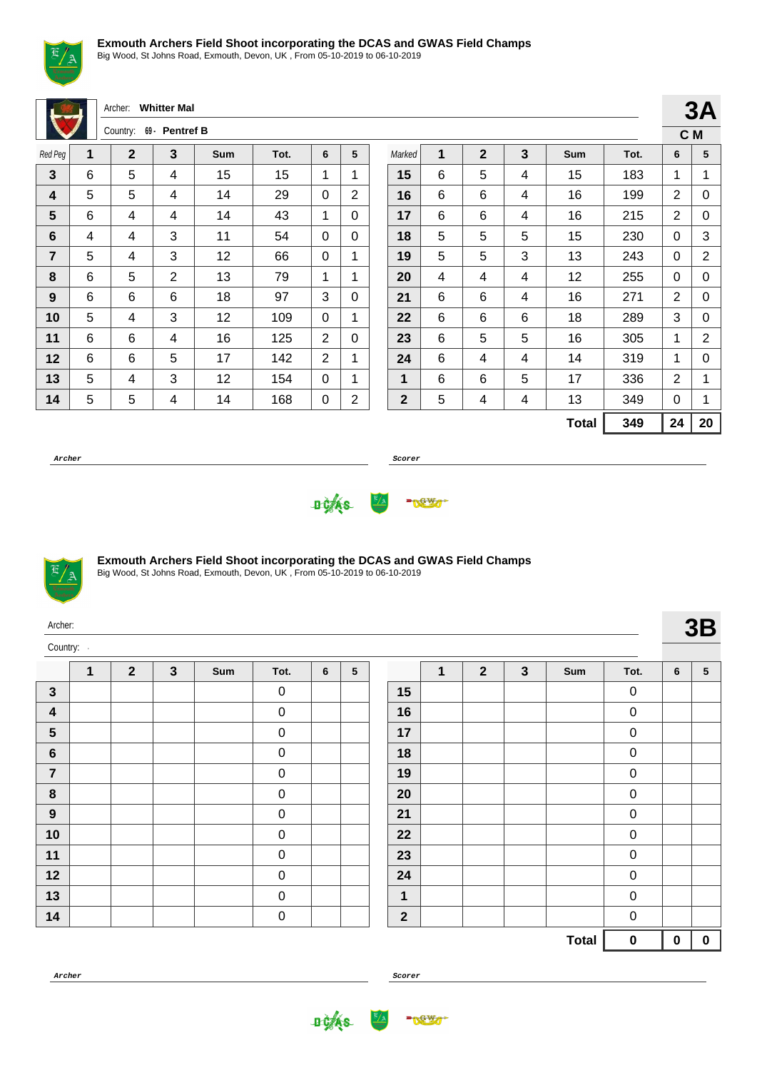

Big Wood, St Johns Road, Exmouth, Devon, UK , From 05-10-2019 to 06-10-2019

|                |   | Archer:        | <b>Whitter Mal</b> |            |      |                |                |              |   |                |                |              |      |                | 3A               |
|----------------|---|----------------|--------------------|------------|------|----------------|----------------|--------------|---|----------------|----------------|--------------|------|----------------|------------------|
|                |   | Country:       | 69 - Pentref B     |            |      |                |                |              |   |                |                |              |      |                | C M              |
| Red Peg        | 1 | $\overline{2}$ | 3                  | <b>Sum</b> | Tot. | 6              | 5              | Marked       | 1 | $\overline{2}$ | $\overline{3}$ | Sum          | Tot. | 6              | 5                |
| $\mathbf{3}$   | 6 | 5              | 4                  | 15         | 15   | 1              | 1              | 15           | 6 | 5              | 4              | 15           | 183  | 1              | 1                |
| 4              | 5 | 5              | 4                  | 14         | 29   | $\Omega$       | $\overline{2}$ | 16           | 6 | 6              | 4              | 16           | 199  | $\overline{2}$ | 0                |
| $5\phantom{1}$ | 6 | 4              | 4                  | 14         | 43   | 1              | $\Omega$       | 17           | 6 | 6              | 4              | 16           | 215  | $\overline{2}$ | $\mathbf 0$      |
| 6              | 4 | $\overline{4}$ | 3                  | 11         | 54   | $\Omega$       | $\Omega$       | 18           | 5 | 5              | 5              | 15           | 230  | $\mathbf 0$    | 3                |
| $\overline{7}$ | 5 | 4              | 3                  | 12         | 66   | $\Omega$       | 1              | 19           | 5 | 5              | 3              | 13           | 243  | 0              | $\boldsymbol{2}$ |
| 8              | 6 | 5              | $\overline{2}$     | 13         | 79   | 1              | 1              | 20           | 4 | 4              | 4              | 12           | 255  | 0              | $\mathbf 0$      |
| 9              | 6 | 6              | 6                  | 18         | 97   | 3              | $\Omega$       | 21           | 6 | 6              | 4              | 16           | 271  | $\overline{2}$ | 0                |
| 10             | 5 | 4              | 3                  | 12         | 109  | $\Omega$       | 1              | 22           | 6 | 6              | 6              | 18           | 289  | 3              | 0                |
| 11             | 6 | 6              | 4                  | 16         | 125  | $\overline{2}$ | $\Omega$       | 23           | 6 | 5              | 5              | 16           | 305  | 1              | $\overline{2}$   |
| 12             | 6 | 6              | 5                  | 17         | 142  | $\overline{2}$ | 1              | 24           | 6 | 4              | 4              | 14           | 319  | 1              | 0                |
| 13             | 5 | 4              | 3                  | 12         | 154  | $\Omega$       | 1              | 1            | 6 | 6              | 5              | 17           | 336  | $\overline{2}$ | 1                |
| 14             | 5 | 5              | 4                  | 14         | 168  | 0              | $\overline{2}$ | $\mathbf{2}$ | 5 | 4              | 4              | 13           | 349  | 0              | 1                |
|                |   |                |                    |            |      |                |                |              |   |                |                | <b>Total</b> | 349  | 24             | 20               |

**Archer Scorer**

**3A**





## **Exmouth Archers Field Shoot incorporating the DCAS and GWAS Field Champs**

Big Wood, St Johns Road, Exmouth, Devon, UK , From 05-10-2019 to 06-10-2019

| Archer:        |              |                |              |     |                  |                |   |              |              |                |              |              |             |                 | 3B              |
|----------------|--------------|----------------|--------------|-----|------------------|----------------|---|--------------|--------------|----------------|--------------|--------------|-------------|-----------------|-----------------|
| Country:       |              |                |              |     |                  |                |   |              |              |                |              |              |             |                 |                 |
|                | $\mathbf{1}$ | $\overline{2}$ | $\mathbf{3}$ | Sum | Tot.             | $6\phantom{a}$ | 5 |              | $\mathbf{1}$ | $\overline{2}$ | $\mathbf{3}$ | Sum          | Tot.        | $6\phantom{1}6$ | $5\phantom{.0}$ |
| $\mathbf{3}$   |              |                |              |     | $\mathbf 0$      |                |   | 15           |              |                |              |              | $\mathsf 0$ |                 |                 |
| 4              |              |                |              |     | $\pmb{0}$        |                |   | 16           |              |                |              |              | $\pmb{0}$   |                 |                 |
| $5\phantom{1}$ |              |                |              |     | $\pmb{0}$        |                |   | 17           |              |                |              |              | $\pmb{0}$   |                 |                 |
| $6\phantom{1}$ |              |                |              |     | $\boldsymbol{0}$ |                |   | 18           |              |                |              |              | $\pmb{0}$   |                 |                 |
| $\overline{7}$ |              |                |              |     | $\pmb{0}$        |                |   | 19           |              |                |              |              | $\pmb{0}$   |                 |                 |
| $\pmb{8}$      |              |                |              |     | $\pmb{0}$        |                |   | 20           |              |                |              |              | $\pmb{0}$   |                 |                 |
| $9$            |              |                |              |     | $\boldsymbol{0}$ |                |   | 21           |              |                |              |              | $\pmb{0}$   |                 |                 |
| 10             |              |                |              |     | $\pmb{0}$        |                |   | 22           |              |                |              |              | $\pmb{0}$   |                 |                 |
| 11             |              |                |              |     | $\mathbf 0$      |                |   | 23           |              |                |              |              | $\pmb{0}$   |                 |                 |
| 12             |              |                |              |     | $\boldsymbol{0}$ |                |   | 24           |              |                |              |              | $\pmb{0}$   |                 |                 |
| 13             |              |                |              |     | $\boldsymbol{0}$ |                |   | $\mathbf{1}$ |              |                |              |              | $\pmb{0}$   |                 |                 |
| 14             |              |                |              |     | $\boldsymbol{0}$ |                |   | $\mathbf{2}$ |              |                |              |              | $\pmb{0}$   |                 |                 |
|                |              |                |              |     |                  |                |   |              |              |                |              | <b>Total</b> | $\pmb{0}$   | $\bf{0}$        |                 |

**Archer Scorer**

**DOAS** 

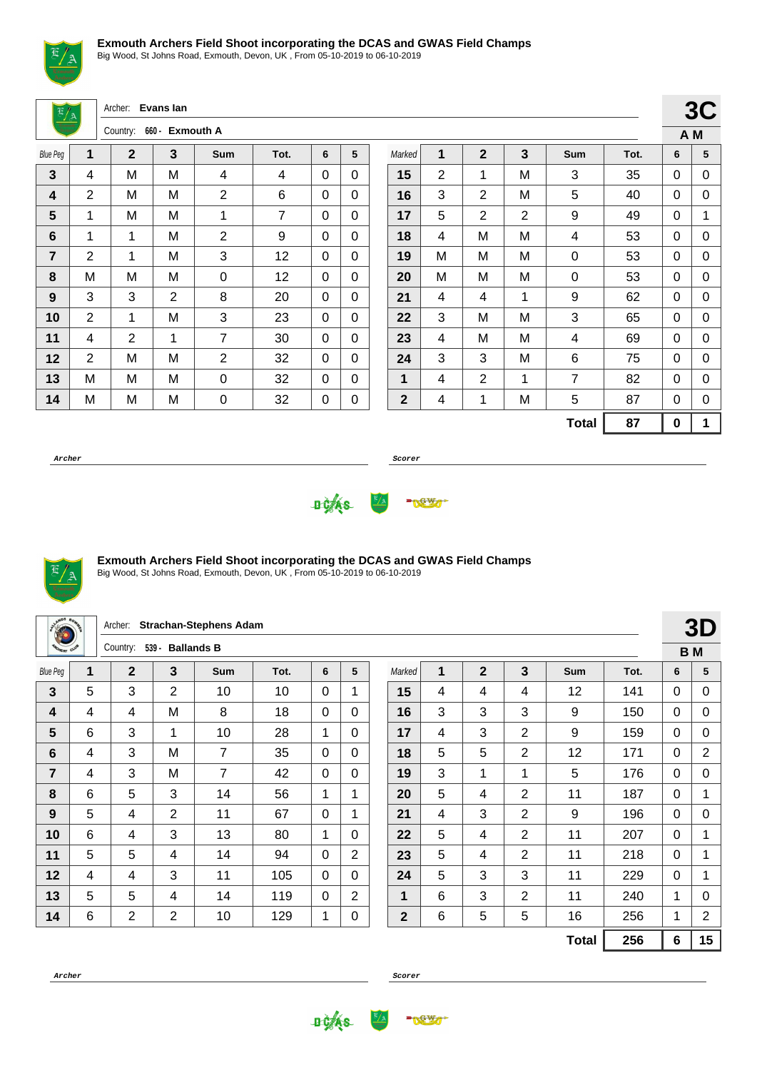

Big Wood, St Johns Road, Exmouth, Devon, UK , From 05-10-2019 to 06-10-2019

Archer: **Evans Ian**

| <b>Business</b> |   | Country:     | 660 - Exmouth A |                |      |   |   |
|-----------------|---|--------------|-----------------|----------------|------|---|---|
| <b>Blue Peg</b> | 1 | $\mathbf{2}$ | 3               | <b>Sum</b>     | Tot. | 6 | 5 |
| 3               | 4 | M            | M               | 4              | 4    | 0 | 0 |
| 4               | 2 | Μ            | M               | $\overline{2}$ | 6    | 0 | 0 |
| 5               | 1 | Μ            | M               | 1              | 7    | 0 | 0 |
| 6               | 1 | 1            | M               | 2              | 9    | 0 | 0 |
| $\overline{7}$  | 2 | 1            | M               | 3              | 12   | 0 | 0 |
| 8               | M | M            | M               | 0              | 12   | 0 | 0 |
| 9               | 3 | 3            | 2               | 8              | 20   | 0 | 0 |
| 10              | 2 | 1            | M               | 3              | 23   | 0 | 0 |
| 11              | 4 | 2            | 1               | 7              | 30   | 0 | 0 |
| 12              | 2 | Μ            | M               | 2              | 32   | 0 | 0 |
| 13              | M | Μ            | M               | 0              | 32   | 0 | 0 |
| 14              | M | M            | M               | 0              | 32   | 0 | 0 |

|              |   |                |   |                |      |   | v v |
|--------------|---|----------------|---|----------------|------|---|-----|
|              |   |                |   |                |      |   | A M |
| Marked       | 1 | $\mathbf{2}$   | 3 | Sum            | Tot. | 6 | 5   |
| 15           | 2 | 1              | M | 3              | 35   | 0 | 0   |
| 16           | 3 | 2              | M | 5              | 40   | 0 | 0   |
| 17           | 5 | $\overline{2}$ | 2 | 9              | 49   | 0 | 1   |
| 18           | 4 | M              | M | 4              | 53   | 0 | 0   |
| 19           | M | M              | M | 0              | 53   | 0 | 0   |
| 20           | M | M              | M | 0              | 53   | 0 | 0   |
| 21           | 4 | 4              | 1 | 9              | 62   | 0 | 0   |
| 22           | 3 | M              | M | 3              | 65   | 0 | 0   |
| 23           | 4 | M              | M | 4              | 69   | 0 | 0   |
| 24           | 3 | 3              | M | 6              | 75   | 0 | 0   |
| 1            | 4 | $\overline{2}$ | 1 | $\overline{7}$ | 82   | 0 | 0   |
| $\mathbf{2}$ | 4 | 1              | M | 5              | 87   | 0 | 0   |
|              |   |                |   | <b>Total</b>   | 87   | 0 | 1   |

**3C**

**Archer Scorer**





### **Exmouth Archers Field Shoot incorporating the DCAS and GWAS Field Champs**

Big Wood, St Johns Road, Exmouth, Devon, UK , From 05-10-2019 to 06-10-2019

| a <sup>WDS</sup> 80<br>æ |   | Archer:        |                | <b>Strachan-Stephens Adam</b> |      |              |                |                |   |                |                |              |      |              | 3D             |
|--------------------------|---|----------------|----------------|-------------------------------|------|--------------|----------------|----------------|---|----------------|----------------|--------------|------|--------------|----------------|
| <b>PORTY OUT</b>         |   | Country:       | $539 -$        | <b>Ballands B</b>             |      |              |                |                |   |                |                |              |      |              | <b>BM</b>      |
| <b>Blue Peg</b>          | 1 | $\mathbf{2}$   | 3              | Sum                           | Tot. | 6            | 5              | Marked         | 1 | $\overline{2}$ | 3              | <b>Sum</b>   | Tot. | 6            | 5              |
| 3                        | 5 | 3              | 2              | 10                            | 10   | $\Omega$     | 1              | 15             | 4 | 4              | 4              | 12           | 141  | $\Omega$     | 0              |
| 4                        | 4 | 4              | M              | 8                             | 18   | $\Omega$     | $\Omega$       | 16             | 3 | 3              | 3              | 9            | 150  | $\mathbf{0}$ | 0              |
| 5                        | 6 | 3              | 1              | 10                            | 28   | 1            | $\Omega$       | 17             | 4 | 3              | $\overline{2}$ | 9            | 159  | $\Omega$     | 0              |
| 6                        | 4 | 3              | M              | $\overline{7}$                | 35   | $\Omega$     | $\Omega$       | 18             | 5 | 5              | $\overline{2}$ | 12           | 171  | $\mathbf{0}$ | $\overline{2}$ |
| 7                        | 4 | 3              | M              | 7                             | 42   | $\Omega$     | $\Omega$       | 19             | 3 | 1              | 1              | 5            | 176  | $\Omega$     | 0              |
| 8                        | 6 | 5              | 3              | 14                            | 56   | 1            | 1              | 20             | 5 | 4              | $\overline{2}$ | 11           | 187  | $\mathbf{0}$ | 1              |
| 9                        | 5 | 4              | 2              | 11                            | 67   | $\Omega$     | 1              | 21             | 4 | 3              | $\overline{2}$ | 9            | 196  | $\Omega$     | 0              |
| 10                       | 6 | 4              | 3              | 13                            | 80   | 1            | $\Omega$       | 22             | 5 | 4              | $\overline{2}$ | 11           | 207  | $\mathbf{0}$ | 1              |
| 11                       | 5 | 5              | 4              | 14                            | 94   | $\Omega$     | $\overline{2}$ | 23             | 5 | 4              | $\overline{2}$ | 11           | 218  | $\Omega$     | 1              |
| 12                       | 4 | 4              | 3              | 11                            | 105  | $\mathbf{0}$ | $\Omega$       | 24             | 5 | 3              | 3              | 11           | 229  | $\mathbf{0}$ | 1              |
| 13                       | 5 | 5              | 4              | 14                            | 119  | 0            | $\overline{2}$ | $\mathbf{1}$   | 6 | 3              | $\overline{2}$ | 11           | 240  | 1            | 0              |
| 14                       | 6 | $\overline{2}$ | $\overline{2}$ | 10                            | 129  | 1            | 0              | $\overline{2}$ | 6 | 5              | 5              | 16           | 256  | 1            | $\overline{2}$ |
|                          |   |                |                |                               |      |              |                |                |   |                |                | <b>Total</b> | 256  | 6            | 15             |

**Archer Scorer**

**DOAS** 

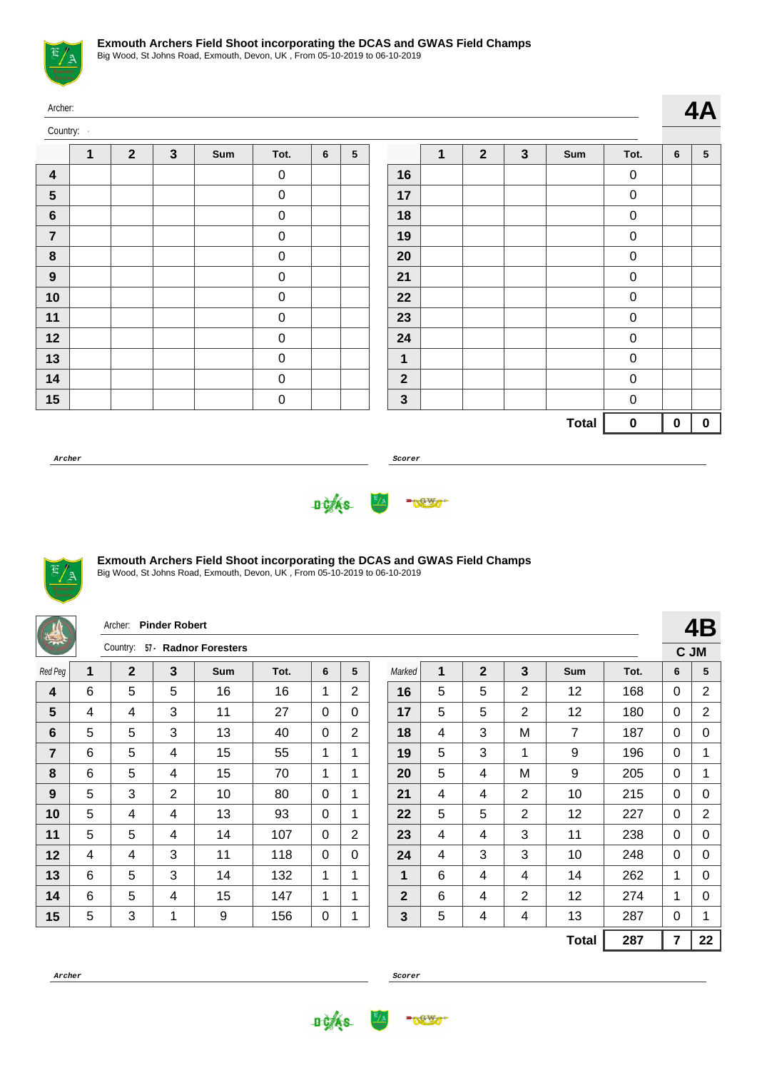

| Archer:                 |   |                         |              |     |                  |   |                 |              |   |                |              |              |                  |                | 4A              |
|-------------------------|---|-------------------------|--------------|-----|------------------|---|-----------------|--------------|---|----------------|--------------|--------------|------------------|----------------|-----------------|
| Country:                |   |                         |              |     |                  |   |                 |              |   |                |              |              |                  |                |                 |
|                         | 1 | $\overline{\mathbf{2}}$ | $\mathbf{3}$ | Sum | Tot.             | 6 | $5\phantom{.0}$ |              | 1 | $\overline{2}$ | $\mathbf{3}$ | Sum          | Tot.             | $6\phantom{1}$ | $5\phantom{.0}$ |
| $\overline{\mathbf{4}}$ |   |                         |              |     | $\pmb{0}$        |   |                 | 16           |   |                |              |              | $\pmb{0}$        |                |                 |
| $\sqrt{5}$              |   |                         |              |     | $\boldsymbol{0}$ |   |                 | 17           |   |                |              |              | $\mathbf 0$      |                |                 |
| $\bf 6$                 |   |                         |              |     | $\pmb{0}$        |   |                 | 18           |   |                |              |              | $\pmb{0}$        |                |                 |
| $\overline{7}$          |   |                         |              |     | $\pmb{0}$        |   |                 | 19           |   |                |              |              | $\pmb{0}$        |                |                 |
| $\pmb{8}$               |   |                         |              |     | $\pmb{0}$        |   |                 | 20           |   |                |              |              | $\boldsymbol{0}$ |                |                 |
| $\boldsymbol{9}$        |   |                         |              |     | $\boldsymbol{0}$ |   |                 | 21           |   |                |              |              | $\boldsymbol{0}$ |                |                 |
| 10                      |   |                         |              |     | $\pmb{0}$        |   |                 | 22           |   |                |              |              | $\pmb{0}$        |                |                 |
| 11                      |   |                         |              |     | $\pmb{0}$        |   |                 | 23           |   |                |              |              | $\pmb{0}$        |                |                 |
| 12                      |   |                         |              |     | $\pmb{0}$        |   |                 | 24           |   |                |              |              | $\boldsymbol{0}$ |                |                 |
| 13                      |   |                         |              |     | $\pmb{0}$        |   |                 | $\mathbf{1}$ |   |                |              |              | $\boldsymbol{0}$ |                |                 |
| 14                      |   |                         |              |     | $\pmb{0}$        |   |                 | $\mathbf{2}$ |   |                |              |              | $\pmb{0}$        |                |                 |
| 15                      |   |                         |              |     | $\pmb{0}$        |   |                 | $\mathbf 3$  |   |                |              |              | $\mathbf 0$      |                |                 |
|                         |   |                         |              |     |                  |   |                 |              |   |                |              | <b>Total</b> | $\pmb{0}$        | $\mathbf 0$    | $\mathbf 0$     |

**Archer Scorer**





# **Exmouth Archers Field Shoot incorporating the DCAS and GWAS Field Champs**

|                 |   | Archer:      | <b>Pinder Robert</b> |                       |      |          |                |              |   |              |                |                |      |                | 4B             |
|-----------------|---|--------------|----------------------|-----------------------|------|----------|----------------|--------------|---|--------------|----------------|----------------|------|----------------|----------------|
|                 |   | Country:     |                      | 57 · Radnor Foresters |      |          |                |              |   |              |                |                |      |                | C JM           |
| Red Peg         | 1 | $\mathbf{2}$ | $\mathbf{3}$         | <b>Sum</b>            | Tot. | 6        | 5              | Marked       | 1 | $\mathbf{2}$ | 3              | <b>Sum</b>     | Tot. | 6              | 5              |
| 4               | 6 | 5            | 5                    | 16                    | 16   | 1        | 2              | 16           | 5 | 5            | 2              | 12             | 168  | $\mathbf{0}$   | $\overline{c}$ |
| 5               | 4 | 4            | 3                    | 11                    | 27   | $\Omega$ | $\mathbf{0}$   | 17           | 5 | 5            | $\overline{2}$ | 12             | 180  | $\mathbf{0}$   | $\overline{2}$ |
| $6\phantom{1}6$ | 5 | 5            | 3                    | 13                    | 40   | 0        | $\overline{2}$ | 18           | 4 | 3            | M              | $\overline{7}$ | 187  | $\mathbf{0}$   | 0              |
| 7               | 6 | 5            | 4                    | 15                    | 55   | 1        | $\mathbf 1$    | 19           | 5 | 3            | 1              | 9              | 196  | $\mathbf{0}$   | 1              |
| 8               | 6 | 5            | 4                    | 15                    | 70   | 1        | 1              | 20           | 5 | 4            | M              | 9              | 205  | $\mathbf{0}$   | 1              |
| 9               | 5 | 3            | $\overline{2}$       | 10                    | 80   | $\Omega$ | 1              | 21           | 4 | 4            | $\overline{2}$ | 10             | 215  | $\mathbf{0}$   | 0              |
| 10              | 5 | 4            | 4                    | 13                    | 93   | 0        | 1              | 22           | 5 | 5            | 2              | 12             | 227  | $\mathbf{0}$   | $\overline{2}$ |
| 11              | 5 | 5            | 4                    | 14                    | 107  | 0        | $\overline{2}$ | 23           | 4 | 4            | 3              | 11             | 238  | $\mathbf{0}$   | 0              |
| 12              | 4 | 4            | 3                    | 11                    | 118  | 0        | $\mathbf{0}$   | 24           | 4 | 3            | 3              | 10             | 248  | $\mathbf{0}$   | 0              |
| 13              | 6 | 5            | 3                    | 14                    | 132  | 1        | 1              | 1            | 6 | 4            | 4              | 14             | 262  | 1              | $\Omega$       |
| 14              | 6 | 5            | 4                    | 15                    | 147  | 1        | 1              | $\mathbf{2}$ | 6 | 4            | 2              | 12             | 274  | 1              | 0              |
| 15              | 5 | 3            | 1                    | 9                     | 156  | 0        | 1              | 3            | 5 | 4            | 4              | 13             | 287  | $\mathbf{0}$   | 1              |
|                 |   |              |                      |                       |      |          |                |              |   |              |                | <b>Total</b>   | 287  | $\overline{7}$ | 22             |



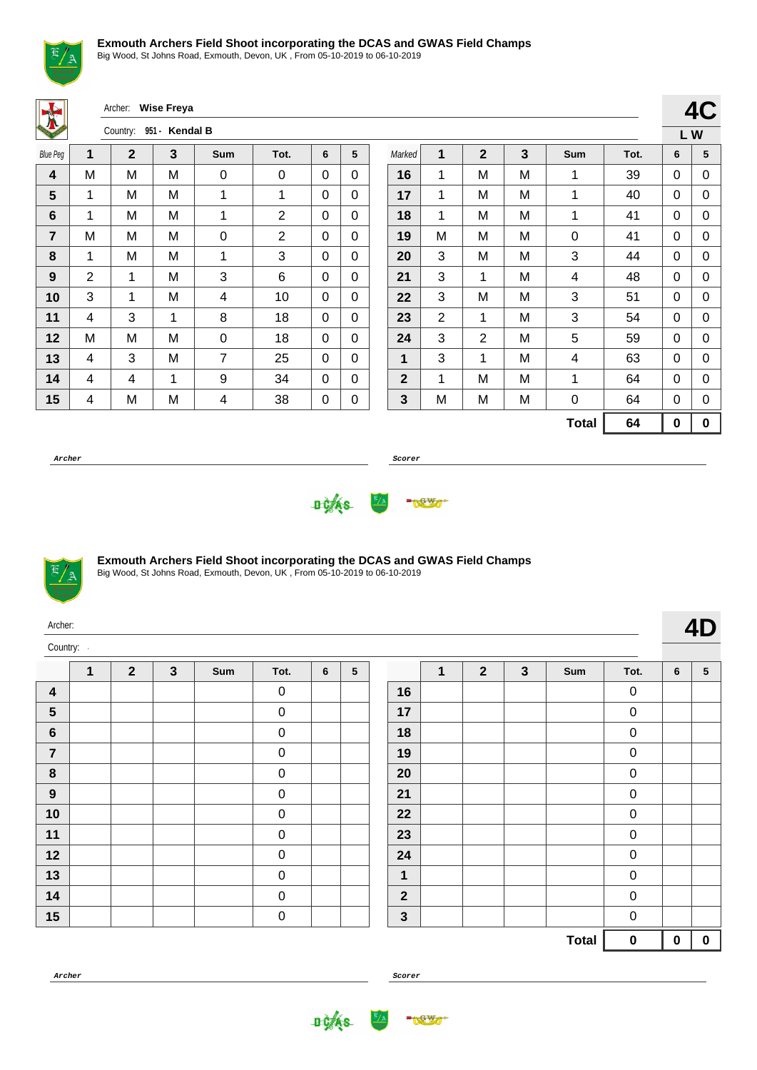

Big Wood, St Johns Road, Exmouth, Devon, UK , From 05-10-2019 to 06-10-2019

Archer: **Wise Freya**

| KEIDS           |                | Country:    | 951 - Kendal B |     |                |   |   |
|-----------------|----------------|-------------|----------------|-----|----------------|---|---|
| <b>Blue Peg</b> | 1              | $\mathbf 2$ | 3              | Sum | Tot.           | 6 | 5 |
| 4               | M              | M           | M              | 0   | 0              | 0 | 0 |
| 5               | 1              | Μ           | M              | 1   | 1              | 0 | 0 |
| 6               | 1              | Μ           | M              | 1   | $\overline{2}$ | 0 | 0 |
| 7               | M              | M           | M              | 0   | $\overline{2}$ | 0 | 0 |
| 8               | 1              | Μ           | M              | 1   | 3              | 0 | 0 |
| 9               | $\overline{2}$ | 1           | M              | 3   | 6              | 0 | 0 |
| 10              | 3              | 1           | M              | 4   | 10             | 0 | 0 |
| 11              | 4              | 3           | 1              | 8   | 18             | 0 | 0 |
| 12              | M              | M           | M              | 0   | 18             | 0 | 0 |
| 13              | 4              | 3           | M              | 7   | 25             | 0 | 0 |
| 14              | 4              | 4           | 1              | 9   | 34             | 0 | 0 |
| 15              | 4              | M           | M              | 4   | 38             | 0 | 0 |

|              |   |              |   |              |      | LW       |   |
|--------------|---|--------------|---|--------------|------|----------|---|
| Marked       | 1 | $\mathbf{2}$ | 3 | Sum          | Tot. | 6        | 5 |
| 16           | 1 | M            | M | 1            | 39   | 0        | 0 |
| 17           | 1 | M            | M | 1            | 40   | 0        | 0 |
| 18           | 1 | M            | M | 1            | 41   | 0        | 0 |
| 19           | M | M            | M | 0            | 41   | 0        | 0 |
| 20           | 3 | M            | M | 3            | 44   | 0        | 0 |
| 21           | 3 | 1            | M | 4            | 48   | 0        | 0 |
| 22           | 3 | M            | M | 3            | 51   | 0        | 0 |
| 23           | 2 | 1            | M | 3            | 54   | 0        | 0 |
| 24           | 3 | 2            | M | 5            | 59   | 0        | 0 |
| 1            | 3 | 1            | M | 4            | 63   | 0        | 0 |
| $\mathbf{2}$ | 1 | M            | M | 1            | 64   | 0        | 0 |
| 3            | M | M            | M | 0            | 64   | 0        | 0 |
|              |   |              |   | <b>Total</b> | 64   | $\bf{0}$ | 0 |

**4C**

**Archer Scorer**





Big Wood, St Johns Road, Exmouth, Devon, UK , From 05-10-2019 to 06-10-2019

| Archer:                 |   |                |              |     |                  |   |   |                |   |                |              |     |                  |   | 4D              |
|-------------------------|---|----------------|--------------|-----|------------------|---|---|----------------|---|----------------|--------------|-----|------------------|---|-----------------|
| Country:                |   |                |              |     |                  |   |   |                |   |                |              |     |                  |   |                 |
|                         | 1 | $\overline{2}$ | $\mathbf{3}$ | Sum | Tot.             | 6 | 5 |                | 1 | $\overline{2}$ | $\mathbf{3}$ | Sum | Tot.             | 6 | $5\phantom{.0}$ |
| $\overline{\mathbf{4}}$ |   |                |              |     | $\mathbf 0$      |   |   | 16             |   |                |              |     | $\pmb{0}$        |   |                 |
| 5                       |   |                |              |     | $\mathbf 0$      |   |   | 17             |   |                |              |     | $\boldsymbol{0}$ |   |                 |
| $6\phantom{1}$          |   |                |              |     | $\mathbf 0$      |   |   | 18             |   |                |              |     | $\pmb{0}$        |   |                 |
| $\overline{7}$          |   |                |              |     | $\mathbf 0$      |   |   | 19             |   |                |              |     | $\pmb{0}$        |   |                 |
| 8                       |   |                |              |     | $\boldsymbol{0}$ |   |   | 20             |   |                |              |     | $\boldsymbol{0}$ |   |                 |
| 9                       |   |                |              |     | $\mathbf 0$      |   |   | 21             |   |                |              |     | $\mathbf 0$      |   |                 |
| 10                      |   |                |              |     | $\boldsymbol{0}$ |   |   | 22             |   |                |              |     | $\boldsymbol{0}$ |   |                 |
| 11                      |   |                |              |     | $\boldsymbol{0}$ |   |   | 23             |   |                |              |     | $\mathsf 0$      |   |                 |
| 12                      |   |                |              |     | $\mathbf 0$      |   |   | 24             |   |                |              |     | $\mathbf 0$      |   |                 |
| 13                      |   |                |              |     | $\mathbf 0$      |   |   | 1              |   |                |              |     | $\pmb{0}$        |   |                 |
| 14                      |   |                |              |     | $\boldsymbol{0}$ |   |   | $\overline{2}$ |   |                |              |     | $\pmb{0}$        |   |                 |
|                         |   |                |              |     |                  |   |   |                |   |                |              |     |                  |   |                 |

**Archer Scorer**

0





0

**Total 0 0 0**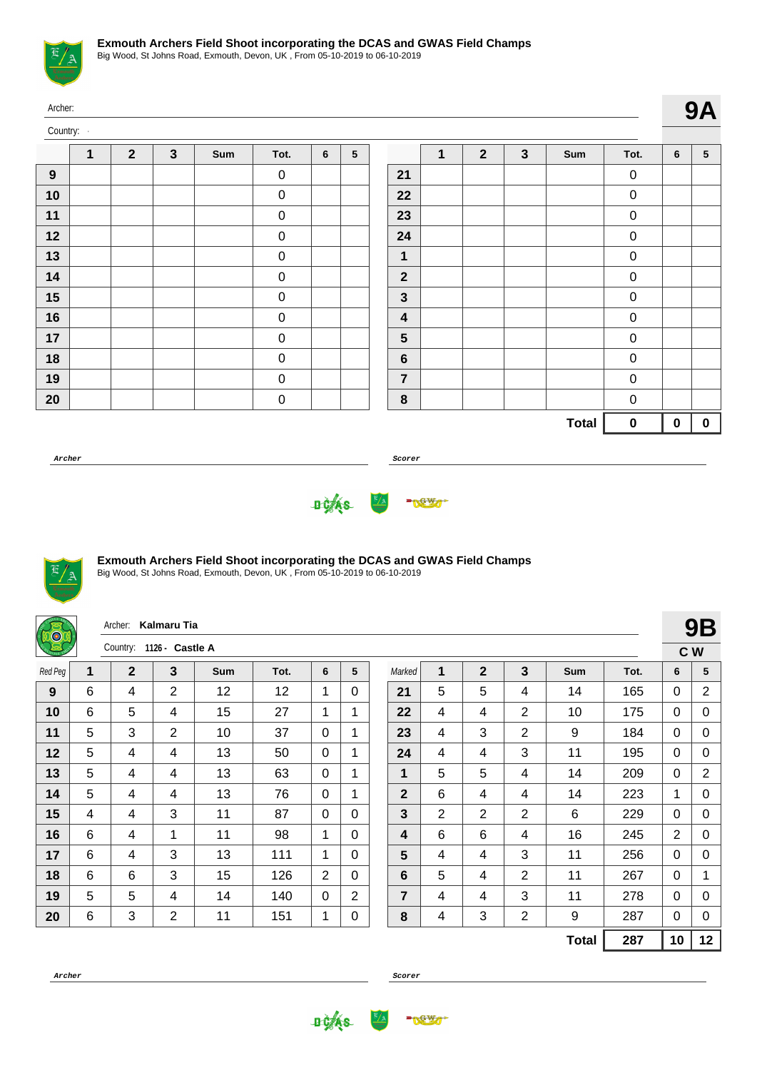

| Archer:  |   |              |              |     |           |   |                 |                  |              |              |              |              |                  |             | <b>9A</b>       |
|----------|---|--------------|--------------|-----|-----------|---|-----------------|------------------|--------------|--------------|--------------|--------------|------------------|-------------|-----------------|
| Country: |   |              |              |     |           |   |                 |                  |              |              |              |              |                  |             |                 |
|          | 1 | $\mathbf{2}$ | $\mathbf{3}$ | Sum | Tot.      | 6 | $5\phantom{.0}$ |                  | $\mathbf{1}$ | $\mathbf{2}$ | $\mathbf{3}$ | Sum          | Tot.             | 6           | $5\phantom{.0}$ |
| 9        |   |              |              |     | $\pmb{0}$ |   |                 | 21               |              |              |              |              | $\pmb{0}$        |             |                 |
| 10       |   |              |              |     | $\pmb{0}$ |   |                 | 22               |              |              |              |              | $\pmb{0}$        |             |                 |
| 11       |   |              |              |     | $\pmb{0}$ |   |                 | 23               |              |              |              |              | $\boldsymbol{0}$ |             |                 |
| 12       |   |              |              |     | $\pmb{0}$ |   |                 | 24               |              |              |              |              | $\boldsymbol{0}$ |             |                 |
| 13       |   |              |              |     | $\pmb{0}$ |   |                 | $\mathbf{1}$     |              |              |              |              | $\pmb{0}$        |             |                 |
| 14       |   |              |              |     | $\pmb{0}$ |   |                 | $\mathbf{2}$     |              |              |              |              | $\pmb{0}$        |             |                 |
| 15       |   |              |              |     | $\pmb{0}$ |   |                 | $\mathbf{3}$     |              |              |              |              | $\boldsymbol{0}$ |             |                 |
| 16       |   |              |              |     | $\pmb{0}$ |   |                 | $\boldsymbol{4}$ |              |              |              |              | $\pmb{0}$        |             |                 |
| 17       |   |              |              |     | $\pmb{0}$ |   |                 | $5\phantom{1}$   |              |              |              |              | $\pmb{0}$        |             |                 |
| 18       |   |              |              |     | $\pmb{0}$ |   |                 | $\bf 6$          |              |              |              |              | $\boldsymbol{0}$ |             |                 |
| 19       |   |              |              |     | $\pmb{0}$ |   |                 | $\overline{7}$   |              |              |              |              | $\boldsymbol{0}$ |             |                 |
| 20       |   |              |              |     | $\pmb{0}$ |   |                 | $\bf 8$          |              |              |              |              | $\pmb{0}$        |             |                 |
|          |   |              |              |     |           |   |                 |                  |              |              |              | <b>Total</b> | $\mathbf 0$      | $\mathbf 0$ | $\mathbf 0$     |

**Archer Scorer**





## **Exmouth Archers Field Shoot incorporating the DCAS and GWAS Field Champs**

| <b>DO</b> |   | Archer: Kalmaru Tia      |                |            |      |                |             |                |                |                |                |              |      |                | <b>9B</b>      |
|-----------|---|--------------------------|----------------|------------|------|----------------|-------------|----------------|----------------|----------------|----------------|--------------|------|----------------|----------------|
|           |   | Country: 1126 - Castle A |                |            |      |                |             |                |                |                |                |              |      | C W            |                |
| Red Peg   | 1 | $\mathbf{2}$             | 3              | <b>Sum</b> | Tot. | 6              | 5           | Marked         | 1              | $\overline{2}$ | 3              | Sum          | Tot. | 6              | 5              |
| 9         | 6 | 4                        | $\overline{2}$ | 12         | 12   | 1              | $\Omega$    | 21             | 5              | 5              | 4              | 14           | 165  | $\Omega$       | $\overline{2}$ |
| 10        | 6 | 5                        | 4              | 15         | 27   | 1              | 1           | 22             | 4              | 4              | 2              | 10           | 175  | 0              | 0              |
| 11        | 5 | 3                        | $\overline{2}$ | 10         | 37   | $\Omega$       | $\mathbf 1$ | 23             | 4              | 3              | $\overline{2}$ | 9            | 184  | 0              | 0              |
| 12        | 5 | 4                        | 4              | 13         | 50   | $\Omega$       | 1           | 24             | 4              | 4              | 3              | 11           | 195  | 0              | 0              |
| 13        | 5 | 4                        | 4              | 13         | 63   | $\mathbf{0}$   | 1           | 1              | 5              | 5              | 4              | 14           | 209  | 0              | $\overline{2}$ |
| 14        | 5 | 4                        | 4              | 13         | 76   | $\mathbf{0}$   | 1           | $\overline{2}$ | 6              | 4              | 4              | 14           | 223  | 1              | 0              |
| 15        | 4 | 4                        | 3              | 11         | 87   | $\Omega$       | $\Omega$    | 3              | $\overline{2}$ | $\overline{2}$ | 2              | 6            | 229  | $\mathbf 0$    | 0              |
| 16        | 6 | 4                        | 1              | 11         | 98   | 1              | $\Omega$    | 4              | 6              | 6              | 4              | 16           | 245  | $\overline{2}$ | 0              |
| 17        | 6 | 4                        | 3              | 13         | 111  | 1              | $\Omega$    | 5              | 4              | 4              | 3              | 11           | 256  | 0              | 0              |
| 18        | 6 | 6                        | 3              | 15         | 126  | $\overline{2}$ | $\Omega$    | 6              | 5              | 4              | $\overline{2}$ | 11           | 267  | 0              | 1              |
| 19        | 5 | 5                        | 4              | 14         | 140  | $\Omega$       | 2           | 7              | 4              | 4              | 3              | 11           | 278  | $\mathbf{0}$   | $\Omega$       |
| 20        | 6 | 3                        | $\overline{2}$ | 11         | 151  | 1              | 0           | 8              | 4              | 3              | $\overline{2}$ | 9            | 287  | 0              | 0              |
|           |   |                          |                |            |      |                |             |                |                |                |                | <b>Total</b> | 287  | 10             | 12             |



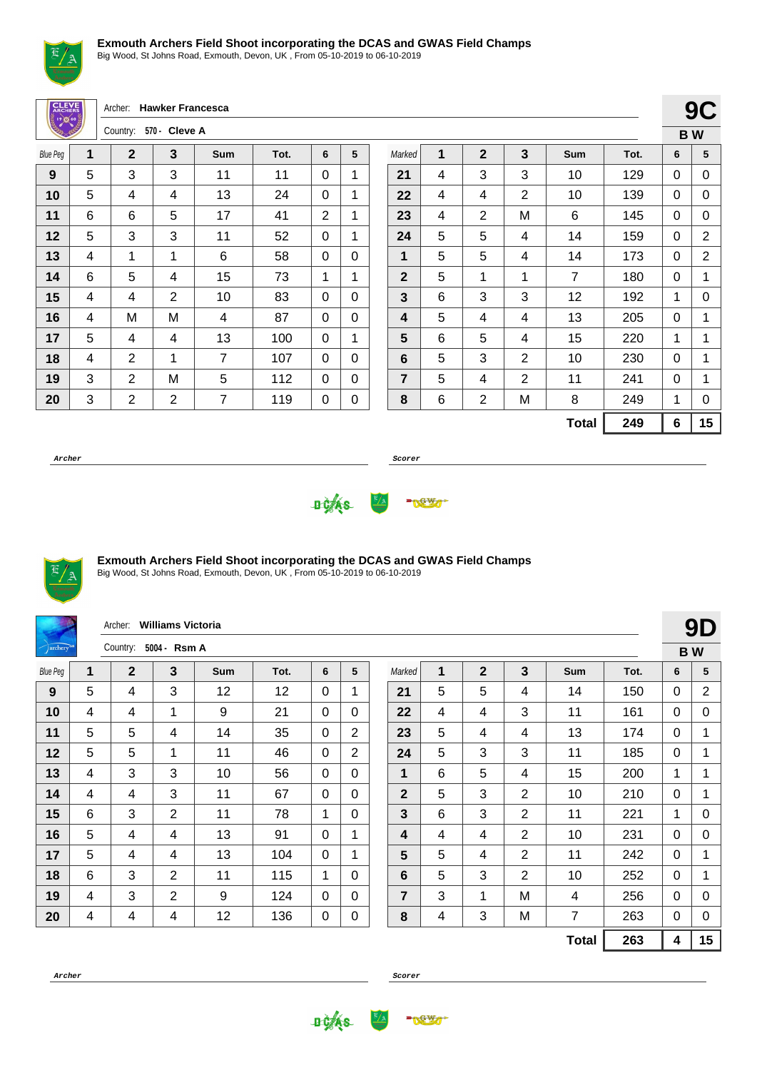

Big Wood, St Johns Road, Exmouth, Devon, UK , From 05-10-2019 to 06-10-2019

| <b>CLEVE</b>             |   | Archer:        | <b>Hawker Francesca</b> |            |      |          |          |                |   |                |                         |                |      |             | 90             |
|--------------------------|---|----------------|-------------------------|------------|------|----------|----------|----------------|---|----------------|-------------------------|----------------|------|-------------|----------------|
| ្វី <b>ខេត្ត</b><br>ភូមិ |   | Country:       | 570 - Cleve A           |            |      |          |          |                |   |                |                         |                |      |             | <b>BW</b>      |
| <b>Blue Peg</b>          | 1 | $\overline{2}$ | $\overline{3}$          | <b>Sum</b> | Tot. | 6        | 5        | Marked         | 1 | $\overline{2}$ | $\overline{\mathbf{3}}$ | <b>Sum</b>     | Tot. | 6           | 5              |
| 9                        | 5 | 3              | 3                       | 11         | 11   | $\Omega$ | 1        | 21             | 4 | 3              | 3                       | 10             | 129  | $\mathbf 0$ | C              |
| 10                       | 5 | 4              | $\overline{4}$          | 13         | 24   | $\Omega$ | 1        | 22             | 4 | $\overline{4}$ | $\overline{2}$          | 10             | 139  | $\mathbf 0$ | C              |
| 11                       | 6 | 6              | 5                       | 17         | 41   | 2        | 1        | 23             | 4 | $\overline{2}$ | M                       | 6              | 145  | $\mathbf 0$ | C              |
| 12                       | 5 | 3              | 3                       | 11         | 52   | $\Omega$ | 1        | 24             | 5 | 5              | 4                       | 14             | 159  | $\mathbf 0$ | $\overline{c}$ |
| 13                       | 4 | 1              | 1                       | 6          | 58   | $\Omega$ | $\Omega$ | 1              | 5 | 5              | 4                       | 14             | 173  | $\mathbf 0$ | $\overline{c}$ |
| 14                       | 6 | 5              | $\overline{4}$          | 15         | 73   | 1        | 1        | $\mathbf{2}$   | 5 | 1              | 1                       | $\overline{7}$ | 180  | $\mathbf 0$ | 1              |
| 15                       | 4 | 4              | $\overline{2}$          | 10         | 83   | $\Omega$ | $\Omega$ | 3              | 6 | 3              | 3                       | 12             | 192  | 1           | C              |
| 16                       | 4 | M              | M                       | 4          | 87   | $\Omega$ | $\Omega$ | 4              | 5 | 4              | 4                       | 13             | 205  | $\mathbf 0$ | 1              |
| 17                       | 5 | 4              | $\overline{4}$          | 13         | 100  | $\Omega$ | 1        | 5              | 6 | 5              | 4                       | 15             | 220  | 1           | 1              |
| 18                       | 4 | $\overline{2}$ | 1                       | 7          | 107  | $\Omega$ | $\Omega$ | 6              | 5 | 3              | $\overline{2}$          | 10             | 230  | $\Omega$    | 1              |
| 19                       | 3 | 2              | M                       | 5          | 112  | $\Omega$ | $\Omega$ | $\overline{7}$ | 5 | 4              | $\overline{2}$          | 11             | 241  | $\Omega$    | 1              |
| 20                       | 3 | $\overline{2}$ | $\overline{2}$          | 7          | 119  | 0        | 0        | 8              | 6 | $\overline{2}$ | Μ                       | 8              | 249  | 1           | C              |
|                          |   |                |                         |            |      |          |          |                |   |                |                         | <b>Total</b>   | 249  | 6           | 1 <sub>1</sub> |
| Archer                   |   |                |                         |            |      |          |          | Scorer         |   |                |                         |                |      |             |                |

**9C B W**

**Total 249 6 15**





### **Exmouth Archers Field Shoot incorporating the DCAS and GWAS Field Champs**

Big Wood, St Johns Road, Exmouth, Devon, UK , From 05-10-2019 to 06-10-2019

|                    |             | Archer:      | <b>Williams Victoria</b> |     |      |          |                |             |              |                |                |              |      |              | 9D             |
|--------------------|-------------|--------------|--------------------------|-----|------|----------|----------------|-------------|--------------|----------------|----------------|--------------|------|--------------|----------------|
| $\sqrt{archery^2}$ |             | Country:     | 5004 - Rsm A             |     |      |          |                |             |              |                |                |              |      |              | <b>BW</b>      |
| <b>Blue Peg</b>    | $\mathbf 1$ | $\mathbf{2}$ | 3                        | Sum | Tot. | 6        | 5              | Marked      | 1            | $\mathbf{2}$   | 3              | Sum          | Tot. | 6            | 5              |
| 9                  | 5           | 4            | 3                        | 12  | 12   | $\Omega$ | 1              | 21          | 5            | 5              | 4              | 14           | 150  | 0            | $\overline{c}$ |
| 10                 | 4           | 4            | 1                        | 9   | 21   | $\Omega$ | $\mathbf{0}$   | 22          | 4            | $\overline{4}$ | 3              | 11           | 161  | $\mathbf{0}$ | 0              |
| 11                 | 5           | 5            | 4                        | 14  | 35   | $\Omega$ | $\overline{2}$ | 23          | 5            | 4              | 4              | 13           | 174  | 0            | 1              |
| 12                 | 5           | 5            | 1                        | 11  | 46   | $\Omega$ | $\overline{2}$ | 24          | 5            | 3              | 3              | 11           | 185  | 0            | 1              |
| 13                 | 4           | 3            | 3                        | 10  | 56   | $\Omega$ | 0              | 1           | 6            | 5              | 4              | 15           | 200  | $\mathbf{1}$ | 1              |
| 14                 | 4           | 4            | 3                        | 11  | 67   | $\Omega$ | 0              | $\mathbf 2$ | 5            | 3              | $\overline{2}$ | 10           | 210  | 0            | 1              |
| 15                 | 6           | 3            | $\overline{2}$           | 11  | 78   | 1        | $\Omega$       | 3           | 6            | 3              | 2              | 11           | 221  | $\mathbf 1$  | 0              |
| 16                 | 5           | 4            | 4                        | 13  | 91   | 0        | 1              | 4           | 4            | 4              | $\overline{2}$ | 10           | 231  | 0            | 0              |
| 17                 | 5           | 4            | 4                        | 13  | 104  | $\Omega$ | 1              | 5           | 5            | 4              | $\overline{2}$ | 11           | 242  | 0            | 1              |
| 18                 | 6           | 3            | $\overline{2}$           | 11  | 115  | 1        | $\Omega$       | 6           | 5            | 3              | $\overline{2}$ | 10           | 252  | 0            | 1              |
| 19                 | 4           | 3            | $\overline{2}$           | 9   | 124  | $\Omega$ | $\Omega$       | 7           | $\mathbf{3}$ | $\mathbf{1}$   | M              | 4            | 256  | $\mathbf{0}$ | 0              |
| 20                 | 4           | 4            | 4                        | 12  | 136  | 0        | 0              | 8           | 4            | 3              | M              | 7            | 263  | 0            | 0              |
|                    |             |              |                          |     |      |          |                |             |              |                |                | <b>Total</b> | 263  | 4            | 15             |



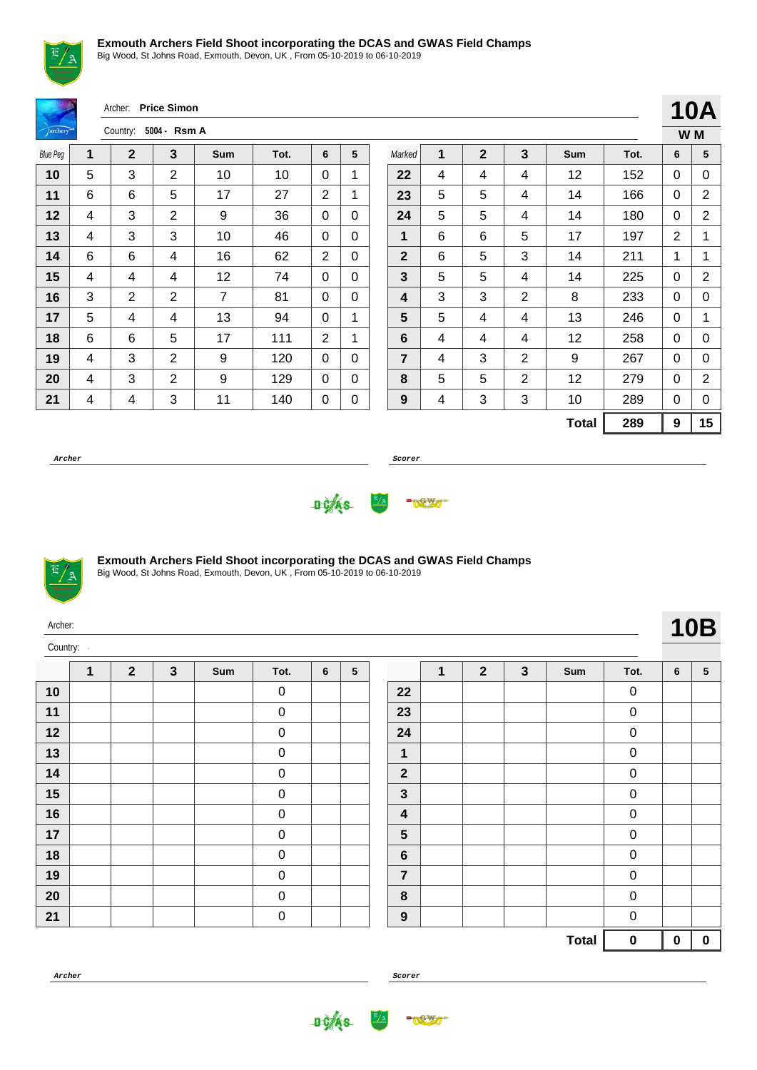

Big Wood, St Johns Road, Exmouth, Devon, UK , From 05-10-2019 to 06-10-2019

|                      |   | Archer:        | <b>Price Simon</b> |            |      |                |              |                  |   |              |                |              |      |                  | <b>10A</b>     |
|----------------------|---|----------------|--------------------|------------|------|----------------|--------------|------------------|---|--------------|----------------|--------------|------|------------------|----------------|
| archery <sup>®</sup> |   | Country:       | 5004 - Rsm A       |            |      |                |              |                  |   |              |                |              |      |                  | W M            |
| <b>Blue Peg</b>      | 1 | $\mathbf{2}$   | 3                  | <b>Sum</b> | Tot. | 6              | 5            | Marked           | 1 | $\mathbf{2}$ | $\mathbf{3}$   | Sum          | Tot. | 6                | 5              |
| 10                   | 5 | 3              | $\overline{2}$     | 10         | 10   | 0              | $\mathbf{1}$ | 22               | 4 | 4            | 4              | 12           | 152  | 0                | 0              |
| 11                   | 6 | 6              | 5                  | 17         | 27   | $\overline{2}$ | 1            | 23               | 5 | 5            | 4              | 14           | 166  | 0                | $\overline{2}$ |
| 12                   | 4 | 3              | $\overline{2}$     | 9          | 36   | $\Omega$       | $\Omega$     | 24               | 5 | 5            | 4              | 14           | 180  | 0                | $\overline{2}$ |
| 13                   | 4 | 3              | 3                  | 10         | 46   | $\mathbf 0$    | $\Omega$     | 1                | 6 | 6            | 5              | 17           | 197  | $\overline{2}$   | 1              |
| 14                   | 6 | 6              | 4                  | 16         | 62   | $\overline{2}$ | $\Omega$     | $\mathbf{2}$     | 6 | 5            | 3              | 14           | 211  | 1                | 1              |
| 15                   | 4 | 4              | 4                  | 12         | 74   | $\Omega$       | $\Omega$     | 3                | 5 | 5            | 4              | 14           | 225  | $\mathbf 0$      | $\overline{2}$ |
| 16                   | 3 | $\overline{2}$ | $\overline{2}$     | 7          | 81   | $\Omega$       | $\Omega$     | 4                | 3 | 3            | $\overline{2}$ | 8            | 233  | 0                | 0              |
| 17                   | 5 | $\overline{4}$ | 4                  | 13         | 94   | 0              | 1            | 5                | 5 | 4            | 4              | 13           | 246  | $\mathbf 0$      | 1              |
| 18                   | 6 | 6              | 5                  | 17         | 111  | 2              | 1            | 6                | 4 | 4            | 4              | 12           | 258  | 0                | 0              |
| 19                   | 4 | 3              | $\overline{2}$     | 9          | 120  | $\mathbf 0$    | $\Omega$     | $\overline{7}$   | 4 | 3            | $\overline{2}$ | 9            | 267  | $\mathbf{0}$     | 0              |
| 20                   | 4 | 3              | $\overline{2}$     | 9          | 129  | $\mathbf 0$    | $\Omega$     | 8                | 5 | 5            | $\overline{2}$ | 12           | 279  | $\mathbf 0$      | $\overline{2}$ |
| 21                   | 4 | 4              | 3                  | 11         | 140  | 0              | 0            | $\boldsymbol{9}$ | 4 | 3            | 3              | 10           | 289  | 0                | 0              |
|                      |   |                |                    |            |      |                |              |                  |   |              |                | <b>Total</b> | 289  | $\boldsymbol{9}$ | 15             |

**Archer Scorer**





#### **Exmouth Archers Field Shoot incorporating the DCAS and GWAS Field Champs**

Big Wood, St Johns Road, Exmouth, Devon, UK , From 05-10-2019 to 06-10-2019

| Archer:<br>Country: |              |              |              |     |                  |                |   |                         |              |                |              |              |                  |             | <b>10B</b>      |  |
|---------------------|--------------|--------------|--------------|-----|------------------|----------------|---|-------------------------|--------------|----------------|--------------|--------------|------------------|-------------|-----------------|--|
|                     | $\mathbf{1}$ | $\mathbf{2}$ | $\mathbf{3}$ | Sum | Tot.             | $6\phantom{1}$ | 5 |                         | $\mathbf{1}$ | $\overline{2}$ | $\mathbf{3}$ | Sum          | Tot.             | 6           | $5\phantom{.0}$ |  |
| 10                  |              |              |              |     | $\mathbf 0$      |                |   | 22                      |              |                |              |              | $\mathsf 0$      |             |                 |  |
| 11                  |              |              |              |     | $\mathbf 0$      |                |   | 23                      |              |                |              |              | $\pmb{0}$        |             |                 |  |
| 12                  |              |              |              |     | $\mathbf 0$      |                |   | 24                      |              |                |              |              | $\pmb{0}$        |             |                 |  |
| 13                  |              |              |              |     | $\mathbf 0$      |                |   | $\mathbf 1$             |              |                |              |              | 0                |             |                 |  |
| 14                  |              |              |              |     | $\mathbf 0$      |                |   | $\overline{\mathbf{2}}$ |              |                |              |              | $\pmb{0}$        |             |                 |  |
| 15                  |              |              |              |     | $\boldsymbol{0}$ |                |   | $\mathbf{3}$            |              |                |              |              | $\pmb{0}$        |             |                 |  |
| 16                  |              |              |              |     | $\mathbf 0$      |                |   | 4                       |              |                |              |              | 0                |             |                 |  |
| 17                  |              |              |              |     | $\mathbf 0$      |                |   | $5\phantom{1}$          |              |                |              |              | $\pmb{0}$        |             |                 |  |
| 18                  |              |              |              |     | $\mathbf 0$      |                |   | $6\phantom{1}$          |              |                |              |              | $\pmb{0}$        |             |                 |  |
| 19                  |              |              |              |     | $\overline{0}$   |                |   | $\overline{7}$          |              |                |              |              | 0                |             |                 |  |
| 20                  |              |              |              |     | $\pmb{0}$        |                |   | $\pmb{8}$               |              |                |              |              | $\boldsymbol{0}$ |             |                 |  |
| 21                  |              |              |              |     | $\pmb{0}$        |                |   | $\boldsymbol{9}$        |              |                |              |              | $\pmb{0}$        |             |                 |  |
|                     |              |              |              |     |                  |                |   |                         |              |                |              | <b>Total</b> | $\mathbf 0$      | $\mathbf 0$ | $\mathbf 0$     |  |

| Tot. | 6 | 5 |
|------|---|---|
| O    |   |   |
|      |   |   |

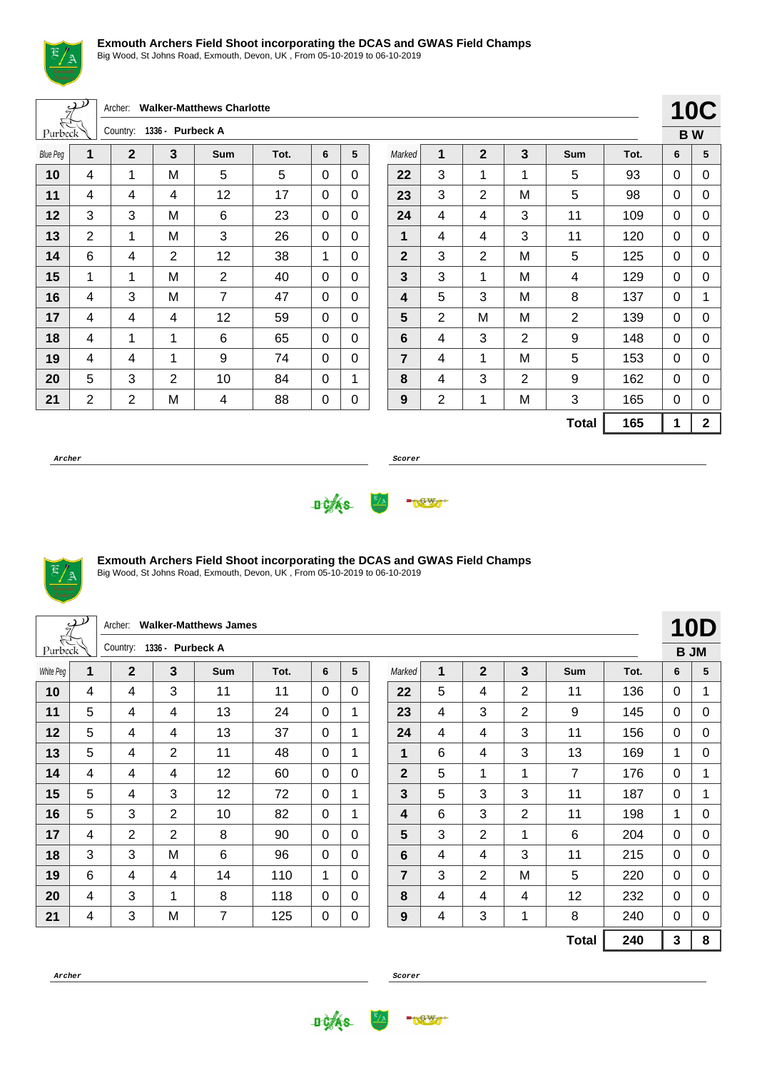

Big Wood, St Johns Road, Exmouth, Devon, UK , From 05-10-2019 to 06-10-2019

Archer: **Walker-Matthews Charlotte**

| Purbeck         |                | Country:       | 1336 - Purbeck A |                |      |   |   |
|-----------------|----------------|----------------|------------------|----------------|------|---|---|
| <b>Blue Peg</b> | 1              | $\mathbf 2$    | 3                | Sum            | Tot. | 6 | 5 |
| 10              | 4              | 1              | M                | 5              | 5    | 0 | 0 |
| 11              | 4              | 4              | 4                | 12             | 17   | 0 | 0 |
| 12              | 3              | 3              | M                | 6              | 23   | 0 | 0 |
| 13              | 2              | 1              | M                | 3              | 26   | 0 | 0 |
| 14              | 6              | 4              | $\overline{2}$   | 12             | 38   | 1 | 0 |
| 15              | 1              | 1              | M                | $\overline{2}$ | 40   | 0 | 0 |
| 16              | 4              | 3              | M                | 7              | 47   | 0 | 0 |
| 17              | 4              | 4              | 4                | 12             | 59   | 0 | 0 |
| 18              | 4              | 1              | 1                | 6              | 65   | 0 | 0 |
| 19              | 4              | 4              | $\mathbf{1}$     | 9              | 74   | 0 | 0 |
| 20              | 5              | 3              | 2                | 10             | 84   | 0 | 1 |
| 21              | $\overline{2}$ | $\overline{2}$ | M                | 4              | 88   | 0 | 0 |

|                  |                |                |                |                |      |    | <b>10C</b> |
|------------------|----------------|----------------|----------------|----------------|------|----|------------|
|                  |                |                |                |                |      | BW |            |
| Marked           | 1              | $\overline{2}$ | 3              | Sum            | Tot. | 6  | 5          |
| 22               | 3              | 1              | 1              | 5              | 93   | 0  | 0          |
| 23               | 3              | $\overline{2}$ | M              | 5              | 98   | 0  | 0          |
| 24               | 4              | 4              | 3              | 11             | 109  | 0  | 0          |
| 1                | 4              | 4              | 3              | 11             | 120  | 0  | 0          |
| $\mathbf{2}$     | 3              | $\overline{2}$ | M              | 5              | 125  | 0  | 0          |
| 3                | 3              | 1              | M              | 4              | 129  | 0  | 0          |
| 4                | 5              | 3              | M              | 8              | 137  | 0  | 1          |
| 5                | $\overline{2}$ | M              | M              | $\overline{2}$ | 139  | 0  | 0          |
| $6\phantom{1}6$  | 4              | 3              | 2              | 9              | 148  | 0  | 0          |
| $\overline{7}$   | 4              | 1              | M              | 5              | 153  | 0  | 0          |
| 8                | 4              | 3              | $\overline{2}$ | 9              | 162  | 0  | 0          |
| $\boldsymbol{9}$ | $\overline{2}$ | 1              | M              | 3              | 165  | 0  | 0          |
|                  |                |                |                | <b>Total</b>   | 165  | 1  | 2          |

**Archer Scorer**





### **Exmouth Archers Field Shoot incorporating the DCAS and GWAS Field Champs**

Big Wood, St Johns Road, Exmouth, Devon, UK , From 05-10-2019 to 06-10-2019

|           | $\mathcal{P}$ | Archer:        |                  | <b>Walker-Matthews James</b> |      |              |                      |             |   |                |                |                |      |              | 10D         |  |
|-----------|---------------|----------------|------------------|------------------------------|------|--------------|----------------------|-------------|---|----------------|----------------|----------------|------|--------------|-------------|--|
| Purbeck   |               | Country:       | 1336 - Purbeck A |                              |      |              |                      |             |   |                |                |                |      |              | <b>BJM</b>  |  |
| White Peg | $\mathbf{1}$  | $\mathbf 2$    | 3                | <b>Sum</b>                   | Tot. | 6            | 5                    | Marked      | 1 | $\overline{2}$ | 3              | Sum            | Tot. | 6            | 5           |  |
| 10        | 4             | 4              | 3                | 11                           | 11   | 0            | 0                    | 22          | 5 | 4              | 2              | 11             | 136  | $\mathbf{0}$ | 1           |  |
| 11        | 5             | 4              | 4                | 13                           | 24   | $\Omega$     | 1                    | 23          | 4 | 3              | $\overline{2}$ | 9              | 145  | $\mathbf{0}$ | $\mathbf 0$ |  |
| 12        | 5             | 4              | 4                | 13                           | 37   | 0            | $\mathbf 1$          | 24          | 4 | 4              | 3              | 11             | 156  | $\mathbf{0}$ | 0           |  |
| 13        | 5             | 4              | $\overline{2}$   | 11                           | 48   | 0            | $\blacktriangleleft$ | 1           | 6 | $\overline{4}$ | 3              | 13             | 169  | 1            | 0           |  |
| 14        | 4             | 4              | 4                | 12                           | 60   | $\Omega$     | $\mathbf{0}$         | $\mathbf 2$ | 5 | 1              | 1              | $\overline{7}$ | 176  | $\mathbf{0}$ | 1           |  |
| 15        | 5             | 4              | 3                | 12                           | 72   | $\mathbf{0}$ | $\mathbf{1}$         | 3           | 5 | 3              | 3              | 11             | 187  | $\mathbf{0}$ | 1           |  |
| 16        | 5             | 3              | 2                | 10                           | 82   | 0            |                      | 4           | 6 | 3              | 2              | 11             | 198  | $\mathbf{1}$ | 0           |  |
| 17        | 4             | $\overline{2}$ | $\overline{2}$   | 8                            | 90   | 0            | $\Omega$             | 5           | 3 | $\overline{2}$ | 1              | 6              | 204  | $\mathbf{0}$ | 0           |  |
| 18        | 3             | 3              | M                | 6                            | 96   | 0            | $\mathbf{0}$         | 6           | 4 | 4              | 3              | 11             | 215  | $\mathbf{0}$ | 0           |  |
| 19        | 6             | 4              | 4                | 14                           | 110  | 1            | $\Omega$             | 7           | 3 | $\overline{2}$ | M              | 5              | 220  | $\Omega$     | 0           |  |
| 20        | 4             | 3              |                  | 8                            | 118  | 0            | $\Omega$             | 8           | 4 | 4              | 4              | 12             | 232  | $\mathbf{0}$ | 0           |  |
| 21        | 4             | 3              | M                | 7                            | 125  | 0            | 0                    | 9           | 4 | 3              | 1              | 8              | 240  | $\Omega$     | $\pmb{0}$   |  |
|           |               |                |                  |                              |      |              |                      |             |   |                |                | <b>Total</b>   | 240  | $\mathbf{3}$ | 8           |  |



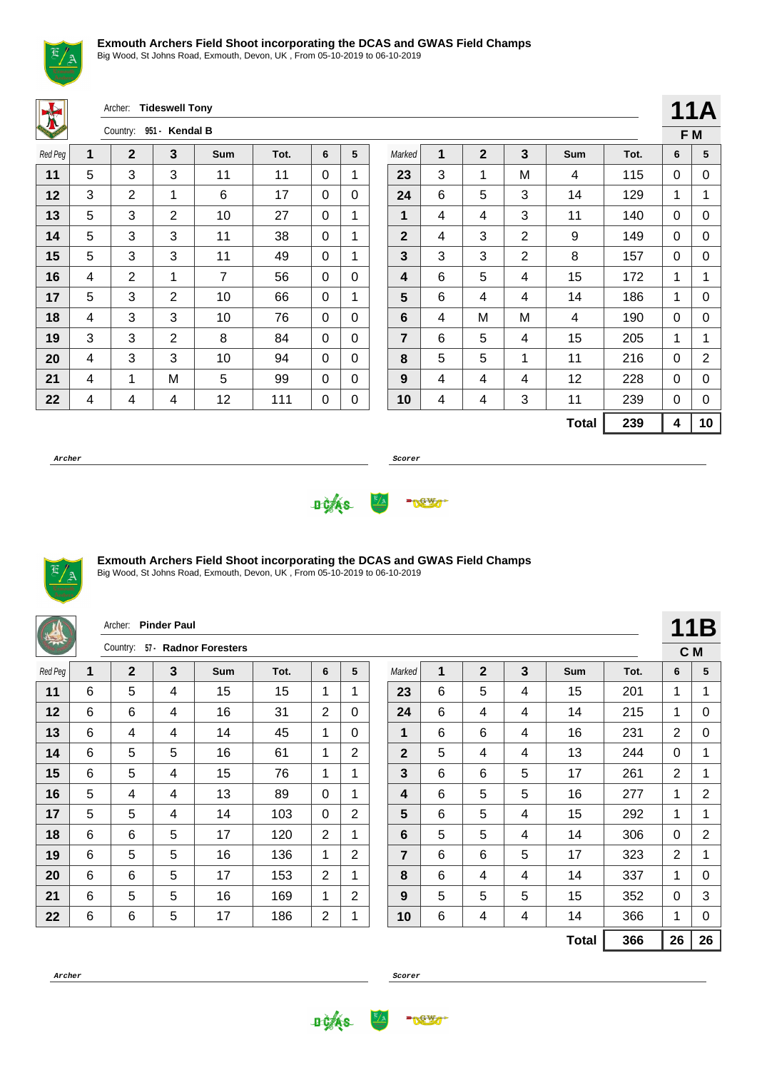

Big Wood, St Johns Road, Exmouth, Devon, UK , From 05-10-2019 to 06-10-2019

Archer: **Tideswell Tony**

| <b>SALE</b> |   | Country:       | $951 -$<br>Kendal B |            |      |   |   |
|-------------|---|----------------|---------------------|------------|------|---|---|
| Red Peg     | 1 | $\mathbf 2$    | 3                   | <b>Sum</b> | Tot. | 6 | 5 |
| 11          | 5 | 3              | 3                   | 11         | 11   | 0 | 1 |
| 12          | 3 | $\overline{2}$ | 1                   | 6          | 17   | 0 | 0 |
| 13          | 5 | 3              | 2                   | 10         | 27   | 0 | 1 |
| 14          | 5 | 3              | 3                   | 11         | 38   | 0 | 1 |
| 15          | 5 | 3              | 3                   | 11         | 49   | 0 | 1 |
| 16          | 4 | 2              | 1                   | 7          | 56   | 0 | 0 |
| 17          | 5 | 3              | 2                   | 10         | 66   | 0 | 1 |
| 18          | 4 | 3              | 3                   | 10         | 76   | 0 | 0 |
| 19          | 3 | 3              | $\overline{2}$      | 8          | 84   | 0 | 0 |
| 20          | 4 | 3              | 3                   | 10         | 94   | 0 | 0 |
| 21          | 4 | 1              | M                   | 5          | 99   | 0 | 0 |
| 22          | 4 | 4              | 4                   | 12         | 111  | 0 | 0 |

|                |   |              |                |              |      |   | 11A |
|----------------|---|--------------|----------------|--------------|------|---|-----|
|                |   |              |                |              |      |   | F M |
| Marked         | 1 | $\mathbf{2}$ | 3              | <b>Sum</b>   | Tot. | 6 | 5   |
| 23             | 3 | 1            | M              | 4            | 115  | 0 | 0   |
| 24             | 6 | 5            | 3              | 14           | 129  | 1 | 1   |
| 1              | 4 | 4            | 3              | 11           | 140  | 0 | 0   |
| $\overline{2}$ | 4 | 3            | $\overline{2}$ | 9            | 149  | 0 | 0   |
| 3              | 3 | 3            | $\overline{2}$ | 8            | 157  | 0 | 0   |
| 4              | 6 | 5            | 4              | 15           | 172  | 1 | 1   |
| 5              | 6 | 4            | 4              | 14           | 186  | 1 | 0   |
| 6              | 4 | M            | M              | 4            | 190  | 0 | 0   |
| $\overline{7}$ | 6 | 5            | 4              | 15           | 205  | 1 | 1   |
| 8              | 5 | 5            | 1              | 11           | 216  | 0 | 2   |
| 9              | 4 | 4            | 4              | 12           | 228  | 0 | 0   |
| 10             | 4 | 4            | 3              | 11           | 239  | 0 | 0   |
|                |   |              |                | <b>Total</b> | 239  | 4 | 10  |

**Archer Scorer**





# **Exmouth Archers Field Shoot incorporating the DCAS and GWAS Field Champs**

|         |   | Archer: Pinder Paul |   |                       |      |                |                |             |   |              |   |              |      |                | 11B            |
|---------|---|---------------------|---|-----------------------|------|----------------|----------------|-------------|---|--------------|---|--------------|------|----------------|----------------|
|         |   | Country:            |   | 57 · Radnor Foresters |      |                |                |             |   |              |   |              |      | C M            |                |
| Red Peg | 1 | $\mathbf 2$         | 3 | <b>Sum</b>            | Tot. | 6              | 5              | Marked      | 1 | $\mathbf{2}$ | 3 | <b>Sum</b>   | Tot. | 6              | 5              |
| 11      | 6 | 5                   | 4 | 15                    | 15   | 1              | 1              | 23          | 6 | 5            | 4 | 15           | 201  | 1              | 1              |
| 12      | 6 | 6                   | 4 | 16                    | 31   | 2              | $\mathbf{0}$   | 24          | 6 | 4            | 4 | 14           | 215  | 1              | 0              |
| 13      | 6 | 4                   | 4 | 14                    | 45   | 1              | $\mathbf{0}$   | 1           | 6 | 6            | 4 | 16           | 231  | $\overline{2}$ | 0              |
| 14      | 6 | 5                   | 5 | 16                    | 61   | 1              | $\overline{2}$ | $\mathbf 2$ | 5 | 4            | 4 | 13           | 244  | 0              | 1              |
| 15      | 6 | 5                   | 4 | 15                    | 76   | 1              | 1              | 3           | 6 | 6            | 5 | 17           | 261  | $\overline{2}$ | 1              |
| 16      | 5 | 4                   | 4 | 13                    | 89   | $\Omega$       | 1              | 4           | 6 | 5            | 5 | 16           | 277  | 1              | $\overline{2}$ |
| 17      | 5 | 5                   | 4 | 14                    | 103  | 0              | $\overline{2}$ | 5           | 6 | 5            | 4 | 15           | 292  | $\mathbf{1}$   | 1              |
| 18      | 6 | 6                   | 5 | 17                    | 120  | $\overline{2}$ | 1              | 6           | 5 | 5            | 4 | 14           | 306  | 0              | $\overline{2}$ |
| 19      | 6 | 5                   | 5 | 16                    | 136  | 1              | $\overline{2}$ | 7           | 6 | 6            | 5 | 17           | 323  | $\overline{2}$ | 1              |
| 20      | 6 | 6                   | 5 | 17                    | 153  | $\overline{2}$ | 1              | 8           | 6 | 4            | 4 | 14           | 337  | 1              | 0              |
| 21      | 6 | 5                   | 5 | 16                    | 169  | 1              | 2              | 9           | 5 | 5            | 5 | 15           | 352  | $\mathbf{0}$   | 3              |
| 22      | 6 | 6                   | 5 | 17                    | 186  | $\overline{2}$ | 1              | 10          | 6 | 4            | 4 | 14           | 366  | $\mathbf 1$    | 0              |
|         |   |                     |   |                       |      |                |                |             |   |              |   | <b>Total</b> | 366  | 26             | 26             |

**Archer Scorer**



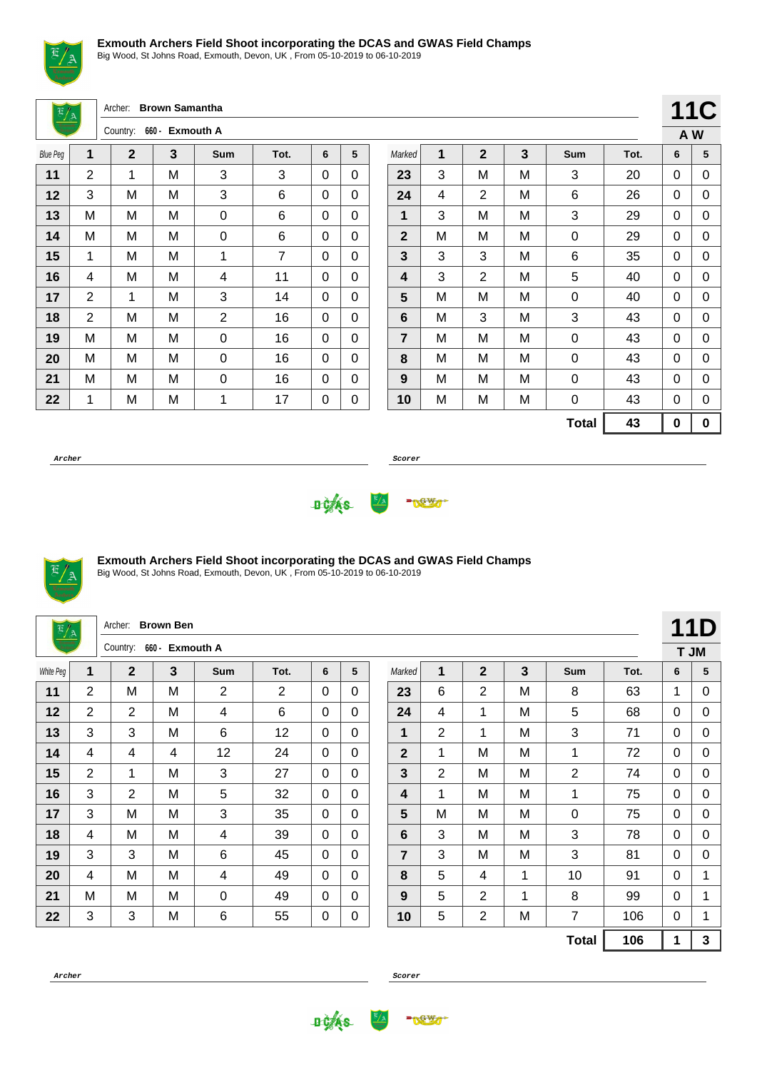

Big Wood, St Johns Road, Exmouth, Devon, UK , From 05-10-2019 to 06-10-2019

Archer: **Brown Samantha**

| --              |                | Country:     | 660 - Exmouth A |            |      |   |   |
|-----------------|----------------|--------------|-----------------|------------|------|---|---|
| <b>Blue Peg</b> | 1              | $\mathbf{2}$ | 3               | <b>Sum</b> | Tot. | 6 | 5 |
| 11              | 2              | 1            | M               | 3          | 3    | 0 | 0 |
| 12              | 3              | M            | М               | 3          | 6    | 0 | 0 |
| 13              | M              | М            | M               | 0          | 6    | 0 | 0 |
| 14              | M              | M            | M               | 0          | 6    | 0 | 0 |
| 15              | 1              | M            | M               | 1          | 7    | 0 | 0 |
| 16              | 4              | М            | M               | 4          | 11   | 0 | 0 |
| 17              | 2              | 1            | M               | 3          | 14   | 0 | 0 |
| 18              | $\overline{2}$ | M            | M               | 2          | 16   | 0 | 0 |
| 19              | M              | M            | M               | 0          | 16   | 0 | 0 |
| 20              | M              | M            | M               | 0          | 16   | 0 | 0 |
| 21              | M              | M            | M               | 0          | 16   | 0 | 0 |
| 22              | 1              | M            | M               | 1          | 17   | 0 | 0 |

|                |   |                |   |              |      |     | <b>11C</b> |
|----------------|---|----------------|---|--------------|------|-----|------------|
|                |   |                |   |              |      | A W |            |
| Marked         | 1 | $\overline{2}$ | 3 | Sum          | Tot. | 6   | 5          |
| 23             | 3 | M              | M | 3            | 20   | 0   | 0          |
| 24             | 4 | $\overline{2}$ | M | 6            | 26   | 0   | 0          |
| 1              | 3 | M              | M | 3            | 29   | 0   | 0          |
| $\mathbf{2}$   | M | M              | M | 0            | 29   | 0   | 0          |
| 3              | 3 | 3              | M | 6            | 35   | 0   | 0          |
| 4              | 3 | $\overline{2}$ | M | 5            | 40   | 0   | 0          |
| 5              | М | M              | M | 0            | 40   | 0   | 0          |
| 6              | М | 3              | М | 3            | 43   | 0   | 0          |
| $\overline{7}$ | M | M              | M | 0            | 43   | 0   | 0          |
| 8              | М | M              | M | 0            | 43   | 0   | 0          |
| 9              | М | M              | M | 0            | 43   | 0   | 0          |
| 10             | M | M              | M | 0            | 43   | 0   | 0          |
|                |   |                |   | <b>Total</b> | 43   | 0   | 0          |

**Archer Scorer**





### **Exmouth Archers Field Shoot incorporating the DCAS and GWAS Field Champs**

Big Wood, St Johns Road, Exmouth, Devon, UK , From 05-10-2019 to 06-10-2019

| $\frac{E/A}{2}$ |                | Archer:        | <b>Brown Ben</b> |            |      |              |              |                |                |                |   |              |      |              | <b>11D</b> |
|-----------------|----------------|----------------|------------------|------------|------|--------------|--------------|----------------|----------------|----------------|---|--------------|------|--------------|------------|
|                 |                | Country:       | 660 - Exmouth A  |            |      |              |              |                |                |                |   |              |      |              | T JM       |
| White Peg       | 1              | $\mathbf 2$    | 3                | <b>Sum</b> | Tot. | 6            | 5            | Marked         | 1              | $\mathbf{2}$   | 3 | Sum          | Tot. | 6            | 5          |
| 11              | 2              | M              | M                | 2          | 2    | 0            | 0            | 23             | 6              | $\overline{2}$ | M | 8            | 63   | $\mathbf 1$  | 0          |
| 12              | $\overline{2}$ | $\overline{2}$ | M                | 4          | 6    | $\mathbf{0}$ | $\mathbf{0}$ | 24             | 4              | 1              | M | 5            | 68   | $\mathbf{0}$ | 0          |
| 13              | 3              | 3              | M                | 6          | 12   | 0            | $\Omega$     | 1              | $\overline{2}$ | 1              | M | 3            | 71   | $\mathbf{0}$ | 0          |
| 14              | 4              | 4              | 4                | 12         | 24   | 0            | $\Omega$     | $\mathbf 2$    | 1              | M              | M | 1            | 72   | $\mathbf{0}$ | 0          |
| 15              | 2              | 1              | м                | 3          | 27   | $\Omega$     | $\mathbf{0}$ | 3              | $\overline{2}$ | м              | M | 2            | 74   | $\mathbf{0}$ | 0          |
| 16              | 3              | $\overline{2}$ | M                | 5          | 32   | $\mathbf{0}$ | $\mathbf{0}$ | 4              | 1              | M              | M | 1            | 75   | $\mathbf{0}$ | 0          |
| 17              | 3              | M              | M                | 3          | 35   | $\Omega$     | $\mathbf{0}$ | 5              | M              | M              | M | 0            | 75   | $\mathbf{0}$ | 0          |
| 18              | 4              | M              | M                | 4          | 39   | 0            | $\mathbf{0}$ | 6              | 3              | M              | M | 3            | 78   | $\Omega$     | 0          |
| 19              | 3              | 3              | M                | 6          | 45   | $\Omega$     | $\mathbf{0}$ | $\overline{7}$ | 3              | M              | M | 3            | 81   | $\mathbf{0}$ | 0          |
| 20              | 4              | M              | M                | 4          | 49   | $\Omega$     | $\mathbf{0}$ | 8              | 5              | 4              | 1 | 10           | 91   | $\mathbf{0}$ | 1          |
| 21              | M              | M              | M                | 0          | 49   | $\Omega$     | $\mathbf{0}$ | 9              | 5              | 2              | 1 | 8            | 99   | $\mathbf{0}$ | 1          |
| 22              | 3              | 3              | M                | 6          | 55   | 0            | 0            | 10             | 5              | $\overline{2}$ | M | 7            | 106  | $\mathbf{0}$ | 1          |
|                 |                |                |                  |            |      |              |              |                |                |                |   | <b>Total</b> | 106  | 1            | 3          |



**DCAS** 

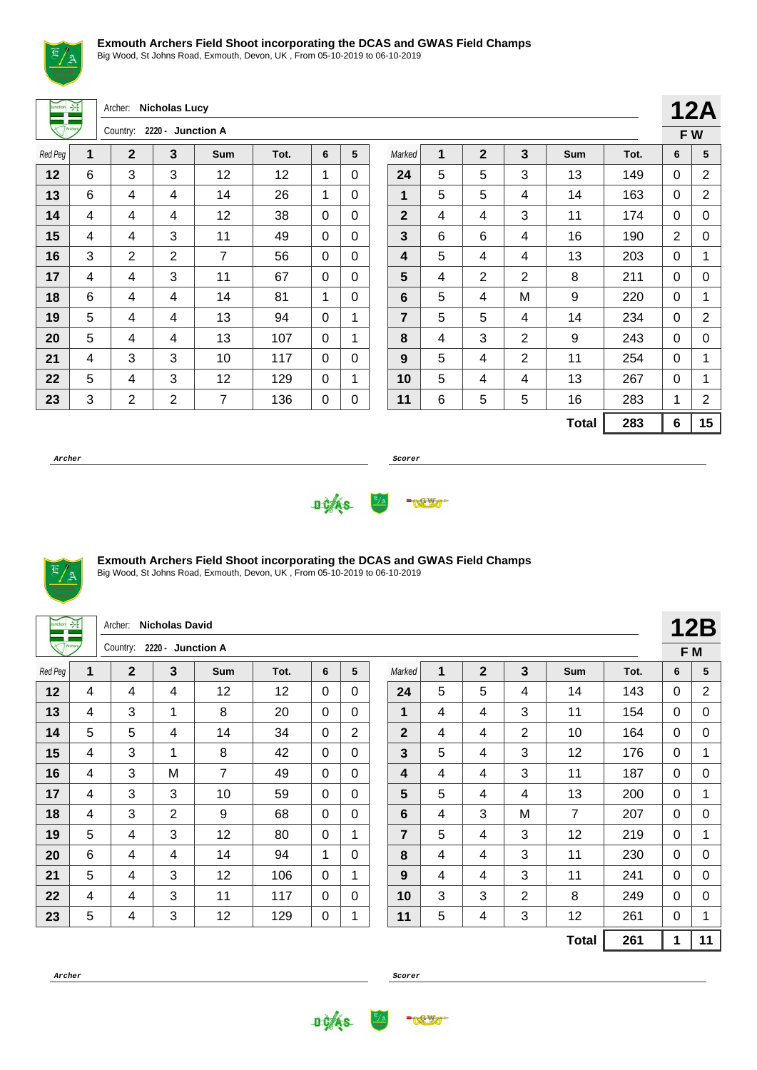

Big Wood, St Johns Road, Exmouth, Devon, UK , From 05-10-2019 to 06-10-2019

|                |      | Archer: Nicholas Lucy |
|----------------|------|-----------------------|
| $n_{\text{a}}$ | הההה |                       |

|         |   | Country:    | 2220 - Junction A |     |      |   |   |
|---------|---|-------------|-------------------|-----|------|---|---|
| Red Peg | 1 | $\mathbf 2$ | 3                 | Sum | Tot. | 6 | 5 |
| 12      | 6 | 3           | 3                 | 12  | 12   | 1 | 0 |
| 13      | 6 | 4           | 4                 | 14  | 26   | 1 | 0 |
| 14      | 4 | 4           | 4                 | 12  | 38   | 0 | 0 |
| 15      | 4 | 4           | 3                 | 11  | 49   | 0 | 0 |
| 16      | 3 | 2           | 2                 | 7   | 56   | 0 | 0 |
| 17      | 4 | 4           | 3                 | 11  | 67   | 0 | 0 |
| 18      | 6 | 4           | 4                 | 14  | 81   | 1 | 0 |
| 19      | 5 | 4           | 4                 | 13  | 94   | 0 | 1 |
| 20      | 5 | 4           | 4                 | 13  | 107  | 0 | 1 |
| 21      | 4 | 3           | 3                 | 10  | 117  | 0 | 0 |
| 22      | 5 | 4           | 3                 | 12  | 129  | 0 | 1 |
| 23      | 3 | 2           | 2                 | 7   | 136  | 0 | 0 |
|         |   |             |                   |     |      |   |   |

|                |   |                |                |              |      |   | <b>12A</b> |
|----------------|---|----------------|----------------|--------------|------|---|------------|
|                |   |                |                |              |      |   | FW         |
| Marked         | 1 | $\overline{2}$ | 3              | Sum          | Tot. | 6 | 5          |
| 24             | 5 | 5              | 3              | 13           | 149  | 0 | 2          |
| 1              | 5 | 5              | 4              | 14           | 163  | 0 | 2          |
| $\mathbf{2}$   | 4 | 4              | 3              | 11           | 174  | 0 | 0          |
| 3              | 6 | 6              | 4              | 16           | 190  | 2 | 0          |
| 4              | 5 | 4              | 4              | 13           | 203  | 0 | 1          |
| 5              | 4 | $\overline{2}$ | $\overline{2}$ | 8            | 211  | 0 | 0          |
| 6              | 5 | 4              | M              | 9            | 220  | 0 | 1          |
| $\overline{7}$ | 5 | 5              | 4              | 14           | 234  | 0 | 2          |
| 8              | 4 | 3              | 2              | 9            | 243  | 0 | 0          |
| 9              | 5 | 4              | 2              | 11           | 254  | 0 | 1          |
| 10             | 5 | 4              | 4              | 13           | 267  | 0 | 1          |
| 11             | 6 | 5              | 5              | 16           | 283  | 1 | 2          |
|                |   |                |                | <b>Total</b> | 283  | 6 | 15         |

**Archer Scorer**





### **Exmouth Archers Field Shoot incorporating the DCAS and GWAS Field Champs**

Big Wood, St Johns Road, Exmouth, Devon, UK , From 05-10-2019 to 06-10-2019

| Junction | $\frac{1}{2}$ | Archer:                    | <b>Nicholas David</b> |                |      |              |                |                |   |              |   |                |      |              | <b>12B</b>     |
|----------|---------------|----------------------------|-----------------------|----------------|------|--------------|----------------|----------------|---|--------------|---|----------------|------|--------------|----------------|
|          |               | Country: 2220 - Junction A |                       |                |      |              |                |                |   |              |   |                |      |              | F M            |
| Red Peg  | 1             | $\mathbf{2}$               | 3                     | <b>Sum</b>     | Tot. | 6            | 5              | Marked         | 1 | $\mathbf{2}$ | 3 | <b>Sum</b>     | Tot. | 6            | 5              |
| 12       | 4             | 4                          | 4                     | 12             | 12   | 0            | $\Omega$       | 24             | 5 | 5            | 4 | 14             | 143  | $\Omega$     | $\overline{2}$ |
| 13       | 4             | 3                          | 1                     | 8              | 20   | $\mathbf{0}$ | $\mathbf 0$    | 1              | 4 | 4            | 3 | 11             | 154  | $\mathbf{0}$ | $\mathbf 0$    |
| 14       | 5             | 5                          | 4                     | 14             | 34   | $\Omega$     | $\overline{2}$ | $\mathbf 2$    | 4 | 4            | 2 | 10             | 164  | $\mathbf{0}$ | 0              |
| 15       | 4             | 3                          | $\mathbf{1}$          | 8              | 42   | $\Omega$     | $\Omega$       | 3              | 5 | 4            | 3 | 12             | 176  | $\mathbf{0}$ | 1              |
| 16       | 4             | 3                          | M                     | $\overline{7}$ | 49   | $\Omega$     | $\Omega$       | 4              | 4 | 4            | 3 | 11             | 187  | $\Omega$     | 0              |
| 17       | 4             | 3                          | 3                     | 10             | 59   | $\mathbf{0}$ | $\mathbf{0}$   | 5              | 5 | 4            | 4 | 13             | 200  | $\mathbf{0}$ | 1              |
| 18       | 4             | 3                          | $\overline{2}$        | 9              | 68   | 0            | $\mathbf{0}$   | 6              | 4 | 3            | M | $\overline{7}$ | 207  | $\mathbf{0}$ | 0              |
| 19       | 5             | 4                          | 3                     | 12             | 80   | 0            | $\mathbf{1}$   | $\overline{7}$ | 5 | 4            | 3 | 12             | 219  | 0            | 1              |
| 20       | 6             | 4                          | 4                     | 14             | 94   | 1            | $\mathbf 0$    | 8              | 4 | 4            | 3 | 11             | 230  | $\mathbf{0}$ | 0              |
| 21       | 5             | 4                          | 3                     | 12             | 106  | $\mathbf{0}$ | $\mathbf 1$    | 9              | 4 | 4            | 3 | 11             | 241  | $\mathbf{0}$ | 0              |
| 22       | 4             | 4                          | 3                     | 11             | 117  | 0            | $\mathbf{0}$   | 10             | 3 | 3            | 2 | 8              | 249  | $\Omega$     | 0              |
| 23       | 5             | 4                          | 3                     | 12             | 129  | 0            |                | 11             | 5 | 4            | 3 | 12             | 261  | 0            | 1              |
|          |               |                            |                       |                |      |              |                |                |   |              |   | <b>Total</b>   | 261  | 1            | 11             |



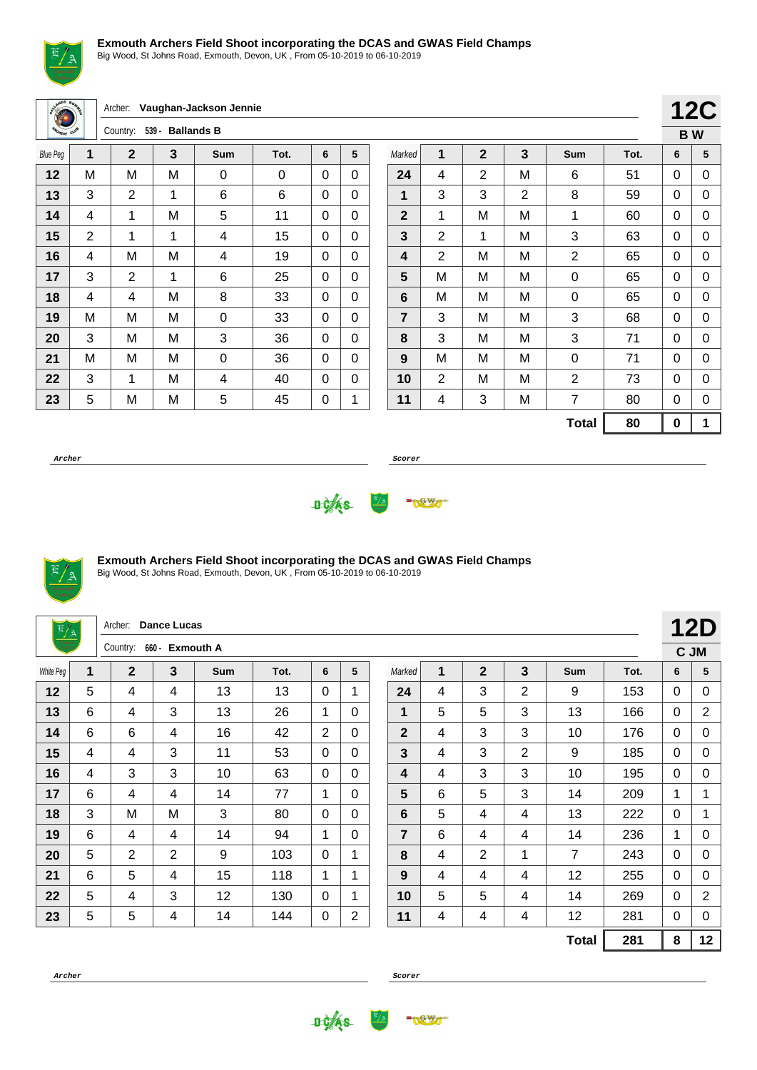

Big Wood, St Johns Road, Exmouth, Devon, UK , From 05-10-2019 to 06-10-2019

|                 |   | Archer:        |                  | Vaughan-Jackson Jennie |          |              |              |                |                         |              |                |                |      |             | <b>12C</b>  |
|-----------------|---|----------------|------------------|------------------------|----------|--------------|--------------|----------------|-------------------------|--------------|----------------|----------------|------|-------------|-------------|
| <b>DERY OUT</b> |   | Country:       | 539 - Ballands B |                        |          |              |              |                |                         |              |                |                |      |             | <b>BW</b>   |
| <b>Blue Peg</b> | 1 | $\mathbf{2}$   | 3                | <b>Sum</b>             | Tot.     | 6            | 5            | Marked         | 1                       | $\mathbf{2}$ | 3              | Sum            | Tot. | 6           | 5           |
| 12              | M | M              | M                | 0                      | $\Omega$ | 0            | $\Omega$     | 24             | 4                       | 2            | M              | 6              | 51   | 0           | 0           |
| 13              | 3 | $\overline{2}$ | 1                | 6                      | 6        | 0            | $\Omega$     | 1              | 3                       | 3            | $\overline{2}$ | 8              | 59   | 0           | 0           |
| 14              | 4 | 1              | M                | 5                      | 11       | $\Omega$     | $\Omega$     | $\overline{2}$ | 1                       | M            | M              | 1              | 60   | $\mathbf 0$ | 0           |
| 15              | 2 | 1              | 1                | 4                      | 15       | $\Omega$     | $\Omega$     | 3              | $\overline{2}$          | 1            | M              | 3              | 63   | 0           | 0           |
| 16              | 4 | M              | M                | 4                      | 19       | $\Omega$     | $\mathbf{0}$ | 4              | $\overline{2}$          | M            | M              | $\overline{2}$ | 65   | 0           | 0           |
| 17              | 3 | $\overline{2}$ | 1                | 6                      | 25       | 0            | $\Omega$     | 5              | M                       | M            | M              | $\mathbf 0$    | 65   | 0           | 0           |
| 18              | 4 | 4              | M                | 8                      | 33       | 0            | $\mathbf{0}$ | 6              | M                       | M            | M              | 0              | 65   | 0           | 0           |
| 19              | M | M              | M                | 0                      | 33       | $\Omega$     | $\mathbf{0}$ | $\overline{7}$ | 3                       | M            | M              | 3              | 68   | 0           | 0           |
| 20              | 3 | M              | M                | 3                      | 36       | $\mathbf{0}$ | $\Omega$     | 8              | 3                       | M            | M              | 3              | 71   | $\mathbf 0$ | $\mathbf 0$ |
| 21              | M | M              | M                | 0                      | 36       | $\Omega$     | $\mathbf{0}$ | 9              | M                       | M            | М              | $\Omega$       | 71   | 0           | 0           |
| 22              | 3 | 1              | M                | 4                      | 40       | 0            | $\Omega$     | 10             | $\overline{2}$          | M            | M              | $\overline{2}$ | 73   | 0           | 0           |
| 23              | 5 | M              | M                | 5                      | 45       | 0            | 1            | 11             | $\overline{\mathbf{4}}$ | 3            | M              | 7              | 80   | 0           | 0           |
|                 |   |                |                  |                        |          |              |              |                |                         |              |                | <b>Total</b>   | 80   | $\bf{0}$    | 1           |

**Archer Scorer**





#### **Exmouth Archers Field Shoot incorporating the DCAS and GWAS Field Champs** Big Wood, St Johns Road, Exmouth, Devon, UK , From 05-10-2019 to 06-10-2019

| $\frac{E/A}{2}$ |   | Archer:        | <b>Dance Lucas</b> |                  |      |              |              |                |   |                |                |                |      |   | <b>12D</b>     |
|-----------------|---|----------------|--------------------|------------------|------|--------------|--------------|----------------|---|----------------|----------------|----------------|------|---|----------------|
|                 |   | Country:       | 660 -              | <b>Exmouth A</b> |      |              |              |                |   |                |                |                |      |   | C JM           |
| White Peg       | 1 | $\overline{2}$ | 3                  | <b>Sum</b>       | Tot. | 6            | 5            | Marked         | 1 | $\overline{2}$ | 3              | <b>Sum</b>     | Tot. | 6 | 5              |
| 12              | 5 | 4              | 4                  | 13               | 13   | $\Omega$     |              | 24             | 4 | 3              | $\overline{2}$ | 9              | 153  | 0 | 0              |
| 13              | 6 | 4              | 3                  | 13               | 26   | 1            | $\Omega$     | 1              | 5 | 5              | 3              | 13             | 166  | 0 | $\overline{2}$ |
| 14              | 6 | 6              | 4                  | 16               | 42   | 2            | $\Omega$     | $\overline{2}$ | 4 | 3              | 3              | 10             | 176  | 0 | 0              |
| 15              | 4 | 4              | 3                  | 11               | 53   | $\Omega$     | $\mathbf{0}$ | $\mathbf{3}$   | 4 | 3              | $\overline{2}$ | 9              | 185  | 0 | 0              |
| 16              | 4 | 3              | 3                  | 10               | 63   | $\mathbf{0}$ | $\Omega$     | 4              | 4 | 3              | 3              | 10             | 195  | 0 | $\Omega$       |
| 17              | 6 | 4              | 4                  | 14               | 77   | 1            | $\Omega$     | $5\phantom{1}$ | 6 | 5              | 3              | 14             | 209  | 1 | 1              |
| 18              | 3 | M              | M                  | 3                | 80   | $\Omega$     | $\Omega$     | 6              | 5 | 4              | 4              | 13             | 222  | 0 | 1              |
| 19              | 6 | 4              | 4                  | 14               | 94   | $\mathbf 1$  | $\mathbf{0}$ | $\overline{7}$ | 6 | 4              | 4              | 14             | 236  | 1 | 0              |
| 20              | 5 | $\overline{2}$ | $\overline{2}$     | 9                | 103  | $\Omega$     | 1            | 8              | 4 | $\overline{2}$ | 1              | $\overline{7}$ | 243  | 0 | 0              |
| 21              | 6 | 5              | 4                  | 15               | 118  | 1            | 1            | 9              | 4 | 4              | 4              | 12             | 255  | 0 | 0              |
| 22              | 5 | 4              | 3                  | 12               | 130  | $\Omega$     |              | 10             | 5 | 5              | 4              | 14             | 269  | 0 | $\overline{2}$ |
| 23              | 5 | 5              | 4                  | 14               | 144  | 0            | 2            | 11             | 4 | 4              | 4              | 12             | 281  | 0 | 0              |
|                 |   |                |                    |                  |      |              |              |                |   |                |                | <b>Total</b>   | 281  | 8 | 12             |



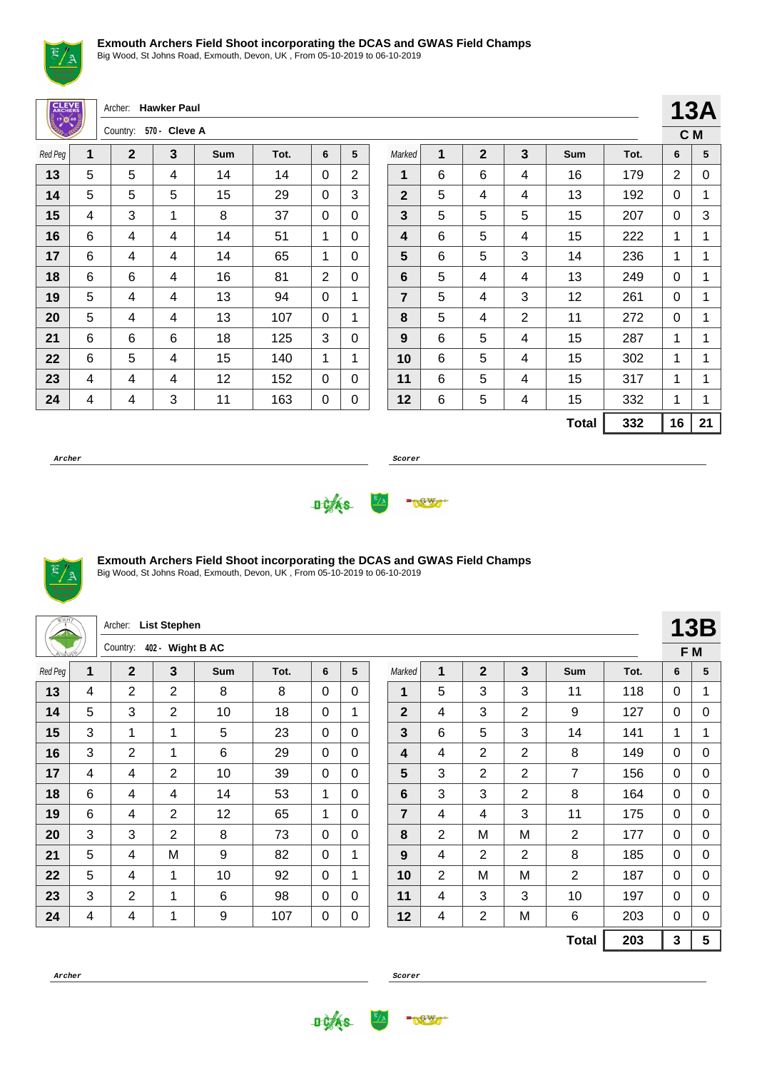

Big Wood, St Johns Road, Exmouth, Devon, UK , From 05-10-2019 to 06-10-2019

| <b>CLEVE</b><br>$\frac{1}{2}$ $\frac{1}{2}$ $\frac{1}{2}$ |                | Archer:      | <b>Hawker Paul</b> |     |      |             |                |                         |             |                |                         |              |      | 13 <sub>l</sub> |             |
|-----------------------------------------------------------|----------------|--------------|--------------------|-----|------|-------------|----------------|-------------------------|-------------|----------------|-------------------------|--------------|------|-----------------|-------------|
|                                                           |                | Country:     | 570 - Cleve A      |     |      |             |                |                         |             |                |                         |              |      |                 | C M         |
| Red Peg                                                   | 1              | $\mathbf{2}$ | 3                  | Sum | Tot. | 6           | 5              | Marked                  | $\mathbf 1$ | $\overline{2}$ | $\overline{\mathbf{3}}$ | Sum          | Tot. | 6               | 5           |
| 13                                                        | 5              | 5            | 4                  | 14  | 14   | $\mathbf 0$ | $\overline{2}$ | 1                       | 6           | 6              | 4                       | 16           | 179  | $\overline{2}$  | C           |
| 14                                                        | 5              | 5            | 5                  | 15  | 29   | 0           | 3              | $\overline{2}$          | 5           | 4              | 4                       | 13           | 192  | $\Omega$        | 1           |
| 15                                                        | 4              | 3            | 1                  | 8   | 37   | $\mathbf 0$ | $\Omega$       | $\overline{3}$          | 5           | 5              | 5                       | 15           | 207  | $\Omega$        | 3           |
| 16                                                        | $6\phantom{1}$ | 4            | 4                  | 14  | 51   | 1           | $\Omega$       | $\overline{\mathbf{4}}$ | 6           | 5              | 4                       | 15           | 222  | 1               | 1           |
| 17                                                        | 6              | 4            | 4                  | 14  | 65   | 1           | $\Omega$       | 5                       | 6           | 5              | 3                       | 14           | 236  | 1               | 1           |
| 18                                                        | 6              | 6            | 4                  | 16  | 81   | 2           | 0              | 6                       | 5           | 4              | 4                       | 13           | 249  | $\mathbf 0$     | 1           |
| 19                                                        | 5              | 4            | 4                  | 13  | 94   | 0           | 1              | $\overline{7}$          | 5           | $\overline{4}$ | 3                       | 12           | 261  | 0               | 1           |
| 20                                                        | 5              | 4            | 4                  | 13  | 107  | $\mathbf 0$ | 1              | 8                       | 5           | 4              | $\overline{2}$          | 11           | 272  | $\Omega$        | 1           |
| 21                                                        | 6              | 6            | 6                  | 18  | 125  | 3           | $\Omega$       | 9                       | 6           | 5              | 4                       | 15           | 287  | 1               | 1           |
| 22                                                        | $6\phantom{1}$ | 5            | 4                  | 15  | 140  | 1           | 1              | 10                      | 6           | 5              | 4                       | 15           | 302  | 1               | 1           |
| 23                                                        | 4              | 4            | 4                  | 12  | 152  | 0           | $\Omega$       | 11                      | 6           | 5              | 4                       | 15           | 317  | 1               | 1           |
| 24                                                        | 4              | 4            | 3                  | 11  | 163  | 0           | 0              | 12                      | 6           | 5              | 4                       | 15           | 332  | 1               | 1           |
|                                                           |                |              |                    |     |      |             |                |                         |             |                |                         | <b>Total</b> | 332  | 16              | $2^{\circ}$ |
|                                                           |                |              |                    |     |      |             |                |                         |             |                |                         |              |      |                 |             |

**Archer Scorer**

**13A C M**

**Total 332 16 21**





### **Exmouth Archers Field Shoot incorporating the DCAS and GWAS Field Champs**

|         |   | Archer:        | <b>List Stephen</b> |                   |      |          |             |                |                |                |                |                |      |             | <b>13B</b> |
|---------|---|----------------|---------------------|-------------------|------|----------|-------------|----------------|----------------|----------------|----------------|----------------|------|-------------|------------|
|         |   | Country:       | 402 -               | <b>Wight B AC</b> |      |          |             |                |                |                |                |                |      |             | F M        |
| Red Peg | 1 | $\overline{2}$ | 3                   | <b>Sum</b>        | Tot. | 6        | 5           | Marked         | 1              | $\overline{2}$ | 3              | <b>Sum</b>     | Tot. | 6           | 5          |
| 13      | 4 | $\overline{2}$ | 2                   | 8                 | 8    | $\Omega$ | $\Omega$    | 1              | 5              | 3              | 3              | 11             | 118  | 0           | 1          |
| 14      | 5 | 3              | 2                   | 10                | 18   | $\Omega$ | 1           | $\mathbf{2}$   | 4              | 3              | $\overline{2}$ | 9              | 127  | 0           | 0          |
| 15      | 3 | 1              | 1                   | 5                 | 23   | 0        | $\Omega$    | 3              | 6              | 5              | 3              | 14             | 141  | $\mathbf 1$ | 1          |
| 16      | 3 | 2              | 1                   | 6                 | 29   | $\Omega$ | 0           | 4              | 4              | $\overline{2}$ | 2              | 8              | 149  | 0           | 0          |
| 17      | 4 | 4              | $\overline{2}$      | 10                | 39   | $\Omega$ | $\Omega$    | 5              | 3              | $\overline{2}$ | $\overline{2}$ | $\overline{7}$ | 156  | 0           | 0          |
| 18      | 6 | 4              | 4                   | 14                | 53   | 1        | $\Omega$    | 6              | 3              | 3              | $\overline{2}$ | 8              | 164  | 0           | 0          |
| 19      | 6 | 4              | $\overline{2}$      | 12                | 65   | 1        | $\Omega$    | $\overline{7}$ | 4              | $\overline{4}$ | 3              | 11             | 175  | 0           | 0          |
| 20      | 3 | 3              | $\overline{2}$      | 8                 | 73   | 0        | 0           | 8              | $\overline{2}$ | M              | M              | $\overline{2}$ | 177  | 0           | 0          |
| 21      | 5 | 4              | M                   | 9                 | 82   | $\Omega$ | $\mathbf 1$ | 9              | 4              | 2              | $\overline{2}$ | 8              | 185  | 0           | 0          |
| 22      | 5 | 4              | 1                   | 10                | 92   | 0        | $\mathbf 1$ | 10             | $\overline{2}$ | M              | M              | $\overline{2}$ | 187  | $\Omega$    | 0          |
| 23      | 3 | $\overline{2}$ | 1                   | 6                 | 98   | $\Omega$ | 0           | 11             | 4              | 3              | 3              | 10             | 197  | 0           | 0          |
| 24      | 4 | 4              | 1                   | 9                 | 107  | 0        | 0           | 12             | 4              | $\overline{2}$ | M              | 6              | 203  | 0           | $\Omega$   |
|         |   |                |                     |                   |      |          |             |                |                |                |                | <b>Total</b>   | 203  | 3           | 5          |



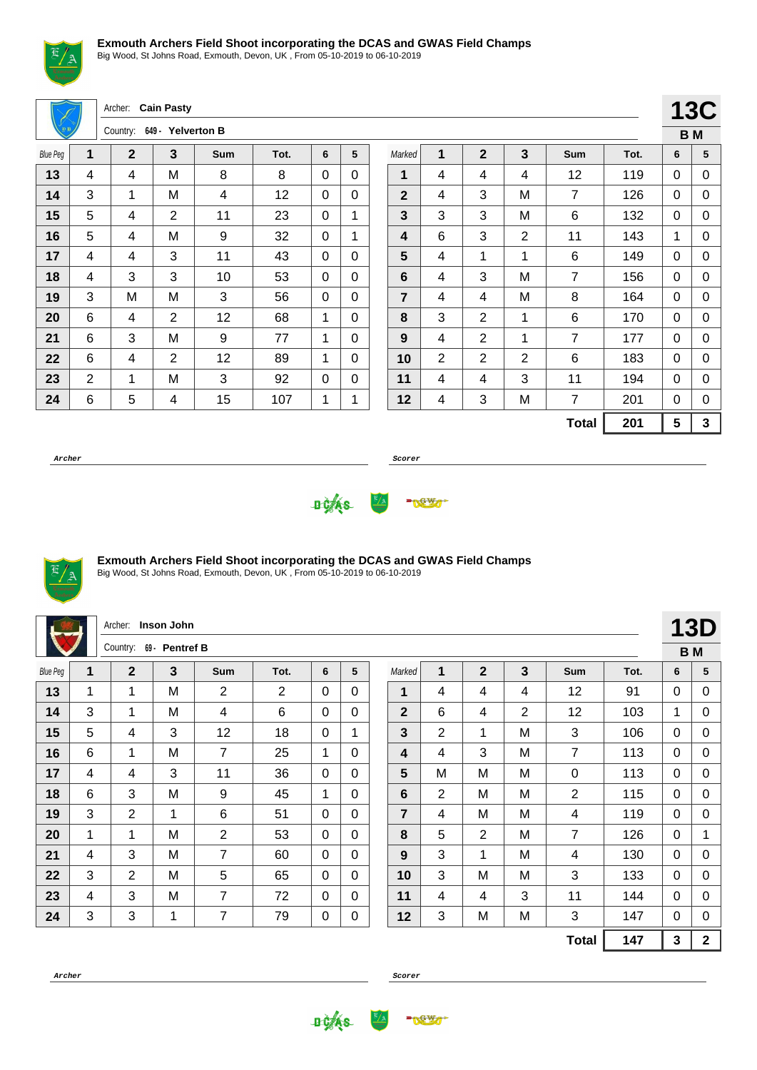

Big Wood, St Johns Road, Exmouth, Devon, UK , From 05-10-2019 to 06-10-2019

|                 |   | Archer: Cain Pasty |                   |            |      |   |             |                |                |                |              |                |      |   | <b>13C</b>   |
|-----------------|---|--------------------|-------------------|------------|------|---|-------------|----------------|----------------|----------------|--------------|----------------|------|---|--------------|
|                 |   | Country:           | 649 - Yelverton B |            |      |   |             |                |                |                |              |                |      |   | <b>BM</b>    |
| <b>Blue Peg</b> | 1 | $\overline{2}$     | 3                 | <b>Sum</b> | Tot. | 6 | 5           | Marked         | 1              | $\overline{2}$ | 3            | Sum            | Tot. | 6 | 5            |
| 13              | 4 | 4                  | M                 | 8          | 8    | 0 | $\Omega$    | 1              | 4              | 4              | 4            | 12             | 119  | 0 | 0            |
| 14              | 3 | 1                  | M                 | 4          | 12   | 0 | $\Omega$    | $\overline{2}$ | 4              | 3              | M            | $\overline{7}$ | 126  | 0 | 0            |
| 15              | 5 | 4                  | $\overline{2}$    | 11         | 23   | 0 | 1           | 3              | 3              | 3              | M            | 6              | 132  | 0 | 0            |
| 16              | 5 | 4                  | M                 | 9          | 32   | 0 | 1           | 4              | 6              | 3              | 2            | 11             | 143  | 1 | 0            |
| 17              | 4 | 4                  | 3                 | 11         | 43   | 0 | $\Omega$    | 5              | 4              | 1              | 1            | 6              | 149  | 0 | 0            |
| 18              | 4 | 3                  | 3                 | 10         | 53   | 0 | $\mathbf 0$ | 6              | 4              | 3              | M            | $\overline{7}$ | 156  | 0 | $\mathbf 0$  |
| 19              | 3 | M                  | м                 | 3          | 56   | 0 | $\Omega$    | $\overline{7}$ | 4              | 4              | M            | 8              | 164  | 0 | $\mathbf 0$  |
| 20              | 6 | 4                  | $\overline{2}$    | 12         | 68   | 1 | $\Omega$    | 8              | 3              | $\overline{2}$ | $\mathbf{1}$ | 6              | 170  | 0 | 0            |
| 21              | 6 | 3                  | м                 | 9          | 77   | 1 | $\Omega$    | 9              | 4              | 2              | 1            | $\overline{7}$ | 177  | 0 | 0            |
| 22              | 6 | 4                  | $\overline{2}$    | 12         | 89   | 1 | $\Omega$    | 10             | $\overline{2}$ | $\overline{2}$ | 2            | 6              | 183  | 0 | $\mathbf 0$  |
| 23              | 2 | 1                  | M                 | 3          | 92   | 0 | 0           | 11             | 4              | 4              | 3            | 11             | 194  | 0 | 0            |
| 24              | 6 | 5                  | 4                 | 15         | 107  | 1 | 1           | 12             | 4              | 3              | M            | $\overline{7}$ | 201  | 0 | 0            |
|                 |   |                    |                   |            |      |   |             |                |                |                |              | <b>Total</b>   | 201  | 5 | $\mathbf{3}$ |

**Archer Scorer**





## **Exmouth Archers Field Shoot incorporating the DCAS and GWAS Field Champs**

Big Wood, St Johns Road, Exmouth, Devon, UK , From 05-10-2019 to 06-10-2019

|                 |   | Archer:        | Inson John     |                |                |             |              |                |                |                |                |                |      |              | <b>13D</b>   |
|-----------------|---|----------------|----------------|----------------|----------------|-------------|--------------|----------------|----------------|----------------|----------------|----------------|------|--------------|--------------|
|                 |   | Country:       | 69 - Pentref B |                |                |             |              |                |                |                |                |                |      |              | <b>BM</b>    |
| <b>Blue Peg</b> | 1 | $\mathbf{2}$   | $\overline{3}$ | Sum            | Tot.           | 6           | 5            | Marked         | 1              | $\overline{2}$ | 3              | Sum            | Tot. | 6            | 5            |
| 13              | 1 | 1              | M              | 2              | $\overline{2}$ | $\Omega$    | 0            | 1              | 4              | 4              | 4              | 12             | 91   | 0            | 0            |
| 14              | 3 | 1              | M              | 4              | 6              | $\Omega$    | $\Omega$     | $\overline{2}$ | 6              | 4              | $\overline{2}$ | 12             | 103  | $\mathbf{1}$ | 0            |
| 15              | 5 | 4              | 3              | 12             | 18             | $\Omega$    | 1            | 3              | $\overline{2}$ | 1              | М              | 3              | 106  | $\mathbf{0}$ | 0            |
| 16              | 6 | 1              | M              | 7              | 25             | 1           | $\Omega$     | 4              | 4              | 3              | M              | $\overline{7}$ | 113  | 0            | 0            |
| 17              | 4 | 4              | 3              | 11             | 36             | $\Omega$    | $\mathbf{0}$ | 5              | M              | M              | M              | $\mathbf 0$    | 113  | 0            | 0            |
| 18              | 6 | 3              | M              | 9              | 45             | $\mathbf 1$ | $\mathbf{0}$ | 6              | $\overline{2}$ | M              | M              | $\overline{2}$ | 115  | $\mathbf{0}$ | 0            |
| 19              | 3 | $\overline{2}$ | 1              | 6              | 51             | $\Omega$    | $\mathbf{0}$ | 7              | 4              | M              | M              | 4              | 119  | $\mathbf{0}$ | 0            |
| 20              | 1 | 1              | M              | $\overline{2}$ | 53             | $\Omega$    | $\Omega$     | 8              | 5              | $\overline{2}$ | M              | $\overline{7}$ | 126  | 0            | 1            |
| 21              | 4 | 3              | M              | 7              | 60             | $\Omega$    | 0            | 9              | $\mathbf{3}$   | 1              | M              | 4              | 130  | 0            | 0            |
| 22              | 3 | $\overline{2}$ | M              | 5              | 65             | $\Omega$    | $\mathbf{0}$ | 10             | 3              | M              | M              | 3              | 133  | 0            | 0            |
| 23              | 4 | 3              | M              | 7              | 72             | $\Omega$    | $\mathbf{0}$ | 11             | 4              | 4              | 3              | 11             | 144  | 0            | 0            |
| 24              | 3 | 3              | 1              | 7              | 79             | 0           | $\pmb{0}$    | 12             | 3              | M              | Μ              | 3              | 147  | $\mathbf{0}$ | 0            |
|                 |   |                |                |                |                |             |              |                |                |                |                | <b>Total</b>   | 147  | $\mathbf{3}$ | $\mathbf{2}$ |

**Archer Scorer**

**DOAS** 

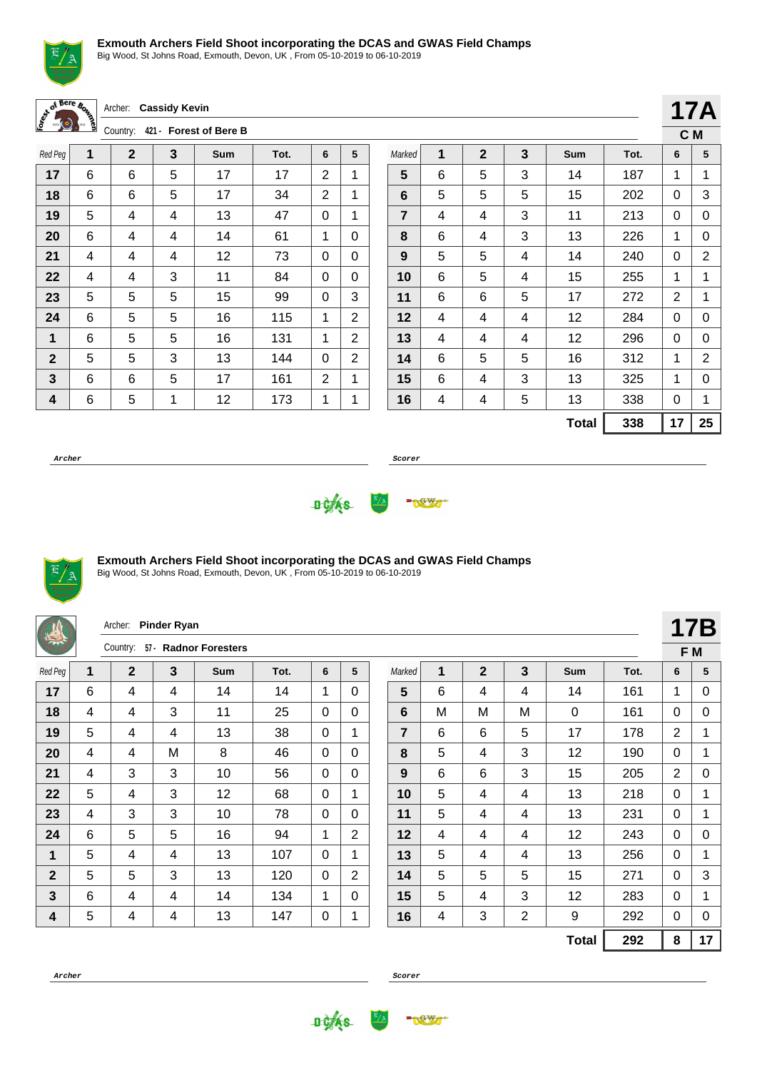

Big Wood, St Johns Road, Exmouth, Devon, UK , From 05-10-2019 to 06-10-2019

|  | Archer: Cassidy Kevin   |
|--|-------------------------|
|  | Country: 421. Enrest of |

Country: **421 - Forest of Bere B**

| Red Peg      | $\mathbf{1}$ | $\mathbf 2$ | 3 | Sum | Tot. | 6 | 5              |
|--------------|--------------|-------------|---|-----|------|---|----------------|
| 17           | 6            | 6           | 5 | 17  | 17   | 2 | 1              |
| 18           | 6            | 6           | 5 | 17  | 34   | 2 | 1              |
| 19           | 5            | 4           | 4 | 13  | 47   | 0 | 1              |
| 20           | 6            | 4           | 4 | 14  | 61   | 1 | 0              |
| 21           | 4            | 4           | 4 | 12  | 73   | 0 | 0              |
| 22           | 4            | 4           | 3 | 11  | 84   | 0 | 0              |
| 23           | 5            | 5           | 5 | 15  | 99   | 0 | 3              |
| 24           | 6            | 5           | 5 | 16  | 115  | 1 | $\overline{2}$ |
| 1            | 6            | 5           | 5 | 16  | 131  | 1 | $\overline{2}$ |
| $\mathbf{2}$ | 5            | 5           | 3 | 13  | 144  | 0 | 2              |
| 3            | 6            | 6           | 5 | 17  | 161  | 2 | 1              |
| 4            | 6            | 5           | 1 | 12  | 173  | 1 | 1              |

|                |   |              |   |              |      | C <sub>M</sub> |    |
|----------------|---|--------------|---|--------------|------|----------------|----|
| Marked         | 1 | $\mathbf{2}$ | 3 | Sum          | Tot. | 6              | 5  |
| 5              | 6 | 5            | 3 | 14           | 187  | 1              | 1  |
| 6              | 5 | 5            | 5 | 15           | 202  | 0              | 3  |
| $\overline{7}$ | 4 | 4            | 3 | 11           | 213  | 0              | 0  |
| 8              | 6 | 4            | 3 | 13           | 226  | 1              | 0  |
| 9              | 5 | 5            | 4 | 14           | 240  | 0              | 2  |
| 10             | 6 | 5            | 4 | 15           | 255  | 1              | 1  |
| 11             | 6 | 6            | 5 | 17           | 272  | 2              | 1  |
| 12             | 4 | 4            | 4 | 12           | 284  | 0              | 0  |
| 13             | 4 | 4            | 4 | 12           | 296  | 0              | 0  |
| 14             | 6 | 5            | 5 | 16           | 312  | 1              | 2  |
| 15             | 6 | 4            | 3 | 13           | 325  | 1              | 0  |
| 16             | 4 | 4            | 5 | 13           | 338  | 0              | 1  |
|                |   |              |   | <b>Total</b> | 338  | 17             | 25 |

**17A**

**Archer Scorer**





## **Exmouth Archers Field Shoot incorporating the DCAS and GWAS Field Champs**

| 学              |   | Archer:<br>$57 -$<br>Country: | <b>Pinder Ryan</b> | <b>Radnor Foresters</b> |      |             |                |                |   |                |                |              |      |                | <b>17B</b>  |
|----------------|---|-------------------------------|--------------------|-------------------------|------|-------------|----------------|----------------|---|----------------|----------------|--------------|------|----------------|-------------|
|                |   |                               |                    |                         |      |             |                |                |   |                |                |              |      |                | F M         |
| Red Peg        | 1 | $\overline{2}$                | $\mathbf{3}$       | <b>Sum</b>              | Tot. | 6           | 5              | Marked         | 1 | $\overline{2}$ | 3              | <b>Sum</b>   | Tot. | 6              | 5           |
| 17             | 6 | $\overline{4}$                | 4                  | 14                      | 14   | 1           | 0              | 5              | 6 | 4              | 4              | 14           | 161  | 1              | 0           |
| 18             | 4 | 4                             | 3                  | 11                      | 25   | 0           | $\Omega$       | 6              | M | M              | М              | $\Omega$     | 161  | 0              | 0           |
| 19             | 5 | 4                             | 4                  | 13                      | 38   | $\Omega$    | 1              | $\overline{7}$ | 6 | 6              | 5              | 17           | 178  | $\overline{2}$ | 1           |
| 20             | 4 | 4                             | M                  | 8                       | 46   | 0           | $\mathbf{0}$   | 8              | 5 | 4              | 3              | 12           | 190  | $\Omega$       | 1           |
| 21             | 4 | 3                             | 3                  | 10                      | 56   | $\Omega$    | $\mathbf{0}$   | 9              | 6 | 6              | 3              | 15           | 205  | $\overline{2}$ | $\mathbf 0$ |
| 22             | 5 | 4                             | 3                  | 12                      | 68   | 0           | 1              | 10             | 5 | 4              | 4              | 13           | 218  | $\Omega$       | $\mathbf 1$ |
| 23             | 4 | 3                             | 3                  | 10                      | 78   | $\Omega$    | $\Omega$       | 11             | 5 | 4              | 4              | 13           | 231  | 0              | 1           |
| 24             | 6 | 5                             | 5                  | 16                      | 94   | 1           | $\overline{2}$ | 12             | 4 | 4              | 4              | 12           | 243  | $\Omega$       | 0           |
| 1              | 5 | 4                             | 4                  | 13                      | 107  | $\Omega$    | 1              | 13             | 5 | 4              | 4              | 13           | 256  | $\Omega$       | 1           |
| $\overline{2}$ | 5 | 5                             | 3                  | 13                      | 120  | $\mathbf 0$ | 2              | 14             | 5 | 5              | 5              | 15           | 271  | $\Omega$       | 3           |
| 3              | 6 | 4                             | 4                  | 14                      | 134  | 1           | $\Omega$       | 15             | 5 | 4              | 3              | 12           | 283  | $\Omega$       | 1           |
| 4              | 5 | $\overline{\mathbf{4}}$       | 4                  | 13                      | 147  | 0           | 1              | 16             | 4 | 3              | $\overline{2}$ | 9            | 292  | 0              | 0           |
|                |   |                               |                    |                         |      |             |                |                |   |                |                | <b>Total</b> | 292  | 8              | 17          |



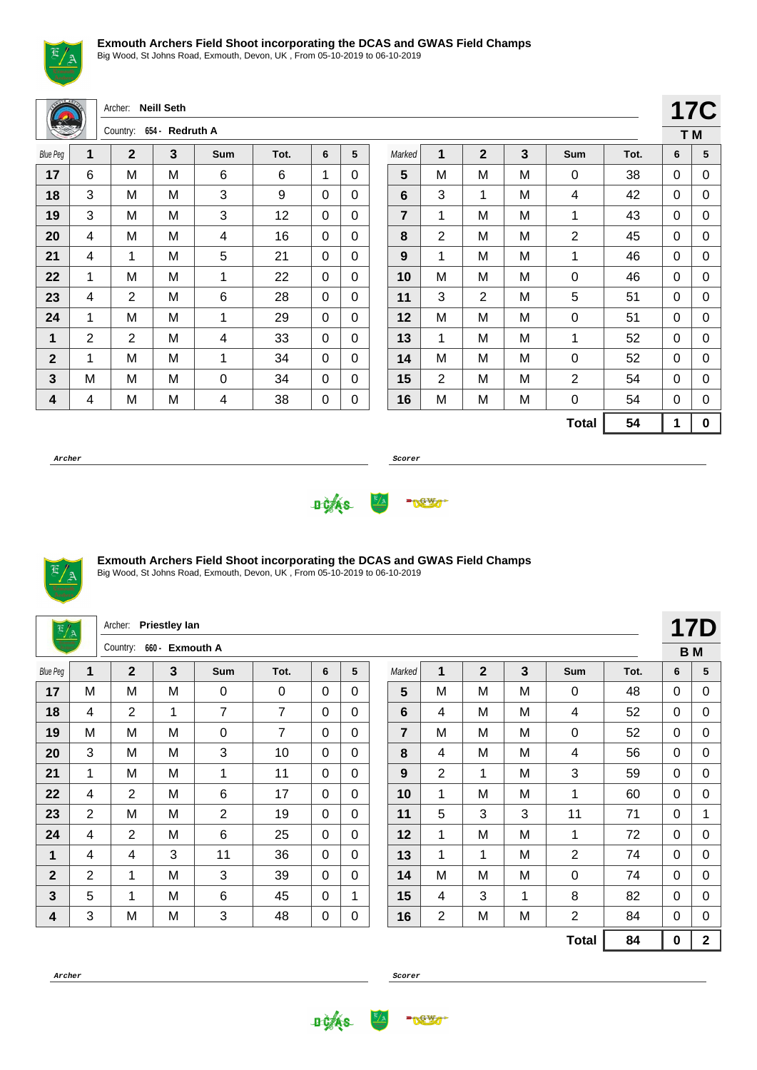

Big Wood, St Johns Road, Exmouth, Devon, UK , From 05-10-2019 to 06-10-2019

| (15018 46)      |                | Archer: Neill Seth |                 |                |      |             |          |                 |             |                |   |                |      | <b>17C</b>  |          |
|-----------------|----------------|--------------------|-----------------|----------------|------|-------------|----------|-----------------|-------------|----------------|---|----------------|------|-------------|----------|
|                 |                | Country:           | 654 - Redruth A |                |      |             |          |                 |             |                |   |                |      |             | T M      |
| <b>Blue Peg</b> | 1              | $\overline{2}$     | 3               | Sum            | Tot. | 6           | 5        | Marked          | $\mathbf 1$ | $\overline{2}$ | 3 | <b>Sum</b>     | Tot. | 6           | 5        |
| 17              | 6              | M                  | M               | 6              | 6    | 1           | 0        | $5\phantom{.0}$ | M           | M              | M | 0              | 38   | 0           | 0        |
| 18              | 3              | M                  | M               | 3              | 9    | 0           | 0        | 6               | 3           | 1              | M | 4              | 42   | 0           | 0        |
| 19              | 3              | M                  | M               | 3              | 12   | $\mathbf 0$ | $\Omega$ | $\overline{7}$  | 1           | M              | M | 1              | 43   | $\mathbf 0$ | 0        |
| 20              | 4              | M                  | M               | 4              | 16   | $\mathbf 0$ | $\Omega$ | 8               | 2           | M              | M | $\overline{2}$ | 45   | $\mathbf 0$ | 0        |
| 21              | 4              | $\mathbf 1$        | M               | 5              | 21   | $\mathbf 0$ | $\Omega$ | 9               | 1           | M              | M | 1              | 46   | $\mathbf 0$ | 0        |
| 22              | 1              | M                  | M               | $\mathbf{1}$   | 22   | 0           | $\Omega$ | 10              | M           | M              | Μ | 0              | 46   | 0           | 0        |
| 23              | 4              | $\overline{2}$     | M               | 6              | 28   | $\mathbf 0$ | $\Omega$ | 11              | 3           | $\overline{2}$ | M | 5              | 51   | 0           | 0        |
| 24              | 1              | M                  | M               | 1              | 29   | $\mathbf 0$ | $\Omega$ | 12              | M           | M              | M | 0              | 51   | $\mathbf 0$ | 0        |
| 1               | $\overline{2}$ | $\overline{2}$     | M               | 4              | 33   | 0           | $\Omega$ | 13              | 1           | M              | M | 1              | 52   | 0           | 0        |
| $\overline{2}$  | 1              | M                  | M               | 1              | 34   | 0           | 0        | 14              | M           | M              | M | 0              | 52   | 0           | 0        |
| 3               | M              | M                  | M               | $\mathbf 0$    | 34   | 0           | 0        | 15              | 2           | M              | M | 2              | 54   | 0           | 0        |
| 4               | 4              | M                  | M               | $\overline{4}$ | 38   | 0           | 0        | 16              | М           | M              | M | 0              | 54   | 0           | 0        |
|                 |                |                    |                 |                |      |             |          |                 |             |                |   | <b>Total</b>   | 54   | 1           | $\bf{0}$ |

**Archer Scorer**

**17C T M**





### **Exmouth Archers Field Shoot incorporating the DCAS and GWAS Field Champs**

| $\frac{E/A}{2}$ |                | Archer:        | <b>Priestley lan</b> |                |                |          |              |        |                |                |   |                |      |             | <b>17D</b>     |
|-----------------|----------------|----------------|----------------------|----------------|----------------|----------|--------------|--------|----------------|----------------|---|----------------|------|-------------|----------------|
|                 |                | Country:       | 660 - Exmouth A      |                |                |          |              |        |                |                |   |                |      |             | <b>BM</b>      |
| <b>Blue Peg</b> | 1              | $\overline{2}$ | 3                    | Sum            | Tot.           | 6        | 5            | Marked | 1              | $\overline{2}$ | 3 | Sum            | Tot. | 6           | 5              |
| 17              | M              | M              | M                    | 0              | 0              | $\Omega$ | 0            | 5      | M              | M              | M | 0              | 48   | 0           | 0              |
| 18              | 4              | $\overline{2}$ | 1                    | $\overline{7}$ | $\overline{7}$ | $\Omega$ | 0            | 6      | 4              | M              | M | 4              | 52   | 0           | 0              |
| 19              | M              | M              | M                    | 0              | 7              | 0        | $\Omega$     | 7      | M              | M              | M | $\mathbf 0$    | 52   | $\Omega$    | 0              |
| 20              | 3              | M              | M                    | 3              | 10             | $\Omega$ | $\Omega$     | 8      | 4              | M              | M | 4              | 56   | 0           | 0              |
| 21              | 1              | M              | M                    | 1              | 11             | $\Omega$ | $\Omega$     | 9      | $\overline{2}$ | $\mathbf 1$    | M | 3              | 59   | $\Omega$    | 0              |
| 22              | 4              | 2              | M                    | $\,6$          | 17             | $\Omega$ | $\Omega$     | 10     | 1              | M              | M | 1              | 60   | $\Omega$    | 0              |
| 23              | $\overline{2}$ | M              | M                    | $\overline{2}$ | 19             | $\Omega$ | $\Omega$     | 11     | 5              | 3              | 3 | 11             | 71   | 0           | 1              |
| 24              | 4              | $\overline{2}$ | M                    | 6              | 25             | $\Omega$ | 0            | 12     | 1              | M              | M | 1              | 72   | 0           | 0              |
| 1               | 4              | 4              | 3                    | 11             | 36             | $\Omega$ | $\Omega$     | 13     | 1              | $\mathbf{1}$   | M | $\overline{2}$ | 74   | $\Omega$    | 0              |
| $\overline{2}$  | 2              | 1              | M                    | 3              | 39             | $\Omega$ | $\Omega$     | 14     | M              | M              | M | 0              | 74   | $\Omega$    | 0              |
| $\mathbf{3}$    | 5              | 1              | M                    | 6              | 45             | $\Omega$ | $\mathbf{1}$ | 15     | 4              | 3              | 1 | 8              | 82   | $\Omega$    | 0              |
| 4               | 3              | M              | M                    | 3              | 48             | 0        | 0            | 16     | $\overline{2}$ | M              | M | $\overline{2}$ | 84   | $\Omega$    | 0              |
|                 |                |                |                      |                |                |          |              |        |                |                |   | <b>Total</b>   | 84   | $\mathbf 0$ | $\overline{2}$ |

**Archer Scorer**



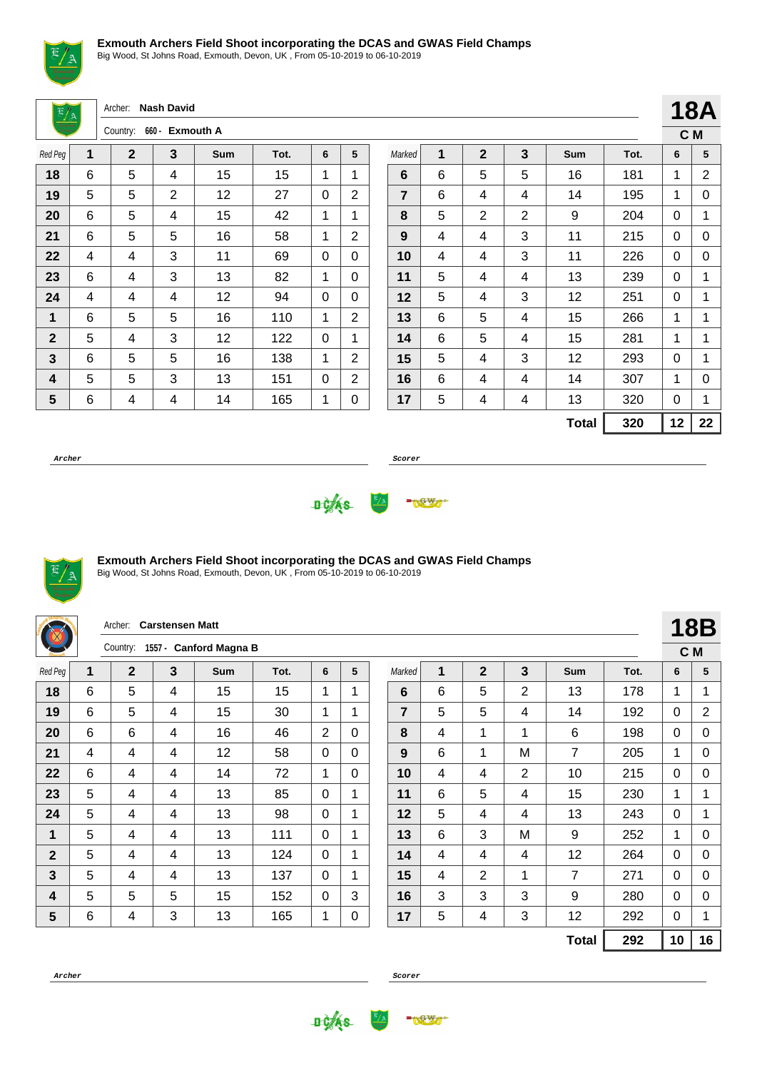

Big Wood, St Johns Road, Exmouth, Devon, UK , From 05-10-2019 to 06-10-2019

Archer: **Nash David**

|              |   | Country: | 660 - Exmouth A<br>3<br>5<br>Tot.<br>Sum<br>6<br>1<br>1<br>15<br>15<br>4<br>2<br>12<br>27<br>2<br>0<br>42<br>4<br>15<br>1<br>1<br>5<br>58<br>1<br>2<br>16<br>3<br>11<br>69<br>0<br>0 |    |     |   |   |
|--------------|---|----------|--------------------------------------------------------------------------------------------------------------------------------------------------------------------------------------|----|-----|---|---|
| Red Peg      | 1 | 2        |                                                                                                                                                                                      |    |     |   |   |
| 18           | 6 | 5        |                                                                                                                                                                                      |    |     |   |   |
| 19           | 5 | 5        |                                                                                                                                                                                      |    |     |   |   |
| 20           | 6 | 5        |                                                                                                                                                                                      |    |     |   |   |
| 21           | 6 | 5        |                                                                                                                                                                                      |    |     |   |   |
| 22           | 4 | 4        |                                                                                                                                                                                      |    |     |   |   |
| 23           | 6 | 4        | 3                                                                                                                                                                                    | 13 | 82  | 1 | 0 |
| 24           | 4 | 4        | 4                                                                                                                                                                                    | 12 | 94  | 0 | 0 |
| 1            | 6 | 5        | 5                                                                                                                                                                                    | 16 | 110 | 1 | 2 |
| $\mathbf{2}$ | 5 | 4        | 3                                                                                                                                                                                    | 12 | 122 | 0 | 1 |
| 3            | 6 | 5        | 5                                                                                                                                                                                    | 16 | 138 | 1 | 2 |
| 4            | 5 | 5        | 3                                                                                                                                                                                    | 13 | 151 | 0 | 2 |
| 5            | 6 | 4        | 4                                                                                                                                                                                    | 14 | 165 | 1 | 0 |

|                  |   |                |                |              |      |     | <b>18A</b> |
|------------------|---|----------------|----------------|--------------|------|-----|------------|
|                  |   |                |                |              |      | C M |            |
| Marked           | 1 | $\overline{2}$ | 3              | Sum          | Tot. | 6   | 5          |
| 6                | 6 | 5              | 5              | 16           | 181  | 1   | 2          |
| $\overline{7}$   | 6 | 4              | 4              | 14           | 195  | 1   | 0          |
| 8                | 5 | $\overline{2}$ | $\overline{2}$ | 9            | 204  | 0   | 1          |
| $\boldsymbol{9}$ | 4 | 4              | 3              | 11           | 215  | 0   | 0          |
| 10               | 4 | 4              | 3              | 11           | 226  | 0   | 0          |
| 11               | 5 | 4              | 4              | 13           | 239  | 0   | 1          |
| 12               | 5 | 4              | 3              | 12           | 251  | 0   | 1          |
| 13               | 6 | 5              | 4              | 15           | 266  | 1   | 1          |
| 14               | 6 | 5              | 4              | 15           | 281  | 1   | 1          |
| 15               | 5 | 4              | 3              | 12           | 293  | 0   | 1          |
| 16               | 6 | 4              | 4              | 14           | 307  | 1   | 0          |
| 17               | 5 | 4              | 4              | 13           | 320  | 0   | 1          |
|                  |   |                |                | <b>Total</b> | 320  | 12  | 22         |

**Archer Scorer**





## **Exmouth Archers Field Shoot incorporating the DCAS and GWAS Field Champs**

Big Wood, St Johns Road, Exmouth, Devon, UK , From 05-10-2019 to 06-10-2019

|                |   | Archer:        | <b>Carstensen Matt</b> |                                 |      |              |          |                |   |                |                |              |      |             | <b>18B</b>     |
|----------------|---|----------------|------------------------|---------------------------------|------|--------------|----------|----------------|---|----------------|----------------|--------------|------|-------------|----------------|
|                |   |                |                        | Country: 1557 - Canford Magna B |      |              |          |                |   |                |                |              |      |             | C M            |
| Red Peg        | 1 | $\overline{2}$ | 3                      | <b>Sum</b>                      | Tot. | 6            | 5        | Marked         | 1 | $\overline{2}$ | 3              | Sum          | Tot. | 6           | 5              |
| 18             | 6 | 5              | 4                      | 15                              | 15   | $\mathbf{1}$ | 1        | 6              | 6 | 5              | $\overline{2}$ | 13           | 178  | $\mathbf 1$ | 1              |
| 19             | 6 | 5              | 4                      | 15                              | 30   | 1            | 1        | $\overline{7}$ | 5 | 5              | 4              | 14           | 192  | 0           | $\overline{2}$ |
| 20             | 6 | 6              | 4                      | 16                              | 46   | 2            | 0        | 8              | 4 | 1              | $\mathbf 1$    | 6            | 198  | $\Omega$    | 0              |
| 21             | 4 | 4              | 4                      | 12                              | 58   | $\Omega$     | $\Omega$ | 9              | 6 | 1              | M              | 7            | 205  | 1           | 0              |
| 22             | 6 | 4              | 4                      | 14                              | 72   | 1            | 0        | 10             | 4 | 4              | 2              | 10           | 215  | 0           | 0              |
| 23             | 5 | 4              | 4                      | 13                              | 85   | $\Omega$     | 1        | 11             | 6 | 5              | 4              | 15           | 230  | 1           | 1              |
| 24             | 5 | 4              | 4                      | 13                              | 98   | $\Omega$     | 1        | 12             | 5 | 4              | 4              | 13           | 243  | 0           | 1              |
| 1              | 5 | 4              | 4                      | 13                              | 111  | $\Omega$     | 1        | 13             | 6 | 3              | M              | 9            | 252  | $\mathbf 1$ | 0              |
| $\overline{2}$ | 5 | 4              | 4                      | 13                              | 124  | $\Omega$     | 1        | 14             | 4 | 4              | 4              | 12           | 264  | $\Omega$    | 0              |
| $\mathbf{3}$   | 5 | 4              | 4                      | 13                              | 137  | $\Omega$     | 1        | 15             | 4 | $\overline{2}$ | $\mathbf{1}$   | 7            | 271  | $\Omega$    | 0              |
| 4              | 5 | 5              | 5                      | 15                              | 152  | $\Omega$     | 3        | 16             | 3 | 3              | 3              | 9            | 280  | $\Omega$    | 0              |
| $5\phantom{1}$ | 6 | 4              | 3                      | 13                              | 165  | 1            | 0        | 17             | 5 | 4              | 3              | 12           | 292  | 0           | 1              |
|                |   |                |                        |                                 |      |              |          |                |   |                |                | <b>Total</b> | 292  | 10          | 16             |

**Archer Scorer**

**DCAS** 

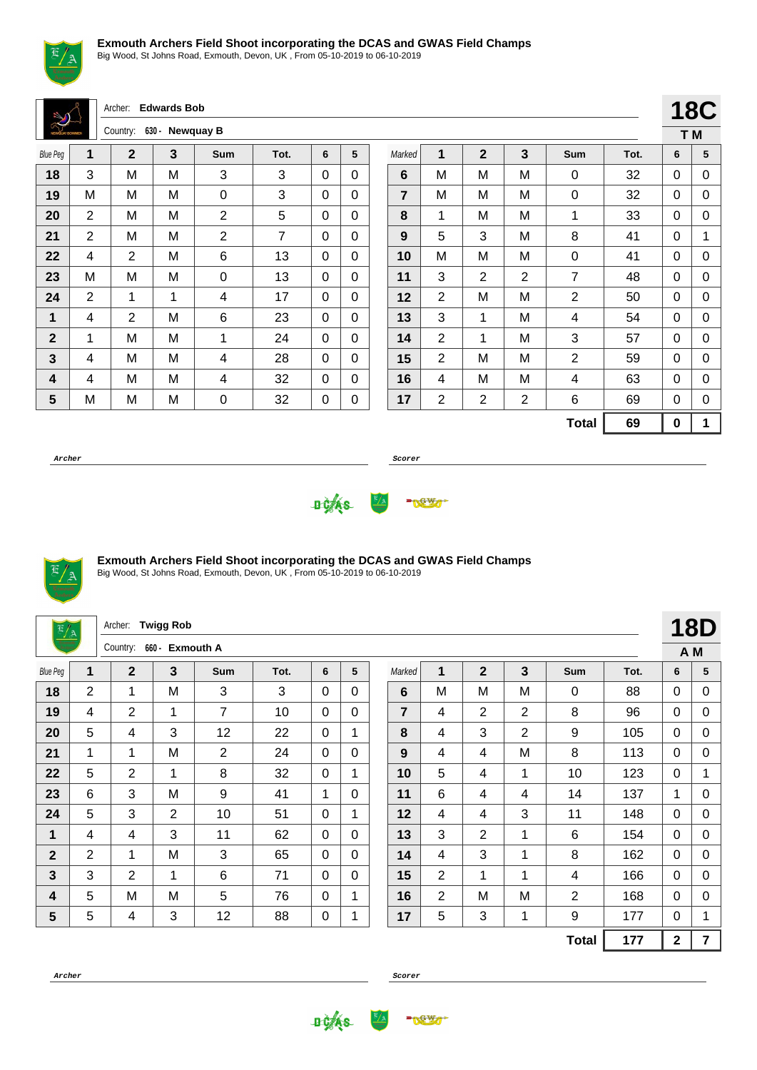

Big Wood, St Johns Road, Exmouth, Devon, UK , From 05-10-2019 to 06-10-2019

Archer: **Edwards Bob**

| <b>NEWSLAY BOWMEN</b> |                | Country:       | 630 - Newquay B |                |      |   |   |
|-----------------------|----------------|----------------|-----------------|----------------|------|---|---|
| <b>Blue Peg</b>       | 1              | 2              | 3               | Sum            | Tot. | 6 | 5 |
| 18                    | 3              | M              | M               | 3              | 3    | 0 | 0 |
| 19                    | M              | M              | M               | 0              | 3    | 0 | 0 |
| 20                    | 2              | M              | M               | $\overline{2}$ | 5    | 0 | 0 |
| 21                    | $\overline{2}$ | M              | M               | $\overline{2}$ | 7    | 0 | 0 |
| 22                    | 4              | 2              | M               | 6              | 13   | 0 | 0 |
| 23                    | M              | Μ              | M               | 0              | 13   | 0 | 0 |
| 24                    | 2              | 1              | 1               | 4              | 17   | 0 | 0 |
| 1                     | 4              | $\overline{2}$ | M               | 6              | 23   | 0 | 0 |
| $\mathbf{2}$          | 1              | M              | M               | 1              | 24   | 0 | 0 |
| 3                     | 4              | M              | M               | 4              | 28   | 0 | 0 |
| 4                     | 4              | M              | M               | 4              | 32   | 0 | 0 |
| 5                     | M              | M              | M               | 0              | 32   | 0 | 0 |

|                |                |                |                |                |      |     | <b>18C</b> |
|----------------|----------------|----------------|----------------|----------------|------|-----|------------|
|                |                |                |                |                |      | T M |            |
| Marked         | 1              | $\overline{2}$ | 3              | Sum            | Tot. | 6   | 5          |
| 6              | M              | M              | М              | 0              | 32   | 0   | 0          |
| $\overline{7}$ | M              | M              | M              | 0              | 32   | 0   | 0          |
| 8              | 1              | M              | M              | 1              | 33   | 0   | 0          |
| 9              | 5              | 3              | M              | 8              | 41   | 0   | 1          |
| 10             | М              | M              | M              | 0              | 41   | 0   | 0          |
| 11             | 3              | 2              | 2              | $\overline{7}$ | 48   | 0   | 0          |
| 12             | 2              | M              | M              | 2              | 50   | 0   | 0          |
| 13             | 3              | 1              | М              | 4              | 54   | 0   | 0          |
| 14             | $\overline{2}$ | 1              | M              | 3              | 57   | 0   | 0          |
| 15             | $\overline{2}$ | M              | M              | $\overline{2}$ | 59   | 0   | 0          |
| 16             | 4              | M              | M              | 4              | 63   | 0   | 0          |
| 17             | $\overline{2}$ | 2              | $\overline{2}$ | 6              | 69   | 0   | 0          |
|                |                |                |                | <b>Total</b>   | 69   | 0   | 1          |

**Archer Scorer**





### **Exmouth Archers Field Shoot incorporating the DCAS and GWAS Field Champs**

| $\frac{E/A}{2}$ |                | Archer:        | <b>Twigg Rob</b> |                |      |          |          |                |   |                |                |                |      |              | 18D            |
|-----------------|----------------|----------------|------------------|----------------|------|----------|----------|----------------|---|----------------|----------------|----------------|------|--------------|----------------|
|                 |                | Country:       | 660 - Exmouth A  |                |      |          |          |                |   |                |                |                |      |              | A M            |
| <b>Blue Peg</b> | 1              | $\overline{2}$ | $\overline{3}$   | Sum            | Tot. | 6        | 5        | Marked         | 1 | $\overline{2}$ | 3              | Sum            | Tot. | 6            | 5              |
| 18              | 2              | $\mathbf 1$    | M                | 3              | 3    | 0        | 0        | 6              | M | M              | M              | 0              | 88   | 0            | 0              |
| 19              | 4              | $\overline{2}$ | 1                | 7              | 10   | $\Omega$ | $\Omega$ | $\overline{7}$ | 4 | $\overline{2}$ | $\overline{2}$ | 8              | 96   | $\mathbf{0}$ | 0              |
| 20              | 5              | 4              | 3                | 12             | 22   | 0        | 1        | 8              | 4 | 3              | $\overline{2}$ | 9              | 105  | $\mathbf{0}$ | 0              |
| 21              | 1              | 1              | M                | $\overline{2}$ | 24   | 0        | $\Omega$ | 9              | 4 | 4              | М              | 8              | 113  | $\Omega$     | 0              |
| 22              | 5              | 2              | 1                | 8              | 32   | $\Omega$ | 1        | 10             | 5 | 4              | 1              | 10             | 123  | $\mathbf{0}$ | $\mathbf{1}$   |
| 23              | 6              | 3              | M                | 9              | 41   | 1        | $\Omega$ | 11             | 6 | 4              | 4              | 14             | 137  | 1            | 0              |
| 24              | 5              | 3              | 2                | 10             | 51   | $\Omega$ | 1        | 12             | 4 | 4              | 3              | 11             | 148  | $\mathbf{0}$ | 0              |
| $\mathbf{1}$    | 4              | 4              | 3                | 11             | 62   | 0        | $\Omega$ | 13             | 3 | $\overline{2}$ | 1              | 6              | 154  | $\Omega$     | 0              |
| $\mathbf{2}$    | 2              | 1              | M                | 3              | 65   | $\Omega$ | 0        | 14             | 4 | 3              | 1              | 8              | 162  | 0            | 0              |
| $\mathbf{3}$    | 3              | $\overline{2}$ | 1                | 6              | 71   | $\Omega$ | $\Omega$ | 15             | 2 | 1              | 1              | 4              | 166  | $\Omega$     | 0              |
| 4               | $\overline{5}$ | M              | M                | 5              | 76   | 0        | 1        | 16             | 2 | M              | M              | $\overline{2}$ | 168  | 0            | 0              |
| $5\phantom{.0}$ | 5              | 4              | 3                | 12             | 88   | 0        | 1        | 17             | 5 | 3              | $\mathbf 1$    | 9              | 177  | $\Omega$     | 1              |
|                 |                |                |                  |                |      |          |          |                |   |                |                | <b>Total</b>   | 177  | $\mathbf{2}$ | $\overline{7}$ |



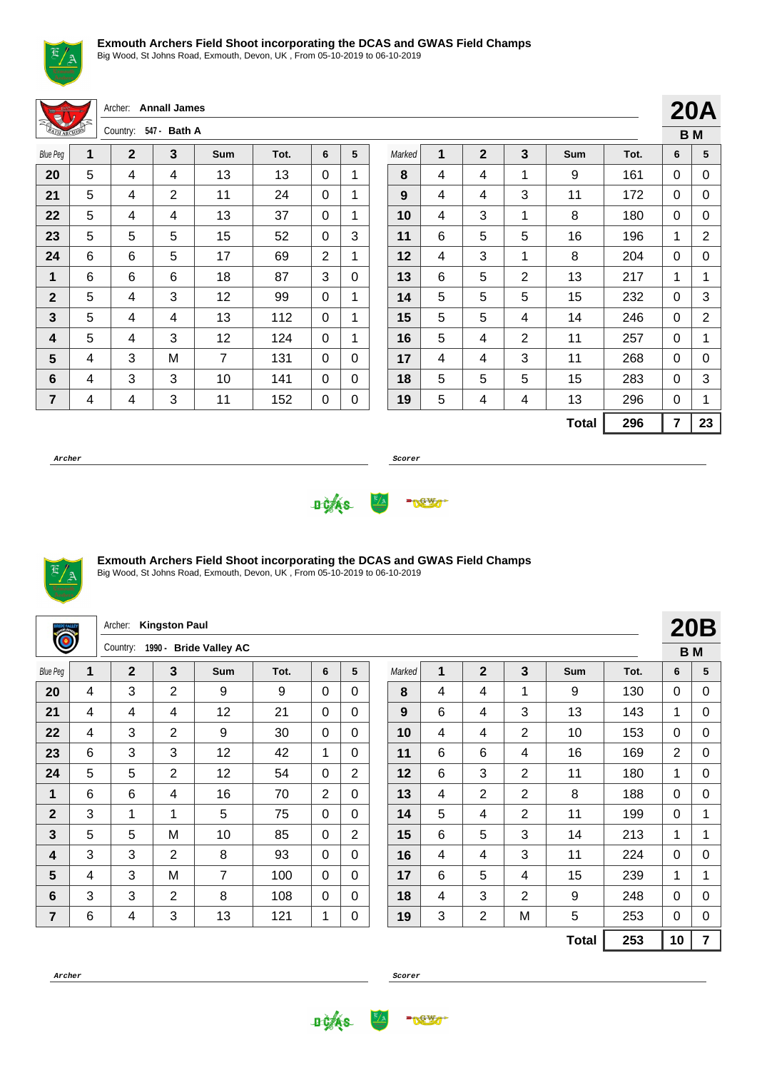

Big Wood, St Johns Road, Exmouth, Devon, UK , From 05-10-2019 to 06-10-2019

Archer: **Annall James** Country: **547 - Bath A**

| <b>MARCHER</b>  |   | Country.     | 547 <del>-</del> Datri A |     |      |   |   |
|-----------------|---|--------------|--------------------------|-----|------|---|---|
| <b>Blue Peg</b> | 1 | $\mathbf{2}$ | 3                        | Sum | Tot. | 6 | 5 |
| 20              | 5 | 4            | 4                        | 13  | 13   | 0 | 1 |
| 21              | 5 | 4            | 2                        | 11  | 24   | 0 | 1 |
| 22              | 5 | 4            | 4                        | 13  | 37   | 0 | 1 |
| 23              | 5 | 5            | 5                        | 15  | 52   | 0 | 3 |
| 24              | 6 | 6            | 5                        | 17  | 69   | 2 | 1 |
| 1               | 6 | 6            | 6                        | 18  | 87   | 3 | 0 |
| $\mathbf{2}$    | 5 | 4            | 3                        | 12  | 99   | 0 | 1 |
| 3               | 5 | 4            | 4                        | 13  | 112  | 0 | 1 |
| 4               | 5 | 4            | 3                        | 12  | 124  | 0 | 1 |
| 5               | 4 | 3            | M                        | 7   | 131  | 0 | 0 |
| 6               | 4 | 3            | 3                        | 10  | 141  | 0 | 0 |
| 7               | 4 | 4            | 3                        | 11  | 152  | 0 | 0 |

|        |   |              |                |              |      |   | ВM |  |  |  |  |
|--------|---|--------------|----------------|--------------|------|---|----|--|--|--|--|
| Marked | 1 | $\mathbf{2}$ | 3              | Sum          | Tot. | 6 | 5  |  |  |  |  |
| 8      | 4 | 4            | 1              | 9            | 161  | 0 | 0  |  |  |  |  |
| 9      | 4 | 4            | 3              | 11           | 172  | 0 | 0  |  |  |  |  |
| 10     | 4 | 3            | 1              | 8            | 180  | 0 | 0  |  |  |  |  |
| 11     | 6 | 5            | 5              | 16           | 196  | 1 | 2  |  |  |  |  |
| 12     | 4 | 3            | 1              | 8            | 204  | 0 | 0  |  |  |  |  |
| 13     | 6 | 5            | $\overline{2}$ | 13           | 217  | 1 | 1  |  |  |  |  |
| 14     | 5 | 5            | 5              | 15           | 232  | 0 | 3  |  |  |  |  |
| 15     | 5 | 5            | 4              | 14           | 246  | 0 | 2  |  |  |  |  |
| 16     | 5 | 4            | $\overline{2}$ | 11           | 257  | 0 | 1  |  |  |  |  |
| 17     | 4 | 4            | 3              | 11           | 268  | 0 | 0  |  |  |  |  |
| 18     | 5 | 5            | 5              | 15           | 283  | 0 | 3  |  |  |  |  |
| 19     | 5 | 4            | 4              | 13           | 296  | 0 | 1  |  |  |  |  |
|        |   |              |                | <b>Total</b> | 296  | 7 | 23 |  |  |  |  |

**20A**

**Archer Scorer**





### **Exmouth Archers Field Shoot incorporating the DCAS and GWAS Field Champs**

Big Wood, St Johns Road, Exmouth, Devon, UK , From 05-10-2019 to 06-10-2019

|                 |   | Archer:        | <b>Kingston Paul</b> |                        |      |                |                |        |   |                |                |              |      |                | <b>20B</b>     |
|-----------------|---|----------------|----------------------|------------------------|------|----------------|----------------|--------|---|----------------|----------------|--------------|------|----------------|----------------|
| Ò               |   | Country:       | 1990 -               | <b>Bride Valley AC</b> |      |                |                |        |   |                |                |              |      | <b>BM</b>      |                |
| <b>Blue Peg</b> | 1 | $\overline{2}$ | 3                    | Sum                    | Tot. | 6              | 5              | Marked | 1 | $\mathbf{2}$   | 3              | <b>Sum</b>   | Tot. | 6              | 5              |
| 20              | 4 | 3              | $\overline{2}$       | 9                      | 9    | $\Omega$       | 0              | 8      | 4 | 4              | $\mathbf{1}$   | 9            | 130  | $\Omega$       | $\Omega$       |
| 21              | 4 | 4              | 4                    | 12                     | 21   | $\Omega$       | $\Omega$       | 9      | 6 | 4              | 3              | 13           | 143  | 1              | $\Omega$       |
| 22              | 4 | 3              | $\overline{2}$       | 9                      | 30   | $\Omega$       | $\Omega$       | 10     | 4 | 4              | $\overline{2}$ | 10           | 153  | $\Omega$       | $\Omega$       |
| 23              | 6 | 3              | 3                    | 12                     | 42   | $\mathbf{1}$   | 0              | 11     | 6 | 6              | 4              | 16           | 169  | $\overline{2}$ | 0              |
| 24              | 5 | 5              | $\overline{2}$       | 12                     | 54   | $\Omega$       | $\overline{2}$ | 12     | 6 | 3              | $\overline{2}$ | 11           | 180  | 1              | $\Omega$       |
| 1               | 6 | 6              | 4                    | 16                     | 70   | $\overline{2}$ | 0              | 13     | 4 | $\overline{2}$ | $\overline{2}$ | 8            | 188  | $\Omega$       | $\Omega$       |
| $\mathbf{2}$    | 3 | 1              | 1                    | 5                      | 75   | $\Omega$       | $\Omega$       | 14     | 5 | 4              | 2              | 11           | 199  | $\Omega$       |                |
| $\mathbf{3}$    | 5 | 5              | M                    | 10                     | 85   | $\Omega$       | $\overline{2}$ | 15     | 6 | 5              | 3              | 14           | 213  | $\mathbf{1}$   | 1              |
| 4               | 3 | 3              | $\overline{2}$       | 8                      | 93   | $\Omega$       | $\Omega$       | 16     | 4 | 4              | 3              | 11           | 224  | $\Omega$       | $\Omega$       |
| 5               | 4 | 3              | M                    | $\overline{7}$         | 100  | $\Omega$       | $\Omega$       | 17     | 6 | 5              | 4              | 15           | 239  | 1              | 1              |
| 6               | 3 | 3              | 2                    | 8                      | 108  | 0              | $\Omega$       | 18     | 4 | 3              | $\overline{2}$ | 9            | 248  | $\Omega$       | $\Omega$       |
| 7               | 6 | 4              | 3                    | 13                     | 121  | 1              | 0              | 19     | 3 | $\overline{2}$ | M              | 5            | 253  | 0              | 0              |
|                 |   |                |                      |                        |      |                |                |        |   |                |                | <b>Total</b> | 253  | 10             | $\overline{7}$ |



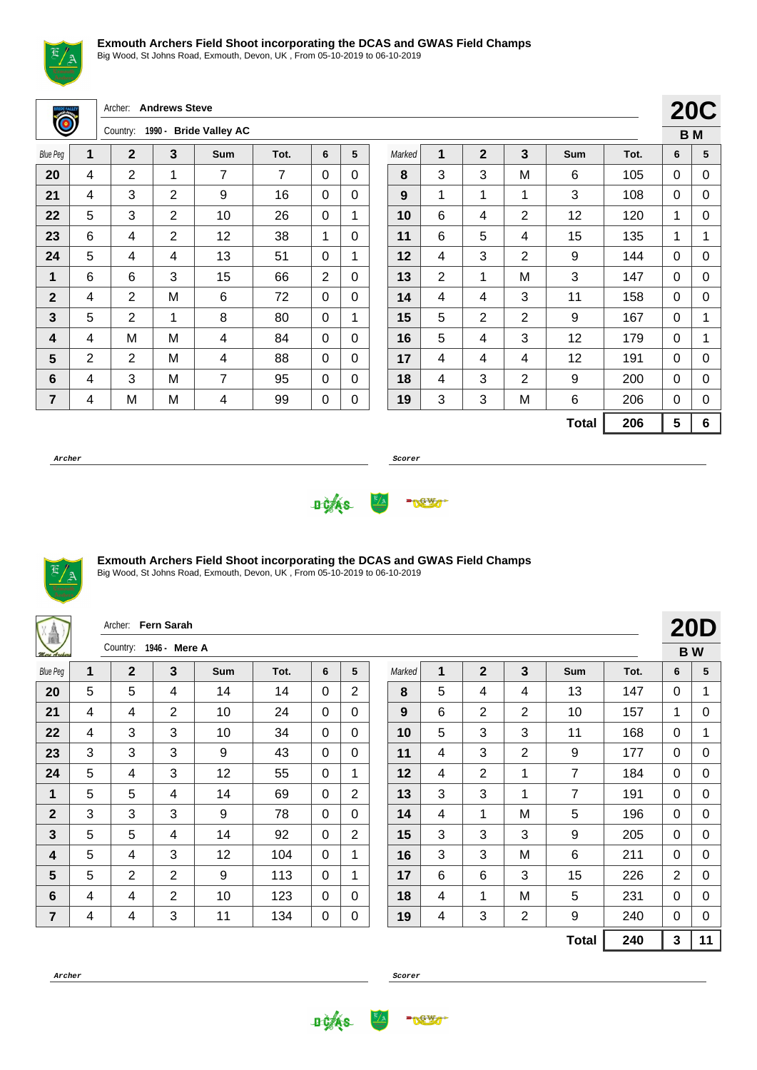

Big Wood, St Johns Road, Exmouth, Devon, UK , From 05-10-2019 to 06-10-2019

Archer: **Andrews Steve**

|                 |                | Country:       |   | 1990 - Bride Valley AC |      |   |   |
|-----------------|----------------|----------------|---|------------------------|------|---|---|
| <b>Blue Peg</b> | 1              | $\mathbf{2}$   | 3 | <b>Sum</b>             | Tot. | 6 | 5 |
| 20              | 4              | 2              | 1 | 7                      | 7    | 0 | 0 |
| 21              | 4              | 3              | 2 | 9                      | 16   | 0 | 0 |
| 22              | 5              | 3              | 2 | 10                     | 26   | 0 | 1 |
| 23              | 6              | 4              | 2 | 12                     | 38   | 1 | 0 |
| 24              | 5              | 4              | 4 | 13                     | 51   | 0 | 1 |
| 1               | 6              | 6              | 3 | 15                     | 66   | 2 | 0 |
| $\mathbf{2}$    | 4              | 2              | M | 6                      | 72   | 0 | 0 |
| 3               | 5              | $\overline{2}$ | 1 | 8                      | 80   | 0 | 1 |
| 4               | 4              | M              | M | 4                      | 84   | 0 | 0 |
| 5               | $\overline{2}$ | 2              | M | 4                      | 88   | 0 | 0 |
| 6               | 4              | 3              | M | 7                      | 95   | 0 | 0 |
| $\overline{7}$  | 4              | M              | M | 4                      | 99   | 0 | 0 |

|        |                |                | <b>20C</b>     |              |      |   |                |
|--------|----------------|----------------|----------------|--------------|------|---|----------------|
|        |                |                |                |              |      |   | B <sub>M</sub> |
| Marked | 1              | $\overline{2}$ | 3              | Sum          | Tot. | 6 | 5              |
| 8      | 3              | 3              | M              | 6            | 105  | 0 | 0              |
| 9      | 1              | 1              | 1              | 3            | 108  | 0 | 0              |
| 10     | 6              | 4              | 2              | 12           | 120  | 1 | 0              |
| 11     | 6              | 5              | 4              | 15           | 135  | 1 | 1              |
| 12     | 4              | 3              | $\overline{2}$ | 9            | 144  | 0 | 0              |
| 13     | $\overline{2}$ | 1              | M              | 3            | 147  | 0 | 0              |
| 14     | 4              | 4              | 3              | 11           | 158  | 0 | 0              |
| 15     | 5              | $\overline{2}$ | 2              | 9            | 167  | 0 | 1              |
| 16     | 5              | 4              | 3              | 12           | 179  | 0 | 1              |
| 17     | 4              | 4              | 4              | 12           | 191  | 0 | 0              |
| 18     | 4              | 3              | 2              | 9            | 200  | 0 | 0              |
| 19     | 3              | 3              | M              | 6            | 206  | 0 | 0              |
|        |                |                |                | <b>Total</b> | 206  | 5 | 6              |

**Archer Scorer**





### **Exmouth Archers Field Shoot incorporating the DCAS and GWAS Field Champs**

Big Wood, St Johns Road, Exmouth, Devon, UK , From 05-10-2019 to 06-10-2019

| <b>XA</b>               |   | Archer: Fern Sarah |                |     |      |              |                |        |   |                |                |              |      |                | <b>20D</b> |
|-------------------------|---|--------------------|----------------|-----|------|--------------|----------------|--------|---|----------------|----------------|--------------|------|----------------|------------|
| Mere Archers            |   | Country:           | 1946 - Mere A  |     |      |              |                |        |   |                |                |              |      |                | <b>BW</b>  |
| <b>Blue Peg</b>         | 1 | $\mathbf 2$        | $\mathbf{3}$   | Sum | Tot. | 6            | 5              | Marked | 1 | $\overline{2}$ | $\mathbf{3}$   | <b>Sum</b>   | Tot. | 6              | 5          |
| 20                      | 5 | 5                  | 4              | 14  | 14   | $\Omega$     | 2              | 8      | 5 | 4              | 4              | 13           | 147  | 0              | 1          |
| 21                      | 4 | 4                  | $\overline{2}$ | 10  | 24   | $\mathbf{0}$ | $\mathbf{0}$   | 9      | 6 | $\overline{2}$ | $\overline{2}$ | 10           | 157  | 1              | 0          |
| 22                      | 4 | 3                  | 3              | 10  | 34   | 0            | $\Omega$       | 10     | 5 | 3              | 3              | 11           | 168  | $\mathbf{0}$   | 1          |
| 23                      | 3 | 3                  | 3              | 9   | 43   | 0            | $\Omega$       | 11     | 4 | 3              | $\overline{2}$ | 9            | 177  | 0              | 0          |
| 24                      | 5 | 4                  | 3              | 12  | 55   | $\Omega$     | $\mathbf 1$    | 12     | 4 | $\overline{2}$ | 1              | 7            | 184  | $\mathbf{0}$   | 0          |
| $\mathbf 1$             | 5 | 5                  | 4              | 14  | 69   | $\mathbf 0$  | $\overline{2}$ | 13     | 3 | 3              | 1              | 7            | 191  | $\mathbf{0}$   | 0          |
| $\mathbf{2}$            | 3 | 3                  | 3              | 9   | 78   | 0            | $\Omega$       | 14     | 4 | 1              | M              | 5            | 196  | $\mathbf{0}$   | 0          |
| $\mathbf{3}$            | 5 | 5                  | 4              | 14  | 92   | 0            | $\overline{2}$ | 15     | 3 | 3              | 3              | 9            | 205  | 0              | 0          |
| 4                       | 5 | 4                  | 3              | 12  | 104  | $\Omega$     | $\mathbf 1$    | 16     | 3 | 3              | M              | 6            | 211  | $\Omega$       | 0          |
| $5\phantom{.}$          | 5 | $\overline{2}$     | $\overline{2}$ | 9   | 113  | $\mathbf{0}$ | 1              | 17     | 6 | 6              | 3              | 15           | 226  | $\overline{2}$ | 0          |
| 6                       | 4 | 4                  | $\overline{2}$ | 10  | 123  | 0            | $\Omega$       | 18     | 4 | 1              | M              | 5            | 231  | $\mathbf{0}$   | 0          |
| $\overline{\mathbf{r}}$ | 4 | 4                  | 3              | 11  | 134  | 0            | 0              | 19     | 4 | 3              | $\overline{2}$ | 9            | 240  | 0              | 0          |
|                         |   |                    |                |     |      |              |                |        |   |                |                | <b>Total</b> | 240  | 3              | 11         |



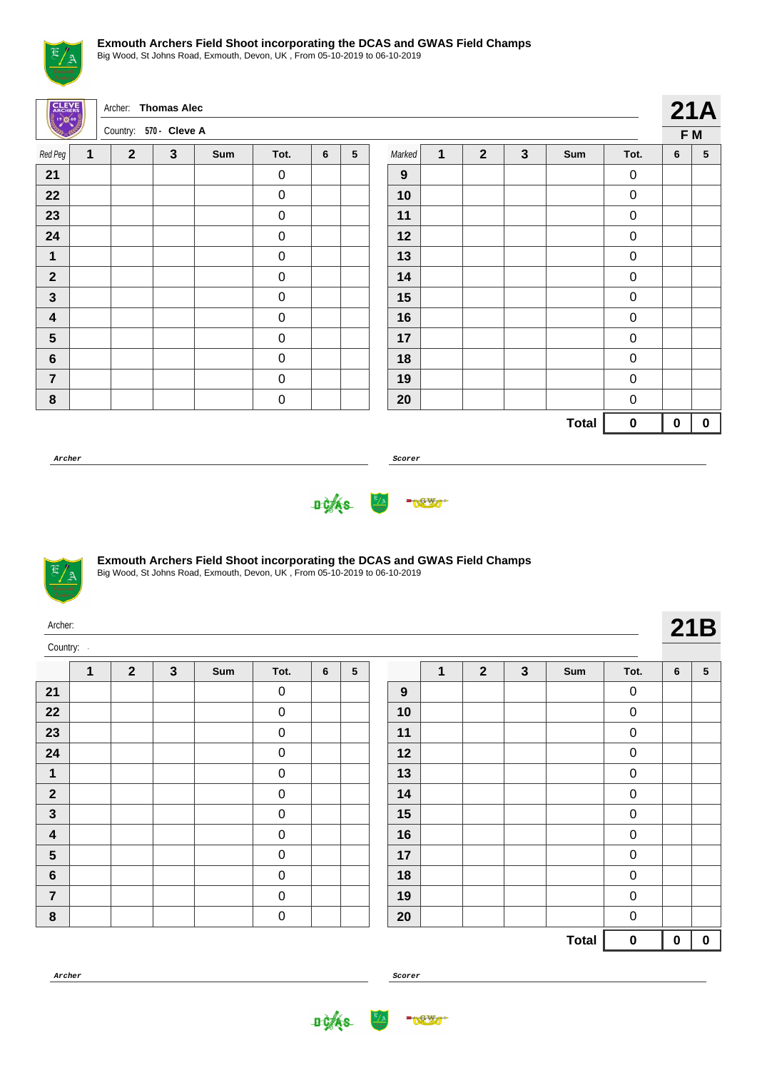

Big Wood, St Johns Road, Exmouth, Devon, UK , From 05-10-2019 to 06-10-2019

| <b>CLEVE</b><br>ွီးကိုလွယ |   | Archer: Thomas Alec<br>Country: 570 - Cleve A |              |     |                  |   |                 |        |   |                |              |              |                  | 21A       |                 |
|---------------------------|---|-----------------------------------------------|--------------|-----|------------------|---|-----------------|--------|---|----------------|--------------|--------------|------------------|-----------|-----------------|
|                           |   |                                               |              |     |                  |   |                 |        |   |                |              |              |                  |           | F M             |
| Red Peg                   | 1 | $\overline{2}$                                | $\mathbf{3}$ | Sum | Tot.             | 6 | $5\phantom{.0}$ | Marked | 1 | $\overline{2}$ | $\mathbf{3}$ | Sum          | Tot.             | 6         | $5\phantom{.0}$ |
| 21                        |   |                                               |              |     | $\pmb{0}$        |   |                 | 9      |   |                |              |              | $\boldsymbol{0}$ |           |                 |
| 22                        |   |                                               |              |     | $\boldsymbol{0}$ |   |                 | 10     |   |                |              |              | $\pmb{0}$        |           |                 |
| 23                        |   |                                               |              |     | $\pmb{0}$        |   |                 | 11     |   |                |              |              | $\boldsymbol{0}$ |           |                 |
| 24                        |   |                                               |              |     | $\pmb{0}$        |   |                 | 12     |   |                |              |              | $\pmb{0}$        |           |                 |
| $\mathbf 1$               |   |                                               |              |     | $\pmb{0}$        |   |                 | 13     |   |                |              |              | $\boldsymbol{0}$ |           |                 |
| $\mathbf{2}$              |   |                                               |              |     | $\pmb{0}$        |   |                 | 14     |   |                |              |              | $\boldsymbol{0}$ |           |                 |
| $\mathbf{3}$              |   |                                               |              |     | $\boldsymbol{0}$ |   |                 | 15     |   |                |              |              | $\pmb{0}$        |           |                 |
| 4                         |   |                                               |              |     | $\mathbf 0$      |   |                 | 16     |   |                |              |              | $\pmb{0}$        |           |                 |
| $5\phantom{1}$            |   |                                               |              |     | $\mathbf 0$      |   |                 | 17     |   |                |              |              | $\boldsymbol{0}$ |           |                 |
| $\boldsymbol{6}$          |   |                                               |              |     | $\mathbf 0$      |   |                 | 18     |   |                |              |              | $\mathbf 0$      |           |                 |
| $\overline{7}$            |   |                                               |              |     | $\pmb{0}$        |   |                 | 19     |   |                |              |              | $\boldsymbol{0}$ |           |                 |
| $\bf 8$                   |   |                                               |              |     | $\pmb{0}$        |   |                 | 20     |   |                |              |              | $\mathbf 0$      |           |                 |
|                           |   |                                               |              |     |                  |   |                 |        |   |                |              | <b>Total</b> | $\pmb{0}$        | $\pmb{0}$ | $\mathbf 0$     |

**Archer Scorer**





#### **Exmouth Archers Field Shoot incorporating the DCAS and GWAS Field Champs**

| Archer:<br>Country: | $\overline{2}$<br>$\mathbf{3}$<br>$\overline{2}$<br>$\mathbf{3}$<br>$\mathbf 1$<br>$\sqrt{5}$<br>1<br>Sum<br>Tot.<br>$6\phantom{1}$<br>Sum<br>Tot.<br>$\boldsymbol{0}$<br>$\boldsymbol{0}$<br>9<br>$\pmb{0}$<br>$\pmb{0}$<br>10 |  |  |  |           |  |  |    |  |  |  |              |             |             | 21B             |
|---------------------|---------------------------------------------------------------------------------------------------------------------------------------------------------------------------------------------------------------------------------|--|--|--|-----------|--|--|----|--|--|--|--------------|-------------|-------------|-----------------|
|                     |                                                                                                                                                                                                                                 |  |  |  |           |  |  |    |  |  |  |              |             | 6           | $5\phantom{.0}$ |
| 21                  |                                                                                                                                                                                                                                 |  |  |  |           |  |  |    |  |  |  |              |             |             |                 |
| 22                  |                                                                                                                                                                                                                                 |  |  |  |           |  |  |    |  |  |  |              |             |             |                 |
| 23                  |                                                                                                                                                                                                                                 |  |  |  | $\pmb{0}$ |  |  | 11 |  |  |  |              | $\pmb{0}$   |             |                 |
| 24                  |                                                                                                                                                                                                                                 |  |  |  | $\pmb{0}$ |  |  | 12 |  |  |  |              | $\pmb{0}$   |             |                 |
| $\mathbf 1$         |                                                                                                                                                                                                                                 |  |  |  | $\pmb{0}$ |  |  | 13 |  |  |  |              | $\pmb{0}$   |             |                 |
| $\overline{2}$      |                                                                                                                                                                                                                                 |  |  |  | $\pmb{0}$ |  |  | 14 |  |  |  |              | $\pmb{0}$   |             |                 |
| $\mathbf{3}$        |                                                                                                                                                                                                                                 |  |  |  | $\pmb{0}$ |  |  | 15 |  |  |  |              | $\pmb{0}$   |             |                 |
| $\boldsymbol{4}$    |                                                                                                                                                                                                                                 |  |  |  | $\pmb{0}$ |  |  | 16 |  |  |  |              | $\pmb{0}$   |             |                 |
| $5\phantom{1}$      |                                                                                                                                                                                                                                 |  |  |  | $\pmb{0}$ |  |  | 17 |  |  |  |              | $\pmb{0}$   |             |                 |
| $6\phantom{1}$      |                                                                                                                                                                                                                                 |  |  |  | $\pmb{0}$ |  |  | 18 |  |  |  |              | $\mathbf 0$ |             |                 |
| $\overline{7}$      |                                                                                                                                                                                                                                 |  |  |  | $\pmb{0}$ |  |  | 19 |  |  |  |              | $\pmb{0}$   |             |                 |
| $\bf 8$             |                                                                                                                                                                                                                                 |  |  |  | $\pmb{0}$ |  |  | 20 |  |  |  |              | $\pmb{0}$   |             |                 |
|                     |                                                                                                                                                                                                                                 |  |  |  |           |  |  |    |  |  |  | <b>Total</b> | $\mathbf 0$ | $\mathbf 0$ | $\mathbf 0$     |



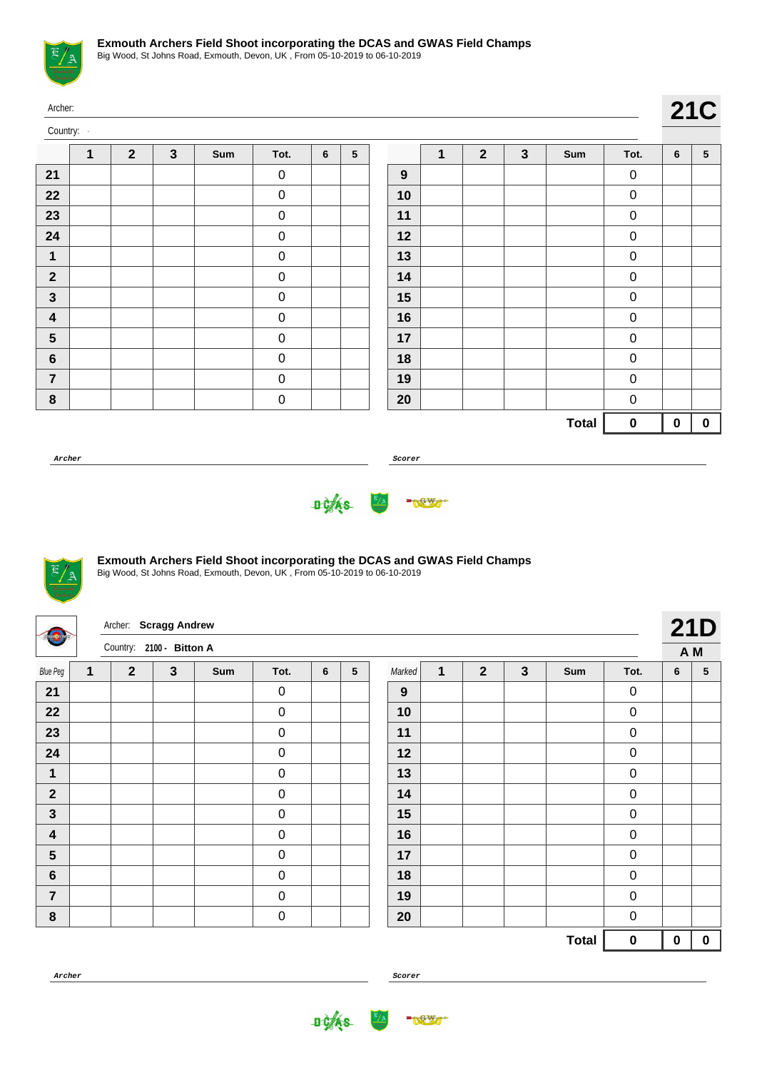

| Archer:                 |              |                |              |     |                  |                |                 |                  |             |                |              |              |           |           | <b>21C</b>  |
|-------------------------|--------------|----------------|--------------|-----|------------------|----------------|-----------------|------------------|-------------|----------------|--------------|--------------|-----------|-----------|-------------|
| Country:                |              |                |              |     |                  |                |                 |                  |             |                |              |              |           |           |             |
|                         | $\mathbf{1}$ | $\overline{2}$ | $\mathbf{3}$ | Sum | Tot.             | $6\phantom{1}$ | $5\phantom{.0}$ |                  | $\mathbf 1$ | $\overline{2}$ | $\mathbf{3}$ | Sum          | Tot.      | 6         | $\sqrt{5}$  |
| 21                      |              |                |              |     | $\mathbf 0$      |                |                 | $\boldsymbol{9}$ |             |                |              |              | $\pmb{0}$ |           |             |
| 22                      |              |                |              |     | $\pmb{0}$        |                |                 | 10               |             |                |              |              | $\pmb{0}$ |           |             |
| 23                      |              |                |              |     | $\pmb{0}$        |                |                 | 11               |             |                |              |              | $\pmb{0}$ |           |             |
| 24                      |              |                |              |     | $\pmb{0}$        |                |                 | 12               |             |                |              |              | $\pmb{0}$ |           |             |
| $\mathbf 1$             |              |                |              |     | $\pmb{0}$        |                |                 | 13               |             |                |              |              | $\pmb{0}$ |           |             |
| $\mathbf{2}$            |              |                |              |     | $\boldsymbol{0}$ |                |                 | 14               |             |                |              |              | $\pmb{0}$ |           |             |
| $\mathbf{3}$            |              |                |              |     | $\pmb{0}$        |                |                 | 15               |             |                |              |              | $\pmb{0}$ |           |             |
| $\overline{\mathbf{4}}$ |              |                |              |     | $\boldsymbol{0}$ |                |                 | 16               |             |                |              |              | $\pmb{0}$ |           |             |
| $5\phantom{.0}$         |              |                |              |     | $\mathbf 0$      |                |                 | 17               |             |                |              |              | $\pmb{0}$ |           |             |
| $\bf 6$                 |              |                |              |     | $\pmb{0}$        |                |                 | 18               |             |                |              |              | $\pmb{0}$ |           |             |
| $\overline{7}$          |              |                |              |     | $\pmb{0}$        |                |                 | 19               |             |                |              |              | $\pmb{0}$ |           |             |
| $\bf 8$                 |              |                |              |     | $\pmb{0}$        |                |                 | 20               |             |                |              |              | $\pmb{0}$ |           |             |
|                         |              |                |              |     |                  |                |                 |                  |             |                |              | <b>Total</b> | $\pmb{0}$ | $\pmb{0}$ | $\mathbf 0$ |

**Archer Scorer**





## **Exmouth Archers Field Shoot incorporating the DCAS and GWAS Field Champs**

Big Wood, St Johns Road, Exmouth, Devon, UK , From 05-10-2019 to 06-10-2019

| omfare                  |   | Archer: Scragg Andrew    |              |     |                  |   |   |        |   |                |                |              |                  |     | <b>21D</b>      |
|-------------------------|---|--------------------------|--------------|-----|------------------|---|---|--------|---|----------------|----------------|--------------|------------------|-----|-----------------|
|                         |   | Country: 2100 - Bitton A |              |     |                  |   |   |        |   |                |                |              |                  | A M |                 |
| <b>Blue Peg</b>         | 1 | $\overline{2}$           | $\mathbf{3}$ | Sum | Tot.             | 6 | 5 | Marked | 1 | $\overline{2}$ | $\overline{3}$ | Sum          | Tot.             | 6   | $5\phantom{.0}$ |
| 21                      |   |                          |              |     | $\boldsymbol{0}$ |   |   | 9      |   |                |                |              | $\pmb{0}$        |     |                 |
| 22                      |   |                          |              |     | $\boldsymbol{0}$ |   |   | 10     |   |                |                |              | $\pmb{0}$        |     |                 |
| 23                      |   |                          |              |     | $\boldsymbol{0}$ |   |   | 11     |   |                |                |              | $\pmb{0}$        |     |                 |
| 24                      |   |                          |              |     | $\mathbf 0$      |   |   | 12     |   |                |                |              | $\mathbf 0$      |     |                 |
| 1                       |   |                          |              |     | $\pmb{0}$        |   |   | 13     |   |                |                |              | $\pmb{0}$        |     |                 |
| $\mathbf{2}$            |   |                          |              |     | $\mathbf 0$      |   |   | 14     |   |                |                |              | $\pmb{0}$        |     |                 |
| $\mathbf{3}$            |   |                          |              |     | $\pmb{0}$        |   |   | 15     |   |                |                |              | $\pmb{0}$        |     |                 |
| $\overline{\mathbf{4}}$ |   |                          |              |     | $\boldsymbol{0}$ |   |   | 16     |   |                |                |              | $\pmb{0}$        |     |                 |
| 5                       |   |                          |              |     | $\mathbf 0$      |   |   | 17     |   |                |                |              | $\pmb{0}$        |     |                 |
| $\bf 6$                 |   |                          |              |     | $\pmb{0}$        |   |   | 18     |   |                |                |              | $\pmb{0}$        |     |                 |
| $\overline{7}$          |   |                          |              |     | $\boldsymbol{0}$ |   |   | 19     |   |                |                |              | $\pmb{0}$        |     |                 |
| $\pmb{8}$               |   |                          |              |     | $\pmb{0}$        |   |   | 20     |   |                |                |              | $\boldsymbol{0}$ |     |                 |
|                         |   |                          |              |     |                  |   |   |        |   |                |                | <b>Total</b> | $\pmb{0}$        | 0   | $\mathbf 0$     |



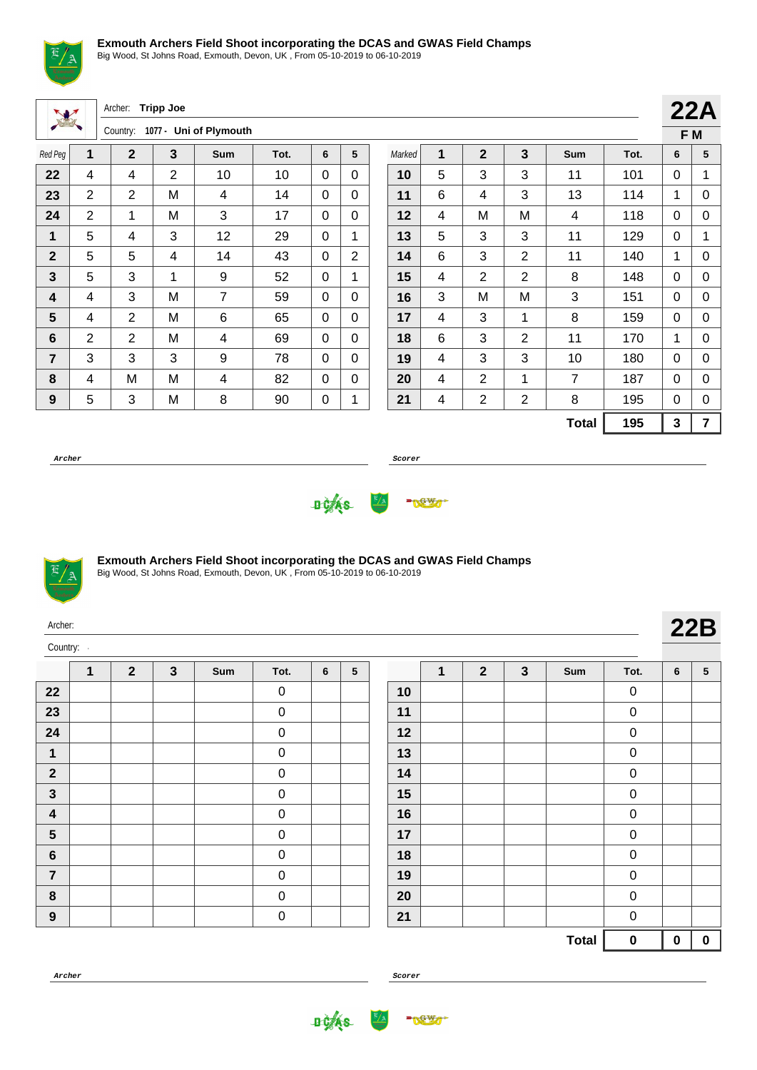

Big Wood, St Johns Road, Exmouth, Devon, UK , From 05-10-2019 to 06-10-2019

| W                |                | Archer:        | <b>Tripp Joe</b> |                        |      |          |                |        |   |                |                |                |      |              | 22A            |
|------------------|----------------|----------------|------------------|------------------------|------|----------|----------------|--------|---|----------------|----------------|----------------|------|--------------|----------------|
|                  |                | Country:       |                  | 1077 - Uni of Plymouth |      |          |                |        |   |                |                |                |      |              | F M            |
| Red Peg          | 1              | $\overline{2}$ | 3                | Sum                    | Tot. | 6        | 5              | Marked | 1 | $\overline{2}$ | $\overline{3}$ | <b>Sum</b>     | Tot. | 6            | 5              |
| 22               | 4              | 4              | 2                | 10                     | 10   | 0        | $\Omega$       | 10     | 5 | 3              | 3              | 11             | 101  | $\Omega$     | 1              |
| 23               | $\overline{2}$ | $\overline{2}$ | M                | 4                      | 14   | $\Omega$ | $\Omega$       | 11     | 6 | 4              | 3              | 13             | 114  | 1            | $\mathbf 0$    |
| 24               | $\overline{2}$ | 1              | M                | 3                      | 17   | $\Omega$ | $\mathbf{0}$   | 12     | 4 | M              | M              | 4              | 118  | $\Omega$     | 0              |
| 1                | 5              | $\overline{4}$ | 3                | 12                     | 29   | $\Omega$ | 1              | 13     | 5 | 3              | 3              | 11             | 129  | $\mathbf{0}$ | 1              |
| $\mathbf 2$      | 5              | 5              | 4                | 14                     | 43   | $\Omega$ | $\overline{2}$ | 14     | 6 | 3              | $\overline{2}$ | 11             | 140  | 1            | 0              |
| 3                | 5              | 3              | $\mathbf{1}$     | 9                      | 52   | 0        | $\mathbf 1$    | 15     | 4 | 2              | $\overline{2}$ | 8              | 148  | $\Omega$     | 0              |
| 4                | 4              | 3              | м                | $\overline{7}$         | 59   | $\Omega$ | $\mathbf{0}$   | 16     | 3 | M              | M              | 3              | 151  | $\mathbf{0}$ | $\mathbf 0$    |
| 5                | 4              | 2              | M                | 6                      | 65   | $\Omega$ | $\Omega$       | 17     | 4 | 3              | 1              | 8              | 159  | $\Omega$     | $\mathbf 0$    |
| $6\phantom{1}$   | $\overline{2}$ | $\overline{2}$ | M                | 4                      | 69   | $\Omega$ | $\mathbf{0}$   | 18     | 6 | 3              | $\overline{2}$ | 11             | 170  | 1            | $\mathbf 0$    |
| $\overline{7}$   | 3              | 3              | 3                | 9                      | 78   | 0        | $\Omega$       | 19     | 4 | 3              | 3              | 10             | 180  | $\Omega$     | 0              |
| 8                | 4              | M              | M                | 4                      | 82   | 0        | $\mathbf{0}$   | 20     | 4 | $\overline{2}$ | 1              | $\overline{7}$ | 187  | $\Omega$     | $\mathbf 0$    |
| $\boldsymbol{9}$ | 5              | 3              | M                | 8                      | 90   | 0        |                | 21     | 4 | $\overline{2}$ | $\overline{2}$ | 8              | 195  | $\Omega$     | 0              |
|                  |                |                |                  |                        |      |          |                |        |   |                |                | <b>Total</b>   | 195  | 3            | $\overline{7}$ |

**Archer Scorer**





Big Wood, St Johns Road, Exmouth, Devon, UK , From 05-10-2019 to 06-10-2019

| Archer:  |  |
|----------|--|
| Country: |  |

Ŀ

|                         | 1 | $\mathbf{2}$ | $\mathbf{3}$ | Sum | Tot.        | 6 | ${\bf 5}$ |
|-------------------------|---|--------------|--------------|-----|-------------|---|-----------|
| $22\,$                  |   |              |              |     | 0           |   |           |
| 23                      |   |              |              |     | 0           |   |           |
| 24                      |   |              |              |     | 0           |   |           |
| 1                       |   |              |              |     | $\mathbf 0$ |   |           |
| $\boldsymbol{2}$        |   |              |              |     | 0           |   |           |
| $\mathbf{3}$            |   |              |              |     | 0           |   |           |
| $\overline{\mathbf{4}}$ |   |              |              |     | $\mathbf 0$ |   |           |
| $5\phantom{1}$          |   |              |              |     | 0           |   |           |
| $\bf 6$                 |   |              |              |     | $\mathbf 0$ |   |           |
| $\overline{7}$          |   |              |              |     | 0           |   |           |
| 8                       |   |              |              |     | $\mathbf 0$ |   |           |
| $\boldsymbol{9}$        |   |              |              |     | $\mathbf 0$ |   |           |

|    | 1 | $\mathbf{2}$ | $\mathbf{3}$ | Sum          | Tot. | 6        | $\sqrt{5}$ |
|----|---|--------------|--------------|--------------|------|----------|------------|
| 10 |   |              |              |              | 0    |          |            |
| 11 |   |              |              |              | 0    |          |            |
| 12 |   |              |              |              | 0    |          |            |
| 13 |   |              |              |              | 0    |          |            |
| 14 |   |              |              |              | 0    |          |            |
| 15 |   |              |              |              | 0    |          |            |
| 16 |   |              |              |              | 0    |          |            |
| 17 |   |              |              |              | 0    |          |            |
| 18 |   |              |              |              | 0    |          |            |
| 19 |   |              |              |              | 0    |          |            |
| 20 |   |              |              |              | 0    |          |            |
| 21 |   |              |              |              | 0    |          |            |
|    |   |              |              | <b>Total</b> | 0    | $\bf{0}$ | 0          |

**Archer Scorer**

**DOAS** 

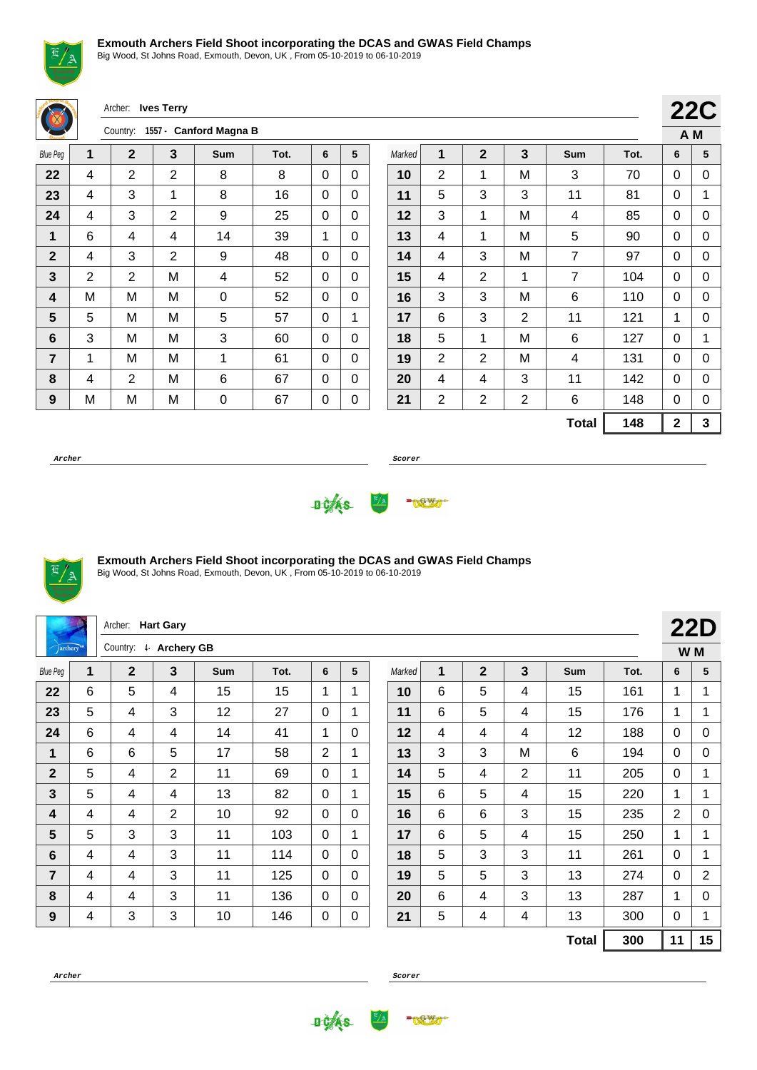Big Wood, St Johns Road, Exmouth, Devon, UK , From 05-10-2019 to 06-10-2019

Archer: **Ives Terry** Country: **1557 - Canford Magna B 22C A M** Blue Peg **1 2 3 Sum Tot. 6 5** | 4 | 2 | 2 | 8 | 8 | 0 | 0 | 4 | 3 | 1 | 8 | 16 | 0 | 0 | 4 | 3 | 2 | 9 | 25 | 0 | 0 | 6 | 4 | 4 | 14 | 39 | 1 | 0 | 4 | 3 | 2 | 9 | 48 | 0 | 0 | 2 | 2 | M | 4 | 52 | 0 | 0 | M | M | M | 0 | 52 | 0 | 0 | **5** | **M** | **M** | **5** | **57** | **0** | **1**  | 3 | M | M | 3 | 60 | 0 | 0 | 1 | M | M | 1 | 61 | 0 | 0 | 4 | 2 | M | 6 | 67 | 0 | 0 | M | M | M | 0 | 67 | 0 | 0 Marked **1 2 3 Sum Tot. 6 5** | 2 | 1 | M | 3 | 70 | 0 | 0 | 5 | 3 | 3 | 11 | 81 | 0 | 1 | 3 | 1 | M | 4 | 85 | 0 | 0 | 4 | 1 | M | 5 | 90 | 0 | 0 | 4 | 3 | M | 7 | 97 | 0 | 0 | 4 | 2 | 1 | 7 | 104 | 0 | 0 | 3 | 3 | M | 6 | 110 | 0 | 0 | 6 | 3 | 2 | 11 | 121 | 1 | 0 | 5 | 1 | M | 6 | 127 | 0 | 1 | 2 | 2 | M | 4 | 131 | 0 | 0 | 4 | 4 | 3 | 11 | 142 | 0 | 0 | 2 | 2 | 2 | 6 | 148 | 0 | 0 **Total 148 2 3**

**Archer Scorer**





# **Exmouth Archers Field Shoot incorporating the DCAS and GWAS Field Champs**

| Archer: Hart Gary |   |                       |   |     |      |                |              |        |   |                | <b>22D</b> |              |      |                |                |
|-------------------|---|-----------------------|---|-----|------|----------------|--------------|--------|---|----------------|------------|--------------|------|----------------|----------------|
| <i>archery</i>    |   | Country: 4 Archery GB |   |     |      |                |              |        |   |                |            |              |      | W M            |                |
| <b>Blue Peg</b>   | 1 | $\mathbf{2}$          | 3 | Sum | Tot. | 6              | 5            | Marked | 1 | $\overline{2}$ | 3          | Sum          | Tot. | 6              | 5              |
| 22                | 6 | 5                     | 4 | 15  | 15   | 1              | 1            | 10     | 6 | 5              | 4          | 15           | 161  | 1              |                |
| 23                | 5 | 4                     | 3 | 12  | 27   | $\mathbf{0}$   | $\mathbf{1}$ | 11     | 6 | 5              | 4          | 15           | 176  | 1              | 1              |
| 24                | 6 | 4                     | 4 | 14  | 41   | 1              | $\Omega$     | 12     | 4 | 4              | 4          | 12           | 188  | $\mathbf{0}$   | $\mathbf 0$    |
| 1                 | 6 | 6                     | 5 | 17  | 58   | $\overline{2}$ | 1            | 13     | 3 | 3              | M          | 6            | 194  | $\mathbf{0}$   | 0              |
| $\mathbf 2$       | 5 | 4                     | 2 | 11  | 69   | $\mathbf{0}$   | 1            | 14     | 5 | 4              | 2          | 11           | 205  | $\mathbf{0}$   | 1              |
| 3                 | 5 | 4                     | 4 | 13  | 82   | $\mathbf{0}$   | $\mathbf{1}$ | 15     | 6 | 5              | 4          | 15           | 220  | 1              | 1              |
| 4                 | 4 | 4                     | 2 | 10  | 92   | $\Omega$       | $\Omega$     | 16     | 6 | 6              | 3          | 15           | 235  | $\overline{2}$ | 0              |
| 5                 | 5 | 3                     | 3 | 11  | 103  | $\mathbf{0}$   | 1            | 17     | 6 | 5              | 4          | 15           | 250  | 1              | 1              |
| 6                 | 4 | 4                     | 3 | 11  | 114  | $\mathbf{0}$   | $\Omega$     | 18     | 5 | 3              | 3          | 11           | 261  | $\mathbf{0}$   | 1              |
| 7                 | 4 | 4                     | 3 | 11  | 125  | $\mathbf{0}$   | $\mathbf 0$  | 19     | 5 | 5              | 3          | 13           | 274  | $\mathbf{0}$   | $\overline{2}$ |
| 8                 | 4 | 4                     | 3 | 11  | 136  | $\mathbf{0}$   | $\Omega$     | 20     | 6 | 4              | 3          | 13           | 287  | 1              | 0              |
| $\boldsymbol{9}$  | 4 | 3                     | 3 | 10  | 146  | $\pmb{0}$      | $\mathbf 0$  | 21     | 5 | 4              | 4          | 13           | 300  | 0              | 1              |
|                   |   |                       |   |     |      |                |              |        |   |                |            | <b>Total</b> | 300  | 11             | 15             |



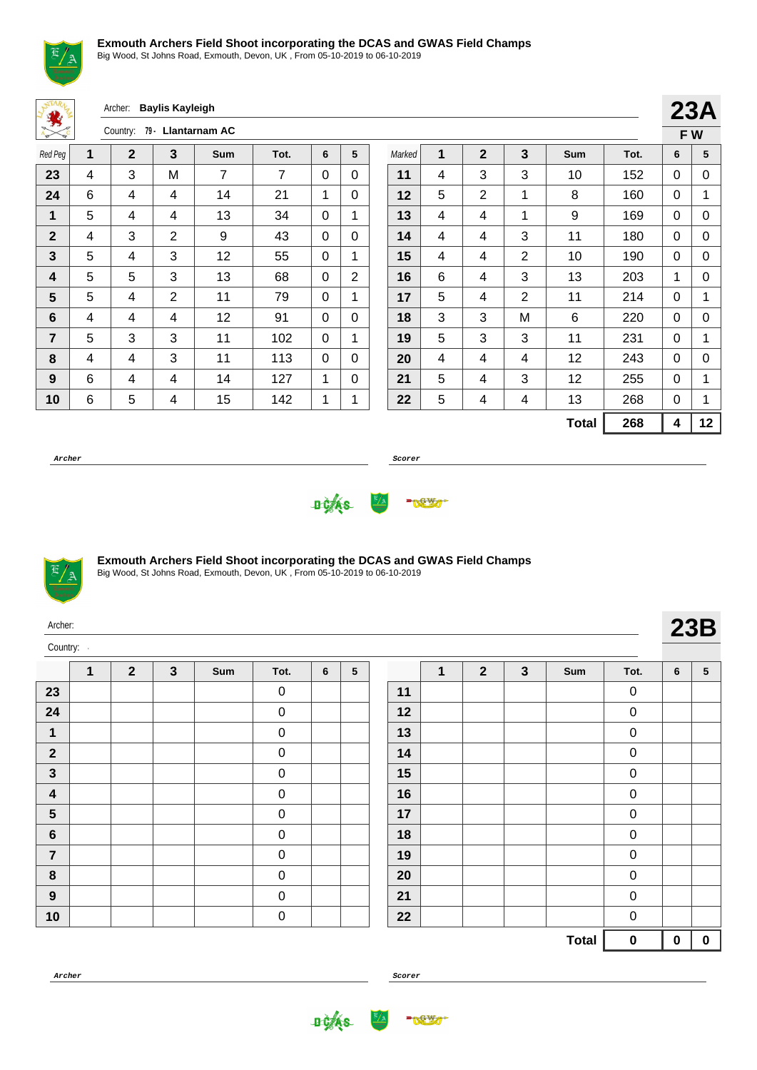

Big Wood, St Johns Road, Exmouth, Devon, UK , From 05-10-2019 to 06-10-2019

Archer: **Baylis Kayleigh**

| $A_{\mathcal{D}}$<br>$\mathcal{R}_{\mathbf{C}}$ | 79 - Llantarnam AC<br>Country: |             |                |     |      |   |                |  |  |  |  |  |
|-------------------------------------------------|--------------------------------|-------------|----------------|-----|------|---|----------------|--|--|--|--|--|
| Red Peg                                         | 1                              | $\mathbf 2$ | 3              | Sum | Tot. | 6 | 5              |  |  |  |  |  |
| 23                                              | 4                              | 3           | M              | 7   | 7    | 0 | 0              |  |  |  |  |  |
| 24                                              | 6                              | 4           | 4              | 14  | 21   | 1 | 0              |  |  |  |  |  |
| 1                                               | 5                              | 4           | 4              | 13  | 34   | 0 | 1              |  |  |  |  |  |
| $\mathbf{2}$                                    | 4                              | 3           | $\overline{2}$ | 9   | 43   | 0 | 0              |  |  |  |  |  |
| 3                                               | 5                              | 4           | 3              | 12  | 55   | 0 | 1              |  |  |  |  |  |
| 4                                               | 5                              | 5           | 3              | 13  | 68   | 0 | $\overline{2}$ |  |  |  |  |  |
| 5                                               | 5                              | 4           | 2              | 11  | 79   | 0 | 1              |  |  |  |  |  |
| 6                                               | 4                              | 4           | 4              | 12  | 91   | 0 | 0              |  |  |  |  |  |
| $\overline{7}$                                  | 5                              | 3           | 3              | 11  | 102  | 0 | 1              |  |  |  |  |  |
| 8                                               | 4                              | 4           | 3              | 11  | 113  | 0 | 0              |  |  |  |  |  |
| 9                                               | 6                              | 4           | 4              | 14  | 127  | 1 | 0              |  |  |  |  |  |
| 10                                              | 6                              | 5           | 4              | 15  | 142  | 1 | 1              |  |  |  |  |  |

|        |   |              |   |              |      |   | 23A |
|--------|---|--------------|---|--------------|------|---|-----|
|        |   |              |   |              |      |   | FW  |
| Marked | 1 | $\mathbf{2}$ | 3 | Sum          | Tot. | 6 | 5   |
| 11     | 4 | 3            | 3 | 10           | 152  | 0 | 0   |
| 12     | 5 | 2            | 1 | 8            | 160  | 0 | 1   |
| 13     | 4 | 4            | 1 | 9            | 169  | 0 | 0   |
| 14     | 4 | 4            | 3 | 11           | 180  | 0 | 0   |
| 15     | 4 | 4            | 2 | 10           | 190  | 0 | 0   |
| 16     | 6 | 4            | 3 | 13           | 203  | 1 | 0   |
| 17     | 5 | 4            | 2 | 11           | 214  | 0 | 1   |
| 18     | 3 | 3            | M | 6            | 220  | 0 | 0   |
| 19     | 5 | 3            | 3 | 11           | 231  | 0 | 1   |
| 20     | 4 | 4            | 4 | 12           | 243  | 0 | 0   |
| 21     | 5 | 4            | 3 | 12           | 255  | 0 | 1   |
| 22     | 5 | 4            | 4 | 13           | 268  | 0 | 1   |
|        |   |              |   | <b>Total</b> | 268  | 4 | 12  |

**Archer Scorer**





### **Exmouth Archers Field Shoot incorporating the DCAS and GWAS Field Champs**

Big Wood, St Johns Road, Exmouth, Devon, UK , From 05-10-2019 to 06-10-2019

| Archer:<br>Country: |   |              |              |     |             |   |                 |    |   | <b>23B</b>     |   |     |             |   |                 |
|---------------------|---|--------------|--------------|-----|-------------|---|-----------------|----|---|----------------|---|-----|-------------|---|-----------------|
|                     | 1 | $\mathbf{2}$ | $\mathbf{3}$ | Sum | Tot.        | 6 | $5\phantom{.0}$ |    | 1 | $\overline{2}$ | 3 | Sum | Tot.        | 6 | $5\phantom{.0}$ |
| 23                  |   |              |              |     | $\mathbf 0$ |   |                 | 11 |   |                |   |     | $\mathbf 0$ |   |                 |
| 24                  |   |              |              |     | $\mathbf 0$ |   |                 | 12 |   |                |   |     | $\pmb{0}$   |   |                 |
| 1                   |   |              |              |     | $\mathbf 0$ |   |                 | 13 |   |                |   |     | $\pmb{0}$   |   |                 |
| $\overline{2}$      |   |              |              |     | $\mathbf 0$ |   |                 | 14 |   |                |   |     | $\mathbf 0$ |   |                 |
| $\mathbf{3}$        |   |              |              |     | $\pmb{0}$   |   |                 | 15 |   |                |   |     | $\pmb{0}$   |   |                 |
| $\boldsymbol{4}$    |   |              |              |     | $\mathbf 0$ |   |                 | 16 |   |                |   |     | $\pmb{0}$   |   |                 |
| $5\phantom{.0}$     |   |              |              |     | $\mathbf 0$ |   |                 | 17 |   |                |   |     | $\mathbf 0$ |   |                 |
| $6\phantom{1}$      |   |              |              |     | $\mathbf 0$ |   |                 | 18 |   |                |   |     | $\pmb{0}$   |   |                 |
| $\overline{7}$      |   |              |              |     | $\mathbf 0$ |   |                 | 19 |   |                |   |     | $\pmb{0}$   |   |                 |
| 8                   |   |              |              |     | $\mathbf 0$ |   |                 | 20 |   |                |   |     | $\pmb{0}$   |   |                 |
| 9                   |   |              |              |     | $\pmb{0}$   |   |                 | 21 |   |                |   |     | $\pmb{0}$   |   |                 |

|                   |  | <b>Total</b> | 0                | $\bf{0}$ | $\bf{0}$ |
|-------------------|--|--------------|------------------|----------|----------|
| $22 \overline{)}$ |  |              | 0                |          |          |
| 21                |  |              | 0                |          |          |
| 20                |  |              | 0                |          |          |
| 19                |  |              | $\pmb{0}$        |          |          |
| 18                |  |              | $\pmb{0}$        |          |          |
| 17                |  |              | $\boldsymbol{0}$ |          |          |
| 16                |  |              | $\pmb{0}$        |          |          |
| 15                |  |              | $\mathbf 0$      |          |          |
| 14                |  |              | 0                |          |          |
| 13                |  |              | 0                |          |          |
| 12                |  |              | 0                |          |          |
| 11                |  |              | 0                |          |          |

**Archer Scorer**

0



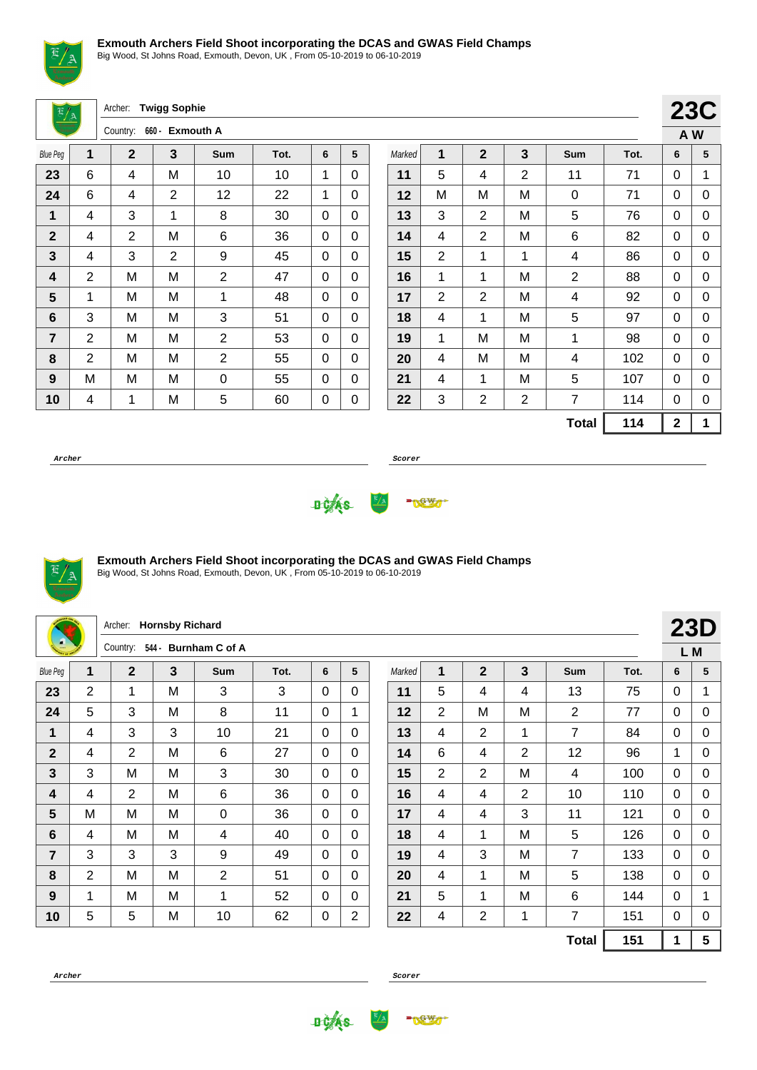

Big Wood, St Johns Road, Exmouth, Devon, UK , From 05-10-2019 to 06-10-2019

Archer: **Twigg Sophie**

| 660 - Exmouth A<br>Country: |                |                |   |                |      |   |   |  |  |  |  |
|-----------------------------|----------------|----------------|---|----------------|------|---|---|--|--|--|--|
| <b>Blue Peg</b>             | 1              | $\mathbf{2}$   | 3 | <b>Sum</b>     | Tot. | 6 | 5 |  |  |  |  |
| 23                          | 6              | 4              | M | 10             | 10   | 1 | 0 |  |  |  |  |
| 24                          | 6              | 4              | 2 | 12             | 22   | 1 | 0 |  |  |  |  |
| 1                           | 4              | 3              | 1 | 8              | 30   | 0 | 0 |  |  |  |  |
| $\mathbf{2}$                | 4              | $\overline{2}$ | M | 6              | 36   | 0 | 0 |  |  |  |  |
| 3                           | 4              | 3              | 2 | 9              | 45   | 0 | 0 |  |  |  |  |
| 4                           | $\overline{2}$ | M              | M | $\overline{2}$ | 47   | 0 | 0 |  |  |  |  |
| 5                           | 1              | Μ              | M | 1              | 48   | 0 | 0 |  |  |  |  |
| 6                           | 3              | M              | M | 3              | 51   | 0 | 0 |  |  |  |  |
| $\overline{7}$              | $\overline{2}$ | M              | M | $\overline{2}$ | 53   | 0 | 0 |  |  |  |  |
| 8                           | $\overline{2}$ | M              | M | $\overline{2}$ | 55   | 0 | 0 |  |  |  |  |
| 9                           | M              | M              | M | 0              | 55   | 0 | 0 |  |  |  |  |
| 10                          | 4              | 1              | M | 5              | 60   | 0 | 0 |  |  |  |  |

|        |                |                |   |                |      |             | <b>23C</b> |
|--------|----------------|----------------|---|----------------|------|-------------|------------|
|        |                |                |   |                |      |             | A W        |
| Marked | 1              | $\overline{2}$ | 3 | Sum            | Tot. | 6           | 5          |
| 11     | 5              | 4              | 2 | 11             | 71   | 0           | 1          |
| 12     | М              | M              | M | 0              | 71   | 0           | 0          |
| 13     | 3              | $\overline{2}$ | M | 5              | 76   | 0           | 0          |
| 14     | 4              | $\overline{2}$ | M | 6              | 82   | 0           | 0          |
| 15     | 2              | 1              | 1 | 4              | 86   | 0           | 0          |
| 16     | 1              | 1              | M | $\overline{2}$ | 88   | 0           | 0          |
| 17     | $\overline{2}$ | 2              | M | 4              | 92   | 0           | 0          |
| 18     | 4              | 1              | M | 5              | 97   | 0           | 0          |
| 19     | 1              | Μ              | M | 1              | 98   | 0           | 0          |
| 20     | 4              | M              | M | 4              | 102  | 0           | 0          |
| 21     | 4              | 1              | M | 5              | 107  | 0           | 0          |
| 22     | 3              | 2              | 2 | $\overline{7}$ | 114  | 0           | 0          |
|        |                |                |   | <b>Total</b>   | 114  | $\mathbf 2$ | 1          |

**Archer Scorer**





### **Exmouth Archers Field Shoot incorporating the DCAS and GWAS Field Champs**

Big Wood, St Johns Road, Exmouth, Devon, UK , From 05-10-2019 to 06-10-2019

|                 |   | Archer:        | <b>Hornsby Richard</b> |                       |      |              |                |  |        |                |                |                |                |      |             | <b>23D</b>      |
|-----------------|---|----------------|------------------------|-----------------------|------|--------------|----------------|--|--------|----------------|----------------|----------------|----------------|------|-------------|-----------------|
|                 |   | Country:       | 544 -                  | <b>Burnham C of A</b> |      |              |                |  |        |                |                |                |                |      |             | L M             |
| <b>Blue Peg</b> | 1 | $\overline{2}$ | 3                      | Sum                   | Tot. | 6            | 5              |  | Marked | 1              | $\mathbf{2}$   | $\mathbf{3}$   | Sum            | Tot. | 6           | 5               |
| 23              | 2 | 1              | м                      | 3                     | 3    | $\Omega$     | $\Omega$       |  | 11     | 5              | 4              | 4              | 13             | 75   | $\Omega$    | $\mathbf{1}$    |
| 24              | 5 | 3              | M                      | 8                     | 11   | $\mathbf 0$  | 1              |  | 12     | $\overline{2}$ | M              | M              | $\overline{2}$ | 77   | $\Omega$    | $\mathbf 0$     |
| $\mathbf{1}$    | 4 | 3              | 3                      | 10                    | 21   | 0            | $\Omega$       |  | 13     | 4              | $\overline{2}$ | $\mathbf{1}$   | $\overline{7}$ | 84   | $\Omega$    | $\Omega$        |
| $\mathbf{2}$    | 4 | $\overline{2}$ | M                      | 6                     | 27   | 0            | $\Omega$       |  | 14     | 6              | $\overline{4}$ | $\overline{2}$ | 12             | 96   | $\mathbf 1$ | $\Omega$        |
| 3               | 3 | M              | M                      | 3                     | 30   | $\mathbf{0}$ | $\Omega$       |  | 15     | $\overline{2}$ | 2              | м              | 4              | 100  | $\Omega$    | $\Omega$        |
| 4               | 4 | $\overline{2}$ | M                      | 6                     | 36   | $\mathbf{0}$ | $\Omega$       |  | 16     | 4              | $\overline{4}$ | $\overline{2}$ | 10             | 110  | $\Omega$    | $\Omega$        |
| $5\phantom{1}$  | M | M              | м                      | 0                     | 36   | 0            | $\Omega$       |  | 17     | 4              | 4              | 3              | 11             | 121  | $\Omega$    | 0               |
| 6               | 4 | M              | M                      | 4                     | 40   | 0            | $\Omega$       |  | 18     | 4              | 1              | M              | 5              | 126  | 0           | 0               |
| $\overline{7}$  | 3 | 3              | 3                      | 9                     | 49   | 0            | $\Omega$       |  | 19     | 4              | 3              | м              | $\overline{7}$ | 133  | $\Omega$    | 0               |
| 8               | 2 | M              | M                      | 2                     | 51   | 0            | $\Omega$       |  | 20     | 4              | 1              | м              | 5              | 138  | $\Omega$    | 0               |
| 9               | 1 | м              | M                      | 1                     | 52   | 0            | $\Omega$       |  | 21     | 5              | 1              | м              | 6              | 144  | $\Omega$    | 1               |
| 10              | 5 | 5              | M                      | 10                    | 62   | 0            | $\overline{2}$ |  | 22     | 4              | $\overline{2}$ | $\mathbf 1$    | 7              | 151  | $\Omega$    | 0               |
|                 |   |                |                        |                       |      |              |                |  |        |                |                |                | <b>Total</b>   | 151  | 1           | $5\phantom{.0}$ |



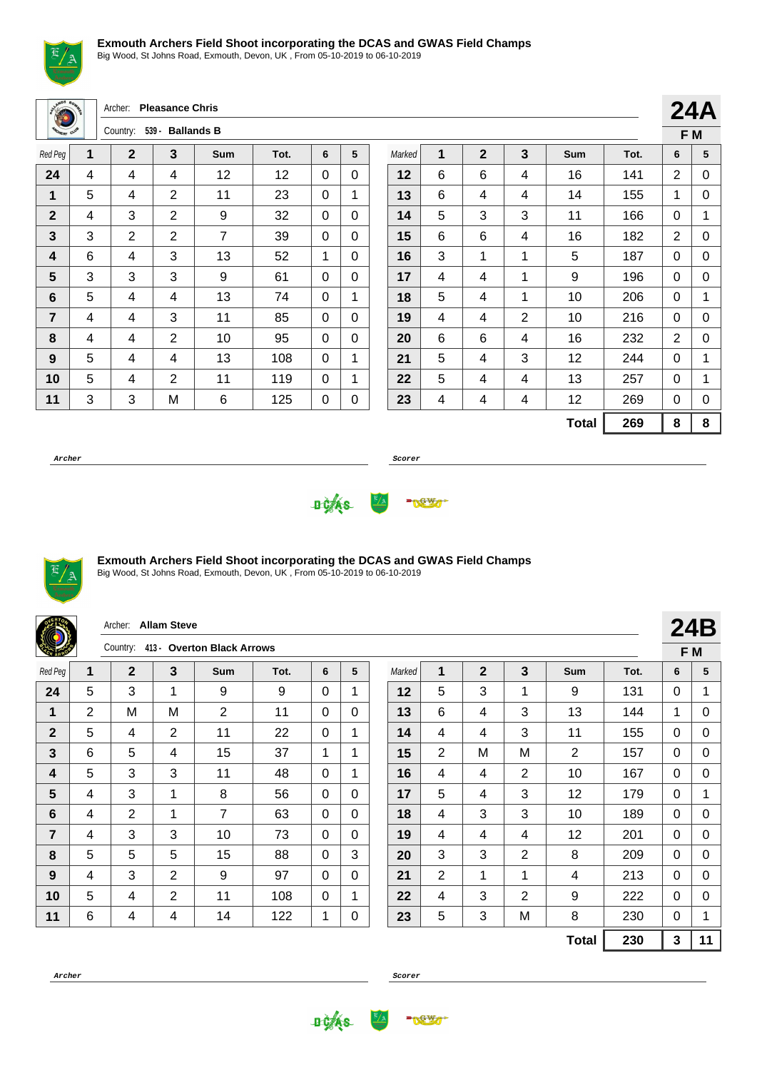

Big Wood, St Johns Road, Exmouth, Devon, UK , From 05-10-2019 to 06-10-2019

|  | Archer: Pleasance Chris |
|--|-------------------------|
|  |                         |

| <b>MORRY CUP</b><br>539 - Ballands B<br>Country: |   |              |                |     |      |   |   |
|--------------------------------------------------|---|--------------|----------------|-----|------|---|---|
| Red Peg                                          | 1 | $\mathbf{2}$ | 3              | Sum | Tot. | 6 | 5 |
| 24                                               | 4 | 4            | 4              | 12  | 12   | 0 | 0 |
| 1                                                | 5 | 4            | 2              | 11  | 23   | 0 | 1 |
| $\mathbf{2}$                                     | 4 | 3            | 2              | 9   | 32   | 0 | 0 |
| 3                                                | 3 | 2            | $\overline{2}$ | 7   | 39   | 0 | 0 |
| 4                                                | 6 | 4            | 3              | 13  | 52   | 1 | 0 |
| 5                                                | 3 | 3            | 3              | 9   | 61   | 0 | 0 |
| 6                                                | 5 | 4            | 4              | 13  | 74   | 0 | 1 |
| 7                                                | 4 | 4            | 3              | 11  | 85   | 0 | 0 |
| 8                                                | 4 | 4            | 2              | 10  | 95   | 0 | 0 |
| 9                                                | 5 | 4            | 4              | 13  | 108  | 0 | 1 |
| 10                                               | 5 | 4            | 2              | 11  | 119  | 0 | 1 |
| 11                                               | 3 | 3            | M              | 6   | 125  | 0 | 0 |

|        | ▴┱┍ |              |                |              |      |   |     |
|--------|-----|--------------|----------------|--------------|------|---|-----|
|        |     |              |                |              |      |   | F M |
| Marked | 1   | $\mathbf{2}$ | 3              | <b>Sum</b>   | Tot. | 6 | 5   |
| 12     | 6   | 6            | 4              | 16           | 141  | 2 | 0   |
| 13     | 6   | 4            | 4              | 14           | 155  | 1 | 0   |
| 14     | 5   | 3            | 3              | 11           | 166  | 0 | 1   |
| 15     | 6   | 6            | 4              | 182<br>16    |      | 2 | 0   |
| 16     | 3   | 1            | 1              | 5            | 187  | 0 | 0   |
| 17     | 4   | 4            | 1              | 9            | 196  | 0 | 0   |
| 18     | 5   | 4            | 1              | 10           | 206  | 0 | 1   |
| 19     | 4   | 4            | $\overline{2}$ | 10           | 216  | 0 | 0   |
| 20     | 6   | 6            | 4              | 16           | 232  | 2 | 0   |
| 21     | 5   | 4            | 3              | 12           | 244  | 0 | 1   |
| 22     | 5   | 4            | 4              | 13           | 257  | 0 | 1   |
| 23     | 4   | 4            | 4              | 12           | 269  | 0 | 0   |
|        |     |              |                | <b>Total</b> | 269  | 8 | 8   |

**24A**

**Archer Scorer**





### **Exmouth Archers Field Shoot incorporating the DCAS and GWAS Field Champs**

|                |                                     | Archer: Allam Steve |                |                |      |          |              |        |                |              |                |                |      |          | <b>24B</b> |  |
|----------------|-------------------------------------|---------------------|----------------|----------------|------|----------|--------------|--------|----------------|--------------|----------------|----------------|------|----------|------------|--|
|                | Country: 413 - Overton Black Arrows |                     |                |                |      |          |              |        |                | F M          |                |                |      |          |            |  |
| Red Peg        | 1                                   | $\mathbf{2}$        | 3              | <b>Sum</b>     | Tot. | 6        | 5            | Marked | 1              | $\mathbf{2}$ | 3              | <b>Sum</b>     | Tot. | 6        | 5          |  |
| 24             | 5                                   | 3                   | $\mathbf{1}$   | 9              | 9    | 0        | 1            | 12     | 5              | 3            | 1              | 9              | 131  | $\Omega$ | 1          |  |
| 1              | $\overline{2}$                      | M                   | M              | $\overline{2}$ | 11   | 0        | $\Omega$     | 13     | 6              | 4            | 3              | 13             | 144  | 1        | 0          |  |
| $\mathbf{2}$   | 5                                   | 4                   | $\overline{2}$ | 11             | 22   | 0        | 1            | 14     | 4              | 4            | 3              | 11             | 155  | 0        | 0          |  |
| 3              | 6                                   | 5                   | 4              | 15             | 37   | 1        | 1            | 15     | $\overline{2}$ | M            | M              | $\overline{2}$ | 157  | 0        | 0          |  |
| 4              | 5                                   | 3                   | 3              | 11             | 48   | $\Omega$ | 1            | 16     | 4              | 4            | 2              | 10             | 167  | $\Omega$ | $\Omega$   |  |
| $5\phantom{1}$ | 4                                   | 3                   | 1              | 8              | 56   | $\Omega$ | $\mathbf{0}$ | 17     | 5              | 4            | 3              | 12             | 179  | $\Omega$ | 1          |  |
| 6              | 4                                   | $\overline{2}$      | $\mathbf{1}$   | 7              | 63   | 0        | $\Omega$     | 18     | 4              | 3            | 3              | 10             | 189  | 0        | $\Omega$   |  |
| $\overline{7}$ | 4                                   | 3                   | 3              | 10             | 73   | $\Omega$ | $\Omega$     | 19     | 4              | 4            | 4              | 12             | 201  | 0        | 0          |  |
| 8              | 5                                   | 5                   | 5              | 15             | 88   | $\Omega$ | 3            | 20     | 3              | 3            | $\overline{2}$ | 8              | 209  | $\Omega$ | $\Omega$   |  |
| 9              | 4                                   | 3                   | 2              | 9              | 97   | $\Omega$ | $\mathbf{0}$ | 21     | $\overline{2}$ | 1            | 1              | 4              | 213  | $\Omega$ | $\Omega$   |  |
| 10             | 5                                   | 4                   | $\overline{2}$ | 11             | 108  | 0        | 1            | 22     | 4              | 3            | 2              | 9              | 222  | $\Omega$ | 0          |  |
| 11             | 6                                   | 4                   | 4              | 14             | 122  | 1        | 0            | 23     | 5              | 3            | M              | 8              | 230  | 0        |            |  |
|                |                                     |                     |                |                |      |          |              |        |                |              |                | <b>Total</b>   | 230  | 3        | 11         |  |